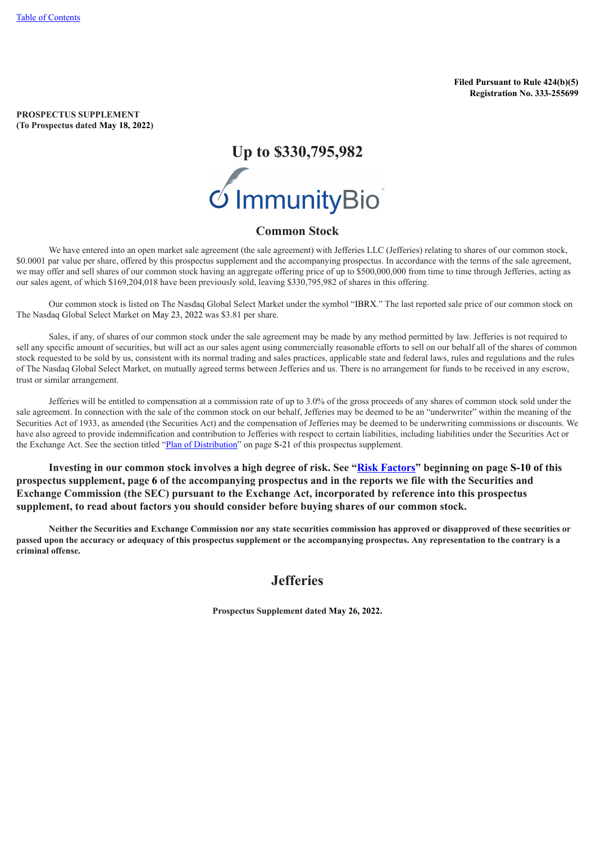**Filed Pursuant to Rule 424(b)(5) Registration No. 333-255699**

<span id="page-0-1"></span>**PROSPECTUS SUPPLEMENT (To Prospectus dated May 18, 2022)**

# **Up to \$330,795,982**

# **Common Stock**

We have entered into an open market sale agreement (the sale agreement) with Jefferies LLC (Jefferies) relating to shares of our common stock, \$0.0001 par value per share, offered by this prospectus supplement and the accompanying prospectus. In accordance with the terms of the sale agreement, we may offer and sell shares of our common stock having an aggregate offering price of up to \$500,000,000 from time to time through Jefferies, acting as our sales agent, of which \$169,204,018 have been previously sold, leaving \$330,795,982 of shares in this offering.

Our common stock is listed on The Nasdaq Global Select Market under the symbol "IBRX." The last reported sale price of our common stock on The Nasdaq Global Select Market on May 23, 2022 was \$3.81 per share.

Sales, if any, of shares of our common stock under the sale agreement may be made by any method permitted by law. Jefferies is not required to sell any specific amount of securities, but will act as our sales agent using commercially reasonable efforts to sell on our behalf all of the shares of common stock requested to be sold by us, consistent with its normal trading and sales practices, applicable state and federal laws, rules and regulations and the rules of The Nasdaq Global Select Market, on mutually agreed terms between Jefferies and us. There is no arrangement for funds to be received in any escrow, trust or similar arrangement.

Jefferies will be entitled to compensation at a commission rate of up to 3.0% of the gross proceeds of any shares of common stock sold under the sale agreement. In connection with the sale of the common stock on our behalf, Jefferies may be deemed to be an "underwriter" within the meaning of the Securities Act of 1933, as amended (the Securities Act) and the compensation of Jefferies may be deemed to be underwriting commissions or discounts. We have also agreed to provide indemnification and contribution to Jefferies with respect to certain liabilities, including liabilities under the Securities Act or the Exchange Act. See the section titled "Plan of [Distribution](#page-21-0)" on page S-[21](#page-21-0) of this prospectus supplement.

**Investing in our common stock involves a high degree of risk. See "[Risk Factors](#page-10-0)" beginning on page S-[10](#page-10-0) of this prospectus supplement, page [6](#page-33-0) of the accompanying prospectus and in the reports we file with the Securities and Exchange Commission (the SEC) pursuant to the Exchange Act, incorporated by reference into this prospectus supplement, to read about factors you should consider before buying shares of our common stock.**

<span id="page-0-0"></span>Neither the Securities and Exchange Commission nor any state securities commission has approved or disapproved of these securities or passed upon the accuracy or adequacy of this prospectus supplement or the accompanying prospectus. Any representation to the contrary is a **criminal offense.**

# **Jefferies**

**Prospectus Supplement dated May 26, 2022.**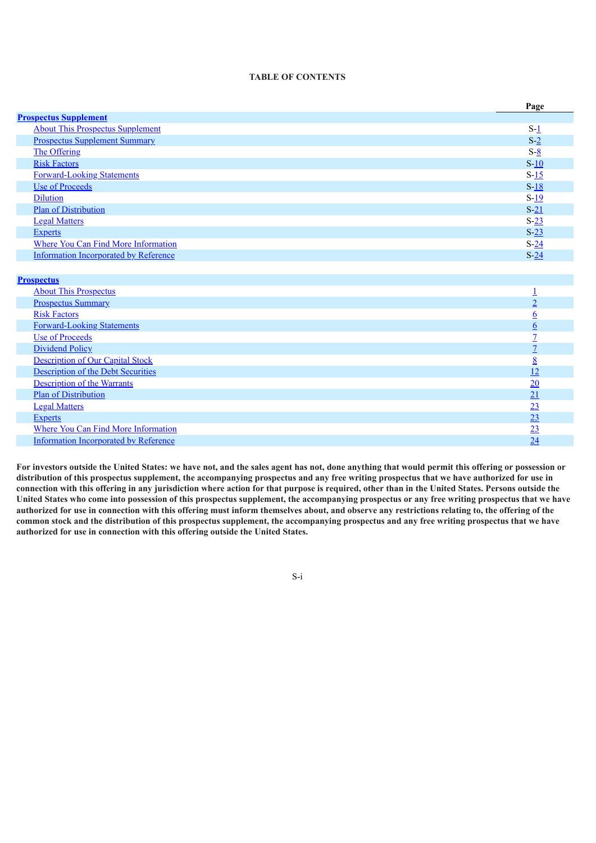# **TABLE OF CONTENTS**

|                                              | Page            |
|----------------------------------------------|-----------------|
| <b>Prospectus Supplement</b>                 |                 |
| <b>About This Prospectus Supplement</b>      | $S-1$           |
| <b>Prospectus Supplement Summary</b>         | $S-2$           |
| The Offering                                 | $S-8$           |
| <b>Risk Factors</b>                          | $S-10$          |
| <b>Forward-Looking Statements</b>            | $S-15$          |
| <b>Use of Proceeds</b>                       | $S-18$          |
| <b>Dilution</b>                              | $S-19$          |
| <b>Plan of Distribution</b>                  | $S-21$          |
| <b>Legal Matters</b>                         | $S-23$          |
| <b>Experts</b>                               | $S-23$          |
| Where You Can Find More Information          | $S-24$          |
| <b>Information Incorporated by Reference</b> | $S-24$          |
|                                              |                 |
| <b>Prospectus</b>                            |                 |
| <b>About This Prospectus</b>                 | $\overline{1}$  |
| <b>Prospectus Summary</b>                    | $\overline{2}$  |
| <b>Risk Factors</b>                          | $6\overline{6}$ |
| <b>Forward-Looking Statements</b>            | $6\overline{6}$ |
| <b>Use of Proceeds</b>                       | $\overline{1}$  |
| <b>Dividend Policy</b>                       | $\overline{1}$  |
| <b>Description of Our Capital Stock</b>      | 8               |
| <b>Description of the Debt Securities</b>    | 12              |
| <b>Description of the Warrants</b>           |                 |
| <b>Plan of Distribution</b>                  | $\frac{20}{21}$ |
| <b>Legal Matters</b>                         | $\overline{23}$ |
| <b>Experts</b>                               | $\overline{23}$ |
| Where You Can Find More Information          | 23              |

<span id="page-1-0"></span>For investors outside the United States: we have not, and the sales agent has not, done anything that would permit this offering or possession or distribution of this prospectus supplement, the accompanying prospectus and any free writing prospectus that we have authorized for use in connection with this offering in any jurisdiction where action for that purpose is required, other than in the United States. Persons outside the United States who come into possession of this prospectus supplement, the accompanying prospectus or any free writing prospectus that we have authorized for use in connection with this offering must inform themselves about, and observe any restrictions relating to, the offering of the common stock and the distribution of this prospectus supplement, the accompanying prospectus and any free writing prospectus that we have **authorized for use in connection with this offering outside the United States.**

Information [Incorporated](#page-51-2) by Reference [24](#page-51-2) and 24 and 25 and 25 and 26 and 25 and 26 and 26 and 26 and 26 and 26 and 26 and 26 and 26 and 26 and 26 and 26 and 26 and 26 and 26 and 26 and 26 and 26 and 26 and 26 and 26 and 26

S-i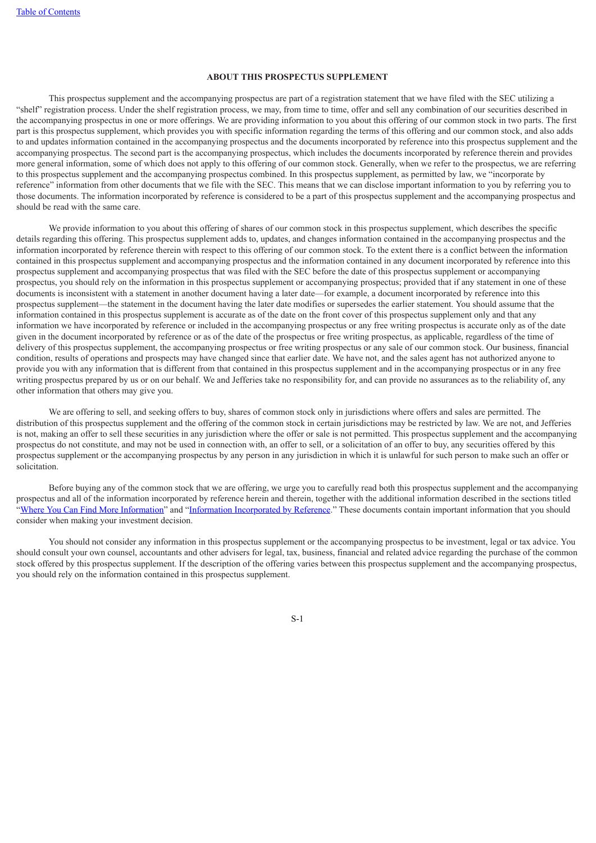### **ABOUT THIS PROSPECTUS SUPPLEMENT**

This prospectus supplement and the accompanying prospectus are part of a registration statement that we have filed with the SEC utilizing a "shelf" registration process. Under the shelf registration process, we may, from time to time, offer and sell any combination of our securities described in the accompanying prospectus in one or more offerings. We are providing information to you about this offering of our common stock in two parts. The first part is this prospectus supplement, which provides you with specific information regarding the terms of this offering and our common stock, and also adds to and updates information contained in the accompanying prospectus and the documents incorporated by reference into this prospectus supplement and the accompanying prospectus. The second part is the accompanying prospectus, which includes the documents incorporated by reference therein and provides more general information, some of which does not apply to this offering of our common stock. Generally, when we refer to the prospectus, we are referring to this prospectus supplement and the accompanying prospectus combined. In this prospectus supplement, as permitted by law, we "incorporate by reference" information from other documents that we file with the SEC. This means that we can disclose important information to you by referring you to those documents. The information incorporated by reference is considered to be a part of this prospectus supplement and the accompanying prospectus and should be read with the same care.

We provide information to you about this offering of shares of our common stock in this prospectus supplement, which describes the specific details regarding this offering. This prospectus supplement adds to, updates, and changes information contained in the accompanying prospectus and the information incorporated by reference therein with respect to this offering of our common stock. To the extent there is a conflict between the information contained in this prospectus supplement and accompanying prospectus and the information contained in any document incorporated by reference into this prospectus supplement and accompanying prospectus that was filed with the SEC before the date of this prospectus supplement or accompanying prospectus, you should rely on the information in this prospectus supplement or accompanying prospectus; provided that if any statement in one of these documents is inconsistent with a statement in another document having a later date—for example, a document incorporated by reference into this prospectus supplement—the statement in the document having the later date modifies or supersedes the earlier statement. You should assume that the information contained in this prospectus supplement is accurate as of the date on the front cover of this prospectus supplement only and that any information we have incorporated by reference or included in the accompanying prospectus or any free writing prospectus is accurate only as of the date given in the document incorporated by reference or as of the date of the prospectus or free writing prospectus, as applicable, regardless of the time of delivery of this prospectus supplement, the accompanying prospectus or free writing prospectus or any sale of our common stock. Our business, financial condition, results of operations and prospects may have changed since that earlier date. We have not, and the sales agent has not authorized anyone to provide you with any information that is different from that contained in this prospectus supplement and in the accompanying prospectus or in any free writing prospectus prepared by us or on our behalf. We and Jefferies take no responsibility for, and can provide no assurances as to the reliability of, any other information that others may give you.

We are offering to sell, and seeking offers to buy, shares of common stock only in jurisdictions where offers and sales are permitted. The distribution of this prospectus supplement and the offering of the common stock in certain jurisdictions may be restricted by law. We are not, and Jefferies is not, making an offer to sell these securities in any jurisdiction where the offer or sale is not permitted. This prospectus supplement and the accompanying prospectus do not constitute, and may not be used in connection with, an offer to sell, or a solicitation of an offer to buy, any securities offered by this prospectus supplement or the accompanying prospectus by any person in any jurisdiction in which it is unlawful for such person to make such an offer or solicitation.

Before buying any of the common stock that we are offering, we urge you to carefully read both this prospectus supplement and the accompanying prospectus and all of the information incorporated by reference herein and therein, together with the additional information described in the sections titled ["Where](#page-24-1) You Can Find [M](#page-24-1)ore [Information"](#page-24-1) and ["Information](#page-25-0) [Incorporated](#page-25-0) by [Reference](#page-25-0)." These documents contain important information that you should consider when making your investment decision.

<span id="page-2-0"></span>You should not consider any information in this prospectus supplement or the accompanying prospectus to be investment, legal or tax advice. You should consult your own counsel, accountants and other advisers for legal, tax, business, financial and related advice regarding the purchase of the common stock offered by this prospectus supplement. If the description of the offering varies between this prospectus supplement and the accompanying prospectus, you should rely on the information contained in this prospectus supplement.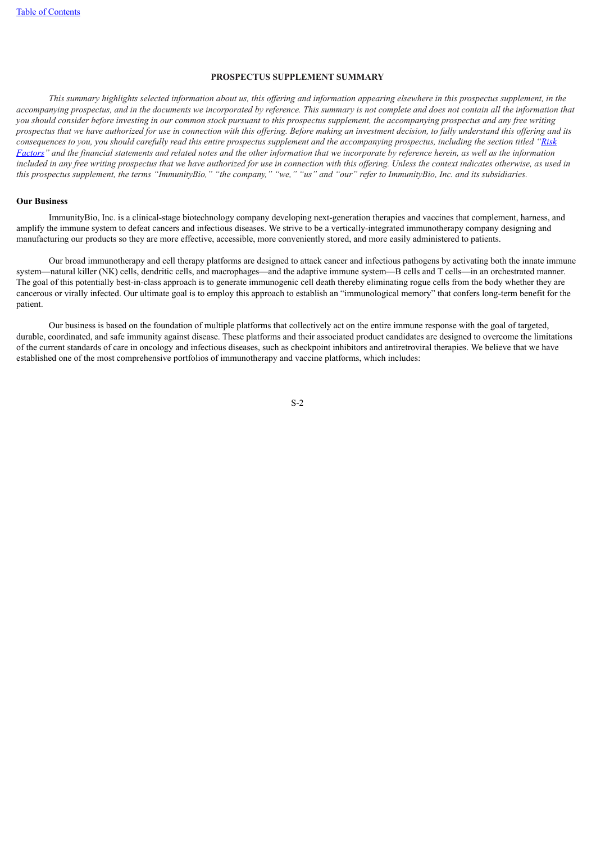### **PROSPECTUS SUPPLEMENT SUMMARY**

This summary highlights selected information about us, this offering and information appearing elsewhere in this prospectus supplement, in the accompanying prospectus, and in the documents we incorporated by reference. This summary is not complete and does not contain all the information that you should consider before investing in our common stock pursuant to this prospectus supplement, the accompanying prospectus and any free writing prospectus that we have authorized for use in connection with this offering. Before making an investment decision, to fully understand this offering and its consequences to you, you should carefully read this entire prospectus supplement and the [accompanying](#page-10-0) prospectus, including the section titled "Risk Factors" and the financial statements and related notes and the other information that we incorporate by reference herein, as well as the information included in any free writing prospectus that we have authorized for use in connection with this offering. Unless the context indicates otherwise, as used in this prospectus supplement, the terms "ImmunityBio," "the company," "we," "us" and "our" refer to ImmunityBio, Inc. and its subsidiaries.

### **Our Business**

ImmunityBio, Inc. is a clinical-stage biotechnology company developing next-generation therapies and vaccines that complement, harness, and amplify the immune system to defeat cancers and infectious diseases. We strive to be a vertically-integrated immunotherapy company designing and manufacturing our products so they are more effective, accessible, more conveniently stored, and more easily administered to patients.

Our broad immunotherapy and cell therapy platforms are designed to attack cancer and infectious pathogens by activating both the innate immune system—natural killer (NK) cells, dendritic cells, and macrophages—and the adaptive immune system—B cells and T cells—in an orchestrated manner. The goal of this potentially best-in-class approach is to generate immunogenic cell death thereby eliminating rogue cells from the body whether they are cancerous or virally infected. Our ultimate goal is to employ this approach to establish an "immunological memory" that confers long-term benefit for the patient.

Our business is based on the foundation of multiple platforms that collectively act on the entire immune response with the goal of targeted, durable, coordinated, and safe immunity against disease. These platforms and their associated product candidates are designed to overcome the limitations of the current standards of care in oncology and infectious diseases, such as checkpoint inhibitors and antiretroviral therapies. We believe that we have established one of the most comprehensive portfolios of immunotherapy and vaccine platforms, which includes: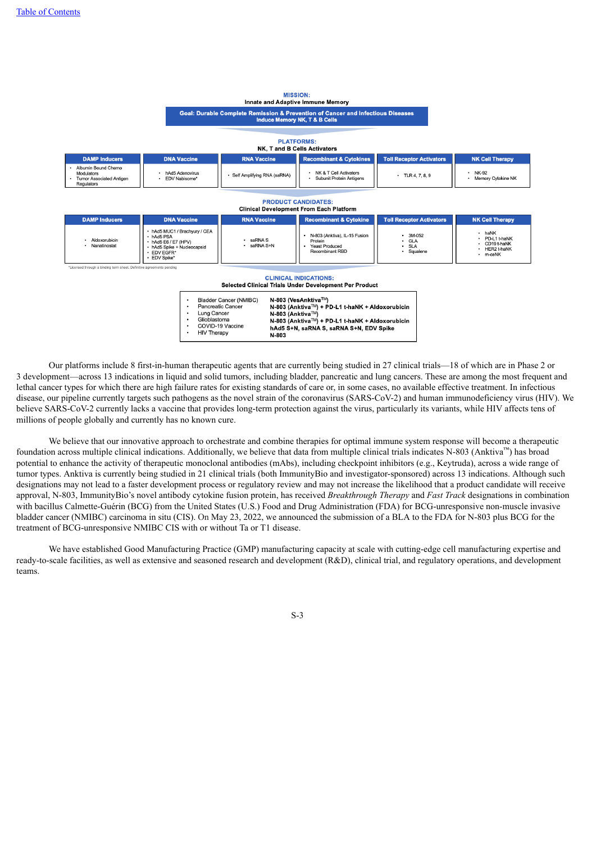| <b>MISSION:</b><br><b>Innate and Adaptive Immune Memory</b>                                                                                                                                                                                                                                                                                                                                       |                                                                                                                                            |                             |                                                                                             |                                                  |                                                                          |  |
|---------------------------------------------------------------------------------------------------------------------------------------------------------------------------------------------------------------------------------------------------------------------------------------------------------------------------------------------------------------------------------------------------|--------------------------------------------------------------------------------------------------------------------------------------------|-----------------------------|---------------------------------------------------------------------------------------------|--------------------------------------------------|--------------------------------------------------------------------------|--|
| Goal: Durable Complete Remission & Prevention of Cancer and Infectious Diseases<br><b>Induce Memory NK, T &amp; B Cells</b>                                                                                                                                                                                                                                                                       |                                                                                                                                            |                             |                                                                                             |                                                  |                                                                          |  |
| <b>PLATFORMS:</b><br>NK, T and B Cells Activators                                                                                                                                                                                                                                                                                                                                                 |                                                                                                                                            |                             |                                                                                             |                                                  |                                                                          |  |
| <b>DAMP Inducers</b>                                                                                                                                                                                                                                                                                                                                                                              | <b>DNA Vaccine</b>                                                                                                                         | <b>RNA Vaccine</b>          | <b>Recombinant &amp; Cytokines</b>                                                          | <b>Toll Receptor Activators</b>                  | <b>NK Cell Therapy</b>                                                   |  |
| Albumin Bound Chemo<br>Modulators<br><b>Tumor Associated Antigen</b><br><b>Regulators</b>                                                                                                                                                                                                                                                                                                         | · hAd5 Adenovirus<br><b>EDV Nabisome*</b>                                                                                                  | Self Amplifying RNA (saRNA) | NK & T Cell Activators<br>$-TLR4.7.8.9$<br>Subunit Protein Antigens                         |                                                  | $NK-92$<br>• Memory Cytokine NK                                          |  |
| <b>PRODUCT CANDIDATES:</b><br><b>Clinical Development From Each Platform</b>                                                                                                                                                                                                                                                                                                                      |                                                                                                                                            |                             |                                                                                             |                                                  |                                                                          |  |
| <b>DAMP Inducers</b>                                                                                                                                                                                                                                                                                                                                                                              | <b>DNA Vaccine</b><br><b>RNA Vaccine</b><br><b>Toll Receptor Activators</b><br><b>NK Cell Therapy</b><br><b>Recombinant &amp; Cytokine</b> |                             |                                                                                             |                                                  |                                                                          |  |
| Aldoxorubicin<br>· Nanatinostat                                                                                                                                                                                                                                                                                                                                                                   | • hAd5 MUC1 / Brachyury / CEA<br>· hAd5 PSA<br>• hAd5 E6 / E7 (HPV)<br>• hAd5 Spike + Nucleocapsid<br><b>EDV EGFR*</b><br>EDV Spike*       | saRNA S<br>saRNA S+N        | N-803 (Anktiva), IL-15 Fusion<br>Protein<br><b>Yeast Produced</b><br><b>Recombinant RBD</b> | 3M-052<br><b>GLA</b><br><b>SLA</b><br>· Squalene | • haNK<br>PD-L1 t-haNK<br>CD19 t-haNK<br>· HER2 t-haNK<br>$\cdot$ m-ceNK |  |
| *Licensed through a binding term sheet. Definitive agreements pending                                                                                                                                                                                                                                                                                                                             |                                                                                                                                            |                             |                                                                                             |                                                  |                                                                          |  |
| <b>CLINICAL INDICATIONS:</b><br>Selected Clinical Trials Under Development Per Product                                                                                                                                                                                                                                                                                                            |                                                                                                                                            |                             |                                                                                             |                                                  |                                                                          |  |
| N-803 (VesAnktiva™)<br><b>Bladder Cancer (NMIBC)</b><br>$\bullet$<br>Pancreatic Cancer<br>N-803 (Anktiva™) + PD-L1 t-haNK + Aldoxorubicin<br>$\bullet$<br>Lung Cancer<br>N-803 (Anktiva™)<br>$\bullet$<br>Glioblastoma<br>N-803 (Anktiva™) + PD-L1 t-haNK + Aldoxorubicin<br>COVID-19 Vaccine<br>$\bullet$<br>hAd5 S+N, saRNA S, saRNA S+N, EDV Spike<br><b>HIV Therapy</b><br>$\bullet$<br>N-803 |                                                                                                                                            |                             |                                                                                             |                                                  |                                                                          |  |

Our platforms include 8 first-in-human therapeutic agents that are currently being studied in 27 clinical trials—18 of which are in Phase 2 or 3 development—across 13 indications in liquid and solid tumors, including bladder, pancreatic and lung cancers. These are among the most frequent and lethal cancer types for which there are high failure rates for existing standards of care or, in some cases, no available effective treatment. In infectious disease, our pipeline currently targets such pathogens as the novel strain of the coronavirus (SARS-CoV-2) and human immunodeficiency virus (HIV). We believe SARS-CoV-2 currently lacks a vaccine that provides long-term protection against the virus, particularly its variants, while HIV affects tens of millions of people globally and currently has no known cure.

We believe that our innovative approach to orchestrate and combine therapies for optimal immune system response will become a therapeutic foundation across multiple clinical indications. Additionally, we believe that data from multiple clinical trials indicates N-803 (Anktiva<sup>™</sup>) has broad potential to enhance the activity of therapeutic monoclonal antibodies (mAbs), including checkpoint inhibitors (e.g., Keytruda), across a wide range of tumor types. Anktiva is currently being studied in 21 clinical trials (both ImmunityBio and investigator-sponsored) across 13 indications. Although such designations may not lead to a faster development process or regulatory review and may not increase the likelihood that a product candidate will receive approval, N-803, ImmunityBio's novel antibody cytokine fusion protein, has received *Breakthrough Therapy* and *Fast Track* designations in combination with bacillus Calmette-Guérin (BCG) from the United States (U.S.) Food and Drug Administration (FDA) for BCG-unresponsive non-muscle invasive bladder cancer (NMIBC) carcinoma in situ (CIS). On May 23, 2022, we announced the submission of a BLA to the FDA for N-803 plus BCG for the treatment of BCG-unresponsive NMIBC CIS with or without Ta or T1 disease.

We have established Good Manufacturing Practice (GMP) manufacturing capacity at scale with cutting-edge cell manufacturing expertise and ready-to-scale facilities, as well as extensive and seasoned research and development (R&D), clinical trial, and regulatory operations, and development teams.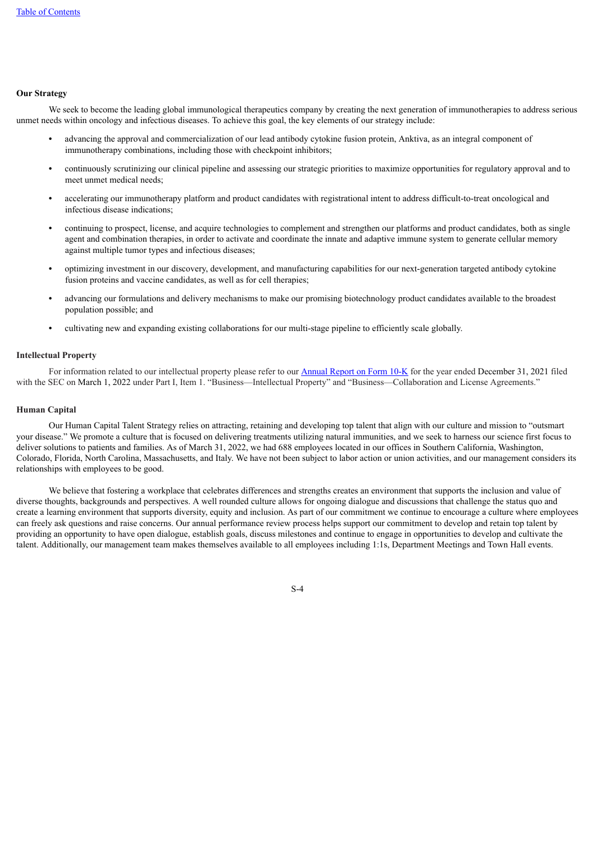# **Our Strategy**

We seek to become the leading global immunological therapeutics company by creating the next generation of immunotherapies to address serious unmet needs within oncology and infectious diseases. To achieve this goal, the key elements of our strategy include:

- **•** advancing the approval and commercialization of our lead antibody cytokine fusion protein, Anktiva, as an integral component of immunotherapy combinations, including those with checkpoint inhibitors;
- **•** continuously scrutinizing our clinical pipeline and assessing our strategic priorities to maximize opportunities for regulatory approval and to meet unmet medical needs;
- **•** accelerating our immunotherapy platform and product candidates with registrational intent to address difficult-to-treat oncological and infectious disease indications;
- **•** continuing to prospect, license, and acquire technologies to complement and strengthen our platforms and product candidates, both as single agent and combination therapies, in order to activate and coordinate the innate and adaptive immune system to generate cellular memory against multiple tumor types and infectious diseases;
- **•** optimizing investment in our discovery, development, and manufacturing capabilities for our next-generation targeted antibody cytokine fusion proteins and vaccine candidates, as well as for cell therapies;
- **•** advancing our formulations and delivery mechanisms to make our promising biotechnology product candidates available to the broadest population possible; and
- **•** cultivating new and expanding existing collaborations for our multi-stage pipeline to efficiently scale globally.

### **Intellectual Property**

For information related to our intellectual property please refer to our [Annual](https://www.sec.gov/Archives/edgar/data/1326110/000132611022000011/ibrx-20211231.htm) Report on For[m](https://www.sec.gov/Archives/edgar/data/1326110/000132611022000011/ibrx-20211231.htm) [10-K](https://www.sec.gov/Archives/edgar/data/1326110/000132611022000011/ibrx-20211231.htm) for the year ended December 31, 2021 filed with the SEC on March 1, 2022 under Part I, Item 1. "Business—Intellectual Property" and "Business—Collaboration and License Agreements."

# **Human Capital**

Our Human Capital Talent Strategy relies on attracting, retaining and developing top talent that align with our culture and mission to "outsmart your disease." We promote a culture that is focused on delivering treatments utilizing natural immunities, and we seek to harness our science first focus to deliver solutions to patients and families. As of March 31, 2022, we had 688 employees located in our offices in Southern California, Washington, Colorado, Florida, North Carolina, Massachusetts, and Italy. We have not been subject to labor action or union activities, and our management considers its relationships with employees to be good.

We believe that fostering a workplace that celebrates differences and strengths creates an environment that supports the inclusion and value of diverse thoughts, backgrounds and perspectives. A well rounded culture allows for ongoing dialogue and discussions that challenge the status quo and create a learning environment that supports diversity, equity and inclusion. As part of our commitment we continue to encourage a culture where employees can freely ask questions and raise concerns. Our annual performance review process helps support our commitment to develop and retain top talent by providing an opportunity to have open dialogue, establish goals, discuss milestones and continue to engage in opportunities to develop and cultivate the talent. Additionally, our management team makes themselves available to all employees including 1:1s, Department Meetings and Town Hall events.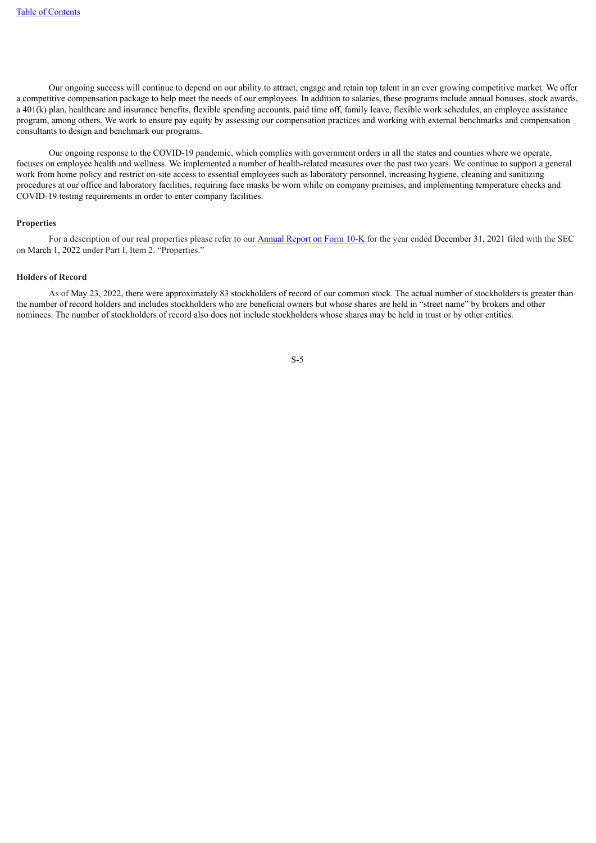Our ongoing success will continue to depend on our ability to attract, engage and retain top talent in an ever growing competitive market. We offer a competitive compensation package to help meet the needs of our employees. In addition to salaries, these programs include annual bonuses, stock awards, a 401(k) plan, healthcare and insurance benefits, flexible spending accounts, paid time off, family leave, flexible work schedules, an employee assistance program, among others. We work to ensure pay equity by assessing our compensation practices and working with external benchmarks and compensation consultants to design and benchmark our programs.

Our ongoing response to the COVID-19 pandemic, which complies with government orders in all the states and counties where we operate, focuses on employee health and wellness. We implemented a number of health-related measures over the past two years. We continue to support a general work from home policy and restrict on-site access to essential employees such as laboratory personnel, increasing hygiene, cleaning and sanitizing procedures at our office and laboratory facilities, requiring face masks be worn while on company premises, and implementing temperature checks and COVID-19 testing requirements in order to enter company facilities.

### **Properties**

For a description of our real properties please refer to our **[Annual](https://www.sec.gov/Archives/edgar/data/1326110/000132611022000011/ibrx-20211231.htm) Report on Form 10-K** for the year ended December 31, 2021 filed with the SEC on March 1, 2022 under Part I, Item 2. "Properties."

### **Holders of Record**

As of May 23, 2022, there were approximately 83 stockholders of record of our common stock. The actual number of stockholders is greater than the number of record holders and includes stockholders who are beneficial owners but whose shares are held in "street name" by brokers and other nominees. The number of stockholders of record also does not include stockholders whose shares may be held in trust or by other entities.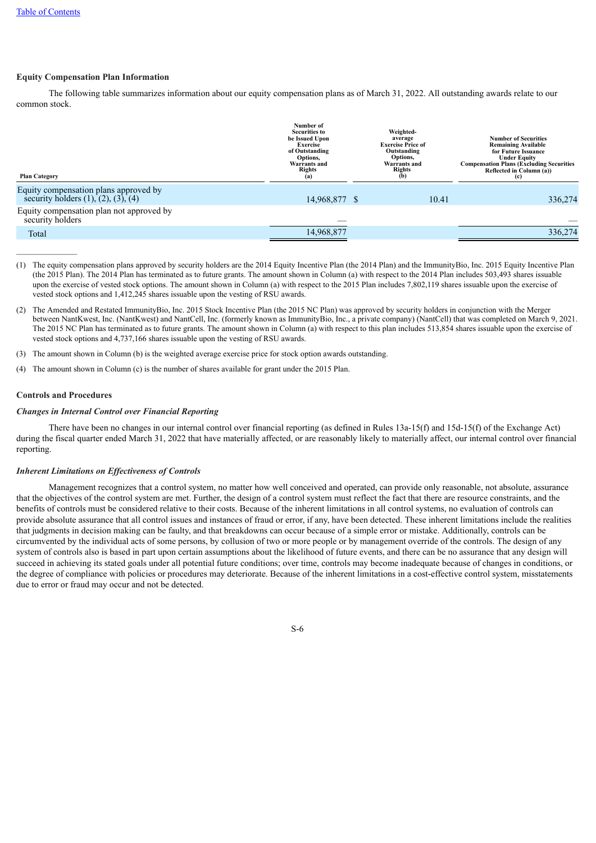# **Equity Compensation Plan Information**

The following table summarizes information about our equity compensation plans as of March 31, 2022. All outstanding awards relate to our common stock.

| <b>Plan Category</b>                                                                    | Number of<br><b>Securities to</b><br>be Issued Upon<br><b>Exercise</b><br>of Outstanding<br>Options,<br><b>Warrants</b> and<br><b>Rights</b><br>(a) | Weighted-<br>average<br><b>Exercise Price of</b><br>Outstanding<br>Options,<br>Warrants and<br><b>Rights</b><br>(b) |       | <b>Number of Securities</b><br><b>Remaining Available</b><br>for Future Issuance<br><b>Under Equity</b><br><b>Compensation Plans (Excluding Securities</b><br>Reflected in Column (a))<br>(c) |
|-----------------------------------------------------------------------------------------|-----------------------------------------------------------------------------------------------------------------------------------------------------|---------------------------------------------------------------------------------------------------------------------|-------|-----------------------------------------------------------------------------------------------------------------------------------------------------------------------------------------------|
| Equity compensation plans approved by<br>security holders $(1)$ , $(2)$ , $(3)$ , $(4)$ | 14,968,877 \$                                                                                                                                       |                                                                                                                     | 10.41 | 336,274                                                                                                                                                                                       |
| Equity compensation plan not approved by<br>security holders                            |                                                                                                                                                     |                                                                                                                     |       |                                                                                                                                                                                               |
| Total                                                                                   | 14,968,877                                                                                                                                          |                                                                                                                     |       | 336,274                                                                                                                                                                                       |

- (1) The equity compensation plans approved by security holders are the 2014 Equity Incentive Plan (the 2014 Plan) and the ImmunityBio, Inc. 2015 Equity Incentive Plan (the 2015 Plan). The 2014 Plan has terminated as to future grants. The amount shown in Column (a) with respect to the 2014 Plan includes 503,493 shares issuable upon the exercise of vested stock options. The amount shown in Column (a) with respect to the 2015 Plan includes 7,802,119 shares issuable upon the exercise of vested stock options and 1,412,245 shares issuable upon the vesting of RSU awards.
- (2) The Amended and Restated ImmunityBio, Inc. 2015 Stock Incentive Plan (the 2015 NC Plan) was approved by security holders in conjunction with the Merger between NantKwest, Inc. (NantKwest) and NantCell, Inc. (formerly known as ImmunityBio, Inc., a private company) (NantCell) that was completed on March 9, 2021. The 2015 NC Plan has terminated as to future grants. The amount shown in Column (a) with respect to this plan includes 513,854 shares issuable upon the exercise of vested stock options and 4,737,166 shares issuable upon the vesting of RSU awards.
- (3) The amount shown in Column (b) is the weighted average exercise price for stock option awards outstanding.
- (4) The amount shown in Column (c) is the number of shares available for grant under the 2015 Plan.

### **Controls and Procedures**

# *Changes in Internal Control over Financial Reporting*

There have been no changes in our internal control over financial reporting (as defined in Rules 13a-15(f) and 15d-15(f) of the Exchange Act) during the fiscal quarter ended March 31, 2022 that have materially affected, or are reasonably likely to materially affect, our internal control over financial reporting.

### *Inherent Limitations on Ef ectiveness of Controls*

Management recognizes that a control system, no matter how well conceived and operated, can provide only reasonable, not absolute, assurance that the objectives of the control system are met. Further, the design of a control system must reflect the fact that there are resource constraints, and the benefits of controls must be considered relative to their costs. Because of the inherent limitations in all control systems, no evaluation of controls can provide absolute assurance that all control issues and instances of fraud or error, if any, have been detected. These inherent limitations include the realities that judgments in decision making can be faulty, and that breakdowns can occur because of a simple error or mistake. Additionally, controls can be circumvented by the individual acts of some persons, by collusion of two or more people or by management override of the controls. The design of any system of controls also is based in part upon certain assumptions about the likelihood of future events, and there can be no assurance that any design will succeed in achieving its stated goals under all potential future conditions; over time, controls may become inadequate because of changes in conditions, or the degree of compliance with policies or procedures may deteriorate. Because of the inherent limitations in a cost-effective control system, misstatements due to error or fraud may occur and not be detected.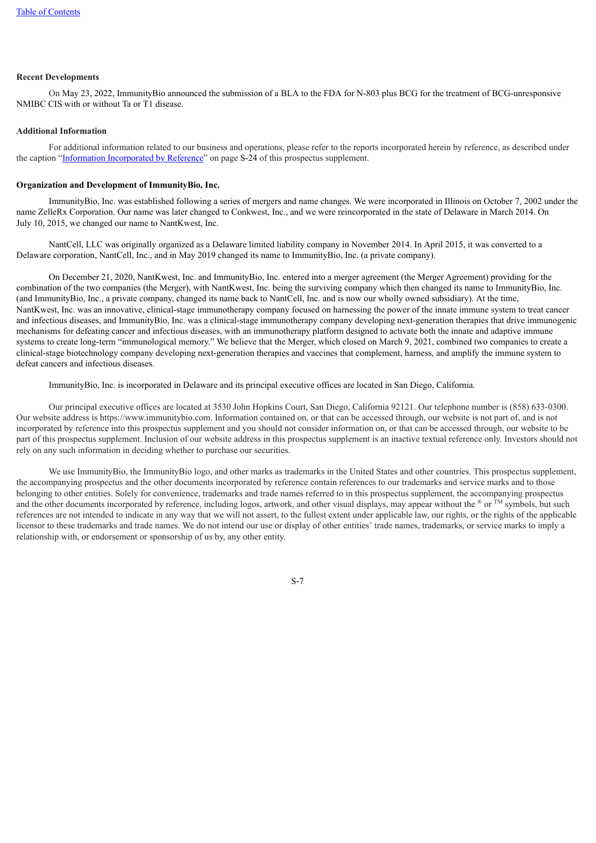### **Recent Developments**

On May 23, 2022, ImmunityBio announced the submission of a BLA to the FDA for N-803 plus BCG for the treatment of BCG-unresponsive NMIBC CIS with or without Ta or T1 disease.

### **Additional Information**

For additional information related to our business and operations, please refer to the reports incorporated herein by reference, as described under the caption ["Information](#page-25-0) [Incorporated](#page-25-0) by [Reference](#page-25-0)" on page S[-24](#page-25-0) of this prospectus supplement.

### **Organization and Development of ImmunityBio, Inc.**

ImmunityBio, Inc. was established following a series of mergers and name changes. We were incorporated in Illinois on October 7, 2002 under the name ZelleRx Corporation. Our name was later changed to Conkwest, Inc., and we were reincorporated in the state of Delaware in March 2014. On July 10, 2015, we changed our name to NantKwest, Inc.

NantCell, LLC was originally organized as a Delaware limited liability company in November 2014. In April 2015, it was converted to a Delaware corporation, NantCell, Inc., and in May 2019 changed its name to ImmunityBio, Inc. (a private company).

On December 21, 2020, NantKwest, Inc. and ImmunityBio, Inc. entered into a merger agreement (the Merger Agreement) providing for the combination of the two companies (the Merger), with NantKwest, Inc. being the surviving company which then changed its name to ImmunityBio, Inc. (and ImmunityBio, Inc., a private company, changed its name back to NantCell, Inc. and is now our wholly owned subsidiary). At the time, NantKwest, Inc. was an innovative, clinical-stage immunotherapy company focused on harnessing the power of the innate immune system to treat cancer and infectious diseases, and ImmunityBio, Inc. was a clinical-stage immunotherapy company developing next-generation therapies that drive immunogenic mechanisms for defeating cancer and infectious diseases, with an immunotherapy platform designed to activate both the innate and adaptive immune systems to create long-term "immunological memory." We believe that the Merger, which closed on March 9, 2021, combined two companies to create a clinical-stage biotechnology company developing next-generation therapies and vaccines that complement, harness, and amplify the immune system to defeat cancers and infectious diseases.

ImmunityBio, Inc. is incorporated in Delaware and its principal executive offices are located in San Diego, California.

Our principal executive offices are located at 3530 John Hopkins Court, San Diego, California 92121. Our telephone number is (858) 633-0300. Our website address is https://www.immunitybio.com. Information contained on, or that can be accessed through, our website is not part of, and is not incorporated by reference into this prospectus supplement and you should not consider information on, or that can be accessed through, our website to be part of this prospectus supplement. Inclusion of our website address in this prospectus supplement is an inactive textual reference only. Investors should not rely on any such information in deciding whether to purchase our securities.

<span id="page-8-0"></span>We use ImmunityBio, the ImmunityBio logo, and other marks as trademarks in the United States and other countries. This prospectus supplement, the accompanying prospectus and the other documents incorporated by reference contain references to our trademarks and service marks and to those belonging to other entities. Solely for convenience, trademarks and trade names referred to in this prospectus supplement, the accompanying prospectus and the other documents incorporated by reference, including logos, artwork, and other visual displays, may appear without the  $\mathscr{C}$  or  $\mathbb{M}$  symbols, but such references are not intended to indicate in any way that we will not assert, to the fullest extent under applicable law, our rights, or the rights of the applicable licensor to these trademarks and trade names. We do not intend our use or display of other entities' trade names, trademarks, or service marks to imply a relationship with, or endorsement or sponsorship of us by, any other entity.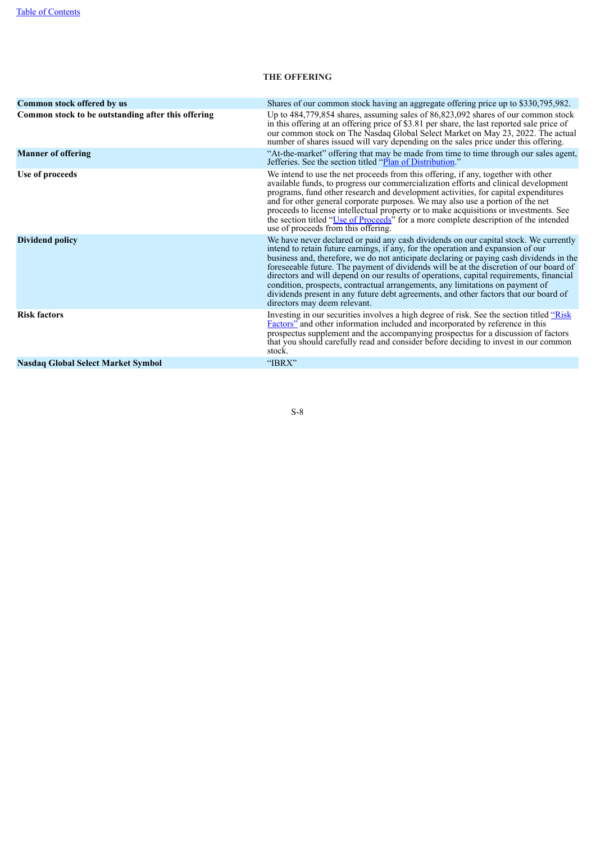# **THE OFFERING**

| Common stock offered by us                         | Shares of our common stock having an aggregate offering price up to \$330,795,982.                                                                                                                                                                                                                                                                                                                                                                                                                                                                                                                                                                                |
|----------------------------------------------------|-------------------------------------------------------------------------------------------------------------------------------------------------------------------------------------------------------------------------------------------------------------------------------------------------------------------------------------------------------------------------------------------------------------------------------------------------------------------------------------------------------------------------------------------------------------------------------------------------------------------------------------------------------------------|
| Common stock to be outstanding after this offering | Up to $484,779,854$ shares, assuming sales of $86,823,092$ shares of our common stock<br>in this offering at an offering price of \$3.81 per share, the last reported sale price of<br>our common stock on The Nasdaq Global Select Market on May 23, 2022. The actual<br>number of shares issued will vary depending on the sales price under this offering.                                                                                                                                                                                                                                                                                                     |
| <b>Manner of offering</b>                          | "At-the-market" offering that may be made from time to time through our sales agent,<br>Jefferies. See the section titled "Plan of Distribution."                                                                                                                                                                                                                                                                                                                                                                                                                                                                                                                 |
| Use of proceeds                                    | We intend to use the net proceeds from this offering, if any, together with other<br>available funds, to progress our commercialization efforts and clinical development<br>programs, fund other research and development activities, for capital expenditures<br>and for other general corporate purposes. We may also use a portion of the net<br>proceeds to license intellectual property or to make acquisitions or investments. See<br>the section titled "Use of Proceeds" for a more complete description of the intended<br>use of proceeds from this offering.                                                                                          |
| Dividend policy                                    | We have never declared or paid any cash dividends on our capital stock. We currently<br>intend to retain future earnings, if any, for the operation and expansion of our<br>business and, therefore, we do not anticipate declaring or paying cash dividends in the<br>foreseeable future. The payment of dividends will be at the discretion of our board of<br>directors and will depend on our results of operations, capital requirements, financial<br>condition, prospects, contractual arrangements, any limitations on payment of<br>dividends present in any future debt agreements, and other factors that our board of<br>directors may deem relevant. |
| <b>Risk factors</b>                                | Investing in our securities involves a high degree of risk. See the section titled "Risk<br><b>Factors</b> " and other information included and incorporated by reference in this<br>prospectus supplement and the accompanying prospectus for a discussion of factors<br>that you should carefully read and consider before deciding to invest in our common<br>stock.                                                                                                                                                                                                                                                                                           |
| <b>Nasdaq Global Select Market Symbol</b>          | "IBRX"                                                                                                                                                                                                                                                                                                                                                                                                                                                                                                                                                                                                                                                            |
|                                                    |                                                                                                                                                                                                                                                                                                                                                                                                                                                                                                                                                                                                                                                                   |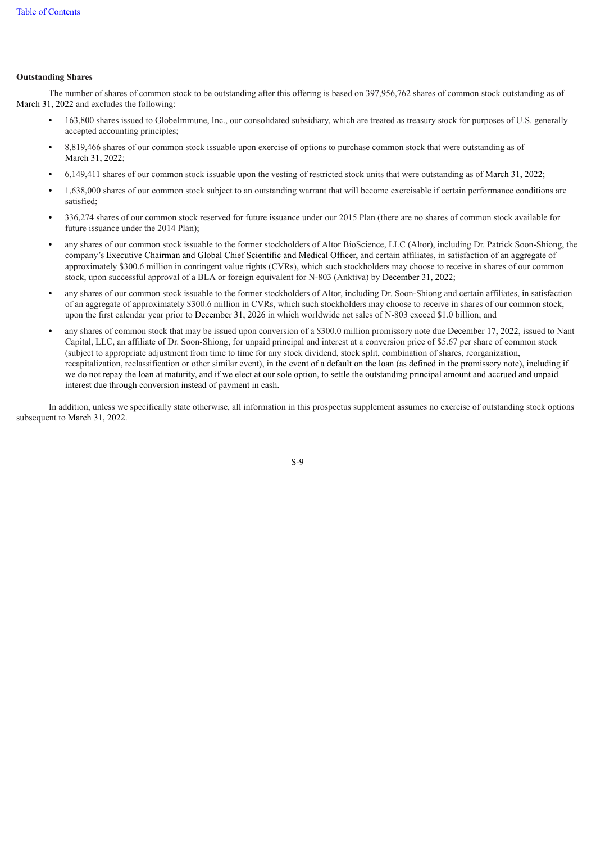# **Outstanding Shares**

The number of shares of common stock to be outstanding after this offering is based on 397,956,762 shares of common stock outstanding as of March 31, 2022 and excludes the following:

- **•** 163,800 shares issued to GlobeImmune, Inc., our consolidated subsidiary, which are treated as treasury stock for purposes of U.S. generally accepted accounting principles;
- **•** 8,819,466 shares of our common stock issuable upon exercise of options to purchase common stock that were outstanding as of March 31, 2022;
- **•** 6,149,411 shares of our common stock issuable upon the vesting of restricted stock units that were outstanding as of March 31, 2022;
- **•** 1,638,000 shares of our common stock subject to an outstanding warrant that will become exercisable if certain performance conditions are satisfied;
- **•** 336,274 shares of our common stock reserved for future issuance under our 2015 Plan (there are no shares of common stock available for future issuance under the 2014 Plan);
- **•** any shares of our common stock issuable to the former stockholders of Altor BioScience, LLC (Altor), including Dr. Patrick Soon-Shiong, the company's Executive Chairman and Global Chief Scientific and Medical Officer, and certain affiliates, in satisfaction of an aggregate of approximately \$300.6 million in contingent value rights (CVRs), which such stockholders may choose to receive in shares of our common stock, upon successful approval of a BLA or foreign equivalent for N-803 (Anktiva) by December 31, 2022;
- **•** any shares of our common stock issuable to the former stockholders of Altor, including Dr. Soon-Shiong and certain affiliates, in satisfaction of an aggregate of approximately \$300.6 million in CVRs, which such stockholders may choose to receive in shares of our common stock, upon the first calendar year prior to December 31, 2026 in which worldwide net sales of N-803 exceed \$1.0 billion; and
- **•** any shares of common stock that may be issued upon conversion of a \$300.0 million promissory note due December 17, 2022, issued to Nant Capital, LLC, an affiliate of Dr. Soon-Shiong, for unpaid principal and interest at a conversion price of \$5.67 per share of common stock (subject to appropriate adjustment from time to time for any stock dividend, stock split, combination of shares, reorganization, recapitalization, reclassification or other similar event), in the event of a default on the loan (as defined in the promissory note), including if we do not repay the loan at maturity, and if we elect at our sole option, to settle the outstanding principal amount and accrued and unpaid interest due through conversion instead of payment in cash.

<span id="page-10-0"></span>In addition, unless we specifically state otherwise, all information in this prospectus supplement assumes no exercise of outstanding stock options subsequent to March 31, 2022.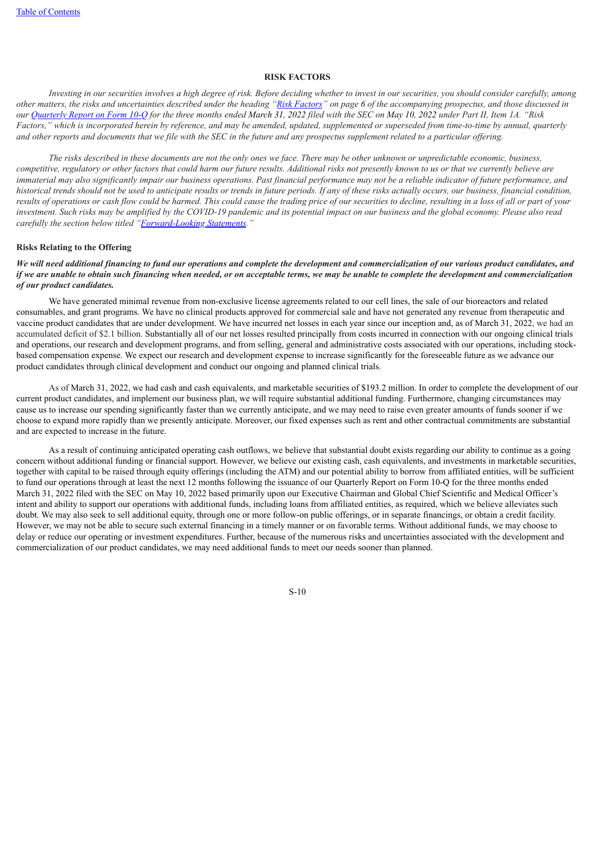### **RISK FACTORS**

Investing in our securities involves a high degree of risk. Before deciding whether to invest in our securities, you should consider carefully, among other matters, the risks and uncertainties described under the heading "Risk [Factors](#page-33-0)" on page [6](#page-33-0) of the accompanying prospectus, and those discussed in our [Quarterly](https://www.sec.gov/Archives/edgar/data/1326110/000132611022000027/ibrx-20220331.htm) [Report](https://www.sec.gov/Archives/edgar/data/1326110/000132611022000027/ibrx-20220331.htm) on Form 10-O for the three months ended March 31, 2022 filed with the SEC on May 10, 2022 under Part II, Item 1A. "Risk Factors," which is incorporated herein by reference, and may be amended, updated, supplemented or superseded from time-to-time by annual, quarterly and other reports and documents that we file with the SEC in the future and any prospectus supplement related to a particular offering.

The risks described in these documents are not the only ones we face. There may be other unknown or unpredictable economic, business, competitive, regulatory or other factors that could harm our future results. Additional risks not presently known to us or that we currently believe are immaterial may also significantly impair our business operations. Past financial performance may not be a reliable indicator of future performance, and historical trends should not be used to anticipate results or trends in future periods. If any of these risks actually occurs, our business, financial condition, results of operations or cash flow could be harmed. This could cause the trading price of our securities to decline, resulting in a loss of all or part of your investment. Such risks may be amplified by the COVID-19 pandemic and its potential impact on our business and the global economy. Please also read *carefully the section below titled "[Forward-L](#page-15-0)ooking [Statements](#page-15-0)."*

### **Risks Relating to the Offering**

We will need additional financing to fund our operations and complete the development and commercialization of our various product candidates, and if we are unable to obtain such financing when needed, or on acceptable terms, we may be unable to complete the development and commercialization *of our product candidates.*

We have generated minimal revenue from non-exclusive license agreements related to our cell lines, the sale of our bioreactors and related consumables, and grant programs. We have no clinical products approved for commercial sale and have not generated any revenue from therapeutic and vaccine product candidates that are under development. We have incurred net losses in each year since our inception and, as of March 31, 2022, we had an accumulated deficit of \$2.1 billion. Substantially all of our net losses resulted principally from costs incurred in connection with our ongoing clinical trials and operations, our research and development programs, and from selling, general and administrative costs associated with our operations, including stockbased compensation expense. We expect our research and development expense to increase significantly for the foreseeable future as we advance our product candidates through clinical development and conduct our ongoing and planned clinical trials.

As of March 31, 2022, we had cash and cash equivalents, and marketable securities of \$193.2 million. In order to complete the development of our current product candidates, and implement our business plan, we will require substantial additional funding. Furthermore, changing circumstances may cause us to increase our spending significantly faster than we currently anticipate, and we may need to raise even greater amounts of funds sooner if we choose to expand more rapidly than we presently anticipate. Moreover, our fixed expenses such as rent and other contractual commitments are substantial and are expected to increase in the future.

As a result of continuing anticipated operating cash outflows, we believe that substantial doubt exists regarding our ability to continue as a going concern without additional funding or financial support. However, we believe our existing cash, cash equivalents, and investments in marketable securities, together with capital to be raised through equity offerings (including the ATM) and our potential ability to borrow from affiliated entities, will be sufficient to fund our operations through at least the next 12 months following the issuance of our Quarterly Report on Form 10-Q for the three months ended March 31, 2022 filed with the SEC on May 10, 2022 based primarily upon our Executive Chairman and Global Chief Scientific and Medical Officer's intent and ability to support our operations with additional funds, including loans from affiliated entities, as required, which we believe alleviates such doubt. We may also seek to sell additional equity, through one or more follow-on public offerings, or in separate financings, or obtain a credit facility. However, we may not be able to secure such external financing in a timely manner or on favorable terms. Without additional funds, we may choose to delay or reduce our operating or investment expenditures. Further, because of the numerous risks and uncertainties associated with the development and commercialization of our product candidates, we may need additional funds to meet our needs sooner than planned.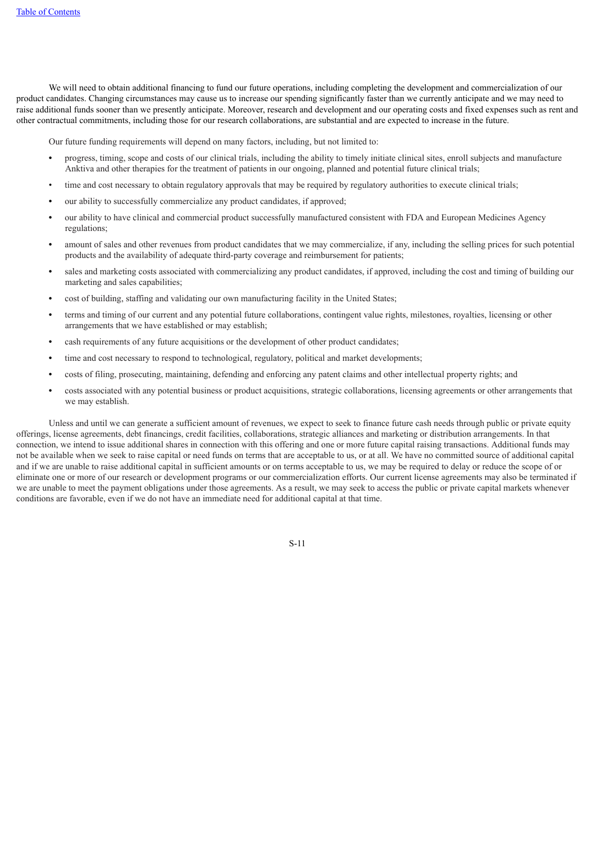We will need to obtain additional financing to fund our future operations, including completing the development and commercialization of our product candidates. Changing circumstances may cause us to increase our spending significantly faster than we currently anticipate and we may need to raise additional funds sooner than we presently anticipate. Moreover, research and development and our operating costs and fixed expenses such as rent and other contractual commitments, including those for our research collaborations, are substantial and are expected to increase in the future.

Our future funding requirements will depend on many factors, including, but not limited to:

- **•** progress, timing, scope and costs of our clinical trials, including the ability to timely initiate clinical sites, enroll subjects and manufacture Anktiva and other therapies for the treatment of patients in our ongoing, planned and potential future clinical trials;
- time and cost necessary to obtain regulatory approvals that may be required by regulatory authorities to execute clinical trials;
- **•** our ability to successfully commercialize any product candidates, if approved;
- **•** our ability to have clinical and commercial product successfully manufactured consistent with FDA and European Medicines Agency regulations;
- **•** amount of sales and other revenues from product candidates that we may commercialize, if any, including the selling prices for such potential products and the availability of adequate third-party coverage and reimbursement for patients;
- **•** sales and marketing costs associated with commercializing any product candidates, if approved, including the cost and timing of building our marketing and sales capabilities;
- **•** cost of building, staffing and validating our own manufacturing facility in the United States;
- **•** terms and timing of our current and any potential future collaborations, contingent value rights, milestones, royalties, licensing or other arrangements that we have established or may establish;
- **•** cash requirements of any future acquisitions or the development of other product candidates;
- **•** time and cost necessary to respond to technological, regulatory, political and market developments;
- **•** costs of filing, prosecuting, maintaining, defending and enforcing any patent claims and other intellectual property rights; and
- **•** costs associated with any potential business or product acquisitions, strategic collaborations, licensing agreements or other arrangements that we may establish.

Unless and until we can generate a sufficient amount of revenues, we expect to seek to finance future cash needs through public or private equity offerings, license agreements, debt financings, credit facilities, collaborations, strategic alliances and marketing or distribution arrangements. In that connection, we intend to issue additional shares in connection with this offering and one or more future capital raising transactions. Additional funds may not be available when we seek to raise capital or need funds on terms that are acceptable to us, or at all. We have no committed source of additional capital and if we are unable to raise additional capital in sufficient amounts or on terms acceptable to us, we may be required to delay or reduce the scope of or eliminate one or more of our research or development programs or our commercialization efforts. Our current license agreements may also be terminated if we are unable to meet the payment obligations under those agreements. As a result, we may seek to access the public or private capital markets whenever conditions are favorable, even if we do not have an immediate need for additional capital at that time.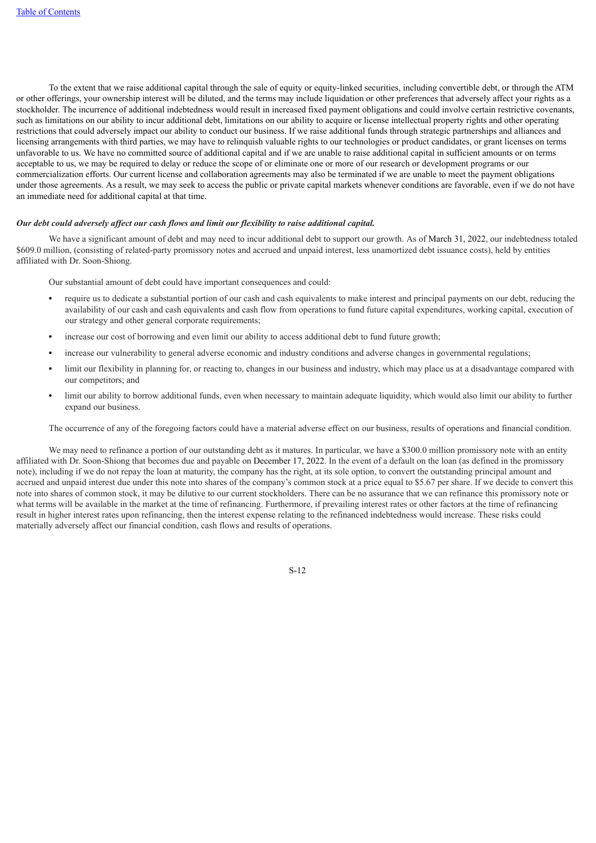To the extent that we raise additional capital through the sale of equity or equity-linked securities, including convertible debt, or through the ATM or other offerings, your ownership interest will be diluted, and the terms may include liquidation or other preferences that adversely affect your rights as a stockholder. The incurrence of additional indebtedness would result in increased fixed payment obligations and could involve certain restrictive covenants, such as limitations on our ability to incur additional debt, limitations on our ability to acquire or license intellectual property rights and other operating restrictions that could adversely impact our ability to conduct our business. If we raise additional funds through strategic partnerships and alliances and licensing arrangements with third parties, we may have to relinquish valuable rights to our technologies or product candidates, or grant licenses on terms unfavorable to us. We have no committed source of additional capital and if we are unable to raise additional capital in sufficient amounts or on terms acceptable to us, we may be required to delay or reduce the scope of or eliminate one or more of our research or development programs or our commercialization efforts. Our current license and collaboration agreements may also be terminated if we are unable to meet the payment obligations under those agreements. As a result, we may seek to access the public or private capital markets whenever conditions are favorable, even if we do not have an immediate need for additional capital at that time.

### *Our debt could adversely af ect our cash flows and limit our flexibility to raise additional capital.*

We have a significant amount of debt and may need to incur additional debt to support our growth. As of March 31, 2022, our indebtedness totaled \$609.0 million, (consisting of related-party promissory notes and accrued and unpaid interest, less unamortized debt issuance costs), held by entities affiliated with Dr. Soon-Shiong.

Our substantial amount of debt could have important consequences and could:

- **•** require us to dedicate a substantial portion of our cash and cash equivalents to make interest and principal payments on our debt, reducing the availability of our cash and cash equivalents and cash flow from operations to fund future capital expenditures, working capital, execution of our strategy and other general corporate requirements;
- **•** increase our cost of borrowing and even limit our ability to access additional debt to fund future growth;
- **•** increase our vulnerability to general adverse economic and industry conditions and adverse changes in governmental regulations;
- **•** limit our flexibility in planning for, or reacting to, changes in our business and industry, which may place us at a disadvantage compared with our competitors; and
- **•** limit our ability to borrow additional funds, even when necessary to maintain adequate liquidity, which would also limit our ability to further expand our business.

The occurrence of any of the foregoing factors could have a material adverse effect on our business, results of operations and financial condition.

We may need to refinance a portion of our outstanding debt as it matures. In particular, we have a \$300.0 million promissory note with an entity affiliated with Dr. Soon-Shiong that becomes due and payable on December 17, 2022. In the event of a default on the loan (as defined in the promissory note), including if we do not repay the loan at maturity, the company has the right, at its sole option, to convert the outstanding principal amount and accrued and unpaid interest due under this note into shares of the company's common stock at a price equal to \$5.67 per share. If we decide to convert this note into shares of common stock, it may be dilutive to our current stockholders. There can be no assurance that we can refinance this promissory note or what terms will be available in the market at the time of refinancing. Furthermore, if prevailing interest rates or other factors at the time of refinancing result in higher interest rates upon refinancing, then the interest expense relating to the refinanced indebtedness would increase. These risks could materially adversely affect our financial condition, cash flows and results of operations.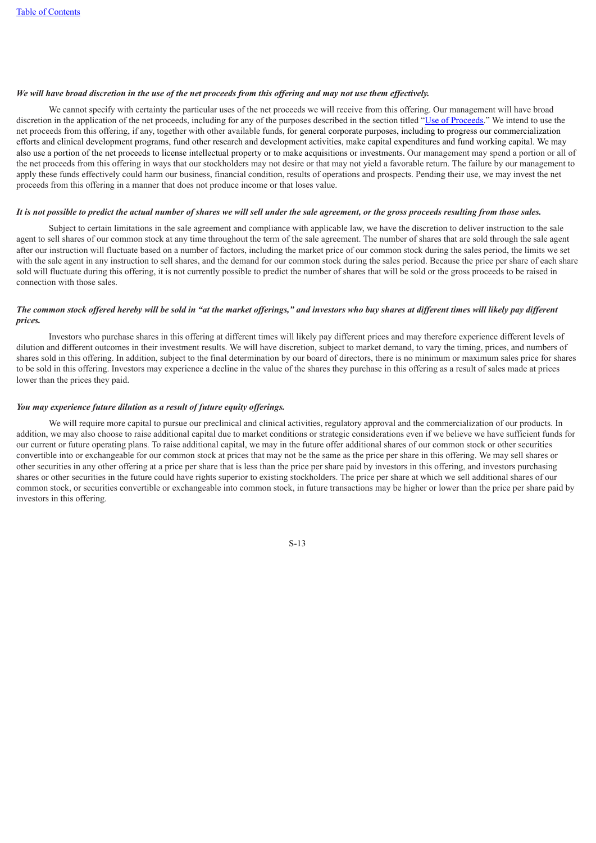# We will have broad discretion in the use of the net proceeds from this offering and may not use them effectively.

We cannot specify with certainty the particular uses of the net proceeds we will receive from this offering. Our management will have broad discretion in the application of the net proceeds, including for any of the purposes described in the section titled "Use of [Proceeds](#page-18-0)." We intend to use the net proceeds from this offering, if any, together with other available funds, for general corporate purposes, including to progress our commercialization efforts and clinical development programs, fund other research and development activities, make capital expenditures and fund working capital. We may also use a portion of the net proceeds to license intellectual property or to make acquisitions or investments. Our management may spend a portion or all of the net proceeds from this offering in ways that our stockholders may not desire or that may not yield a favorable return. The failure by our management to apply these funds effectively could harm our business, financial condition, results of operations and prospects. Pending their use, we may invest the net proceeds from this offering in a manner that does not produce income or that loses value.

### It is not possible to predict the actual number of shares we will sell under the sale agreement, or the gross proceeds resulting from those sales.

Subject to certain limitations in the sale agreement and compliance with applicable law, we have the discretion to deliver instruction to the sale agent to sell shares of our common stock at any time throughout the term of the sale agreement. The number of shares that are sold through the sale agent after our instruction will fluctuate based on a number of factors, including the market price of our common stock during the sales period, the limits we set with the sale agent in any instruction to sell shares, and the demand for our common stock during the sales period. Because the price per share of each share sold will fluctuate during this offering, it is not currently possible to predict the number of shares that will be sold or the gross proceeds to be raised in connection with those sales.

### The common stock offered hereby will be sold in "at the market offerings," and investors who buy shares at different times will likely pay different *prices.*

Investors who purchase shares in this offering at different times will likely pay different prices and may therefore experience different levels of dilution and different outcomes in their investment results. We will have discretion, subject to market demand, to vary the timing, prices, and numbers of shares sold in this offering. In addition, subject to the final determination by our board of directors, there is no minimum or maximum sales price for shares to be sold in this offering. Investors may experience a decline in the value of the shares they purchase in this offering as a result of sales made at prices lower than the prices they paid.

### *You may experience future dilution as a result of future equity of erings.*

We will require more capital to pursue our preclinical and clinical activities, regulatory approval and the commercialization of our products. In addition, we may also choose to raise additional capital due to market conditions or strategic considerations even if we believe we have sufficient funds for our current or future operating plans. To raise additional capital, we may in the future offer additional shares of our common stock or other securities convertible into or exchangeable for our common stock at prices that may not be the same as the price per share in this offering. We may sell shares or other securities in any other offering at a price per share that is less than the price per share paid by investors in this offering, and investors purchasing shares or other securities in the future could have rights superior to existing stockholders. The price per share at which we sell additional shares of our common stock, or securities convertible or exchangeable into common stock, in future transactions may be higher or lower than the price per share paid by investors in this offering.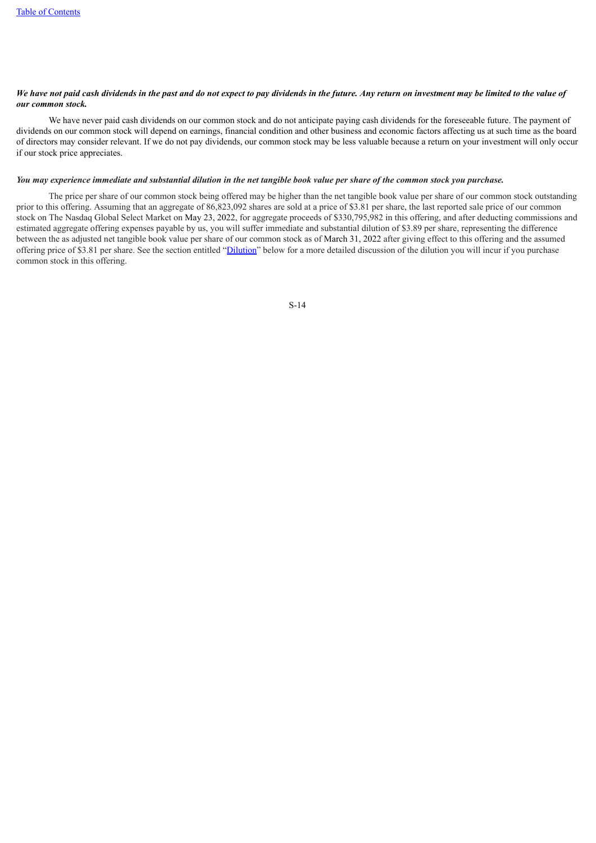# We have not paid cash dividends in the past and do not expect to pay dividends in the future. Any return on investment may be limited to the value of *our common stock.*

We have never paid cash dividends on our common stock and do not anticipate paying cash dividends for the foreseeable future. The payment of dividends on our common stock will depend on earnings, financial condition and other business and economic factors affecting us at such time as the board of directors may consider relevant. If we do not pay dividends, our common stock may be less valuable because a return on your investment will only occur if our stock price appreciates.

### You may experience immediate and substantial dilution in the net tangible book value per share of the common stock you purchase.

<span id="page-15-0"></span>The price per share of our common stock being offered may be higher than the net tangible book value per share of our common stock outstanding prior to this offering. Assuming that an aggregate of 86,823,092 shares are sold at a price of \$3.81 per share, the last reported sale price of our common stock on The Nasdaq Global Select Market on May 23, 2022, for aggregate proceeds of \$330,795,982 in this offering, and after deducting commissions and estimated aggregate offering expenses payable by us, you will suffer immediate and substantial dilution of \$3.89 per share, representing the difference between the as adjusted net tangible book value per share of our common stock as of March 31, 2022 after giving effect to this offering and the assumed offering price of \$3.81 per share. See the section entitled ["Dilution"](#page-19-0) below for a more detailed discussion of the dilution you will incur if you purchase common stock in this offering.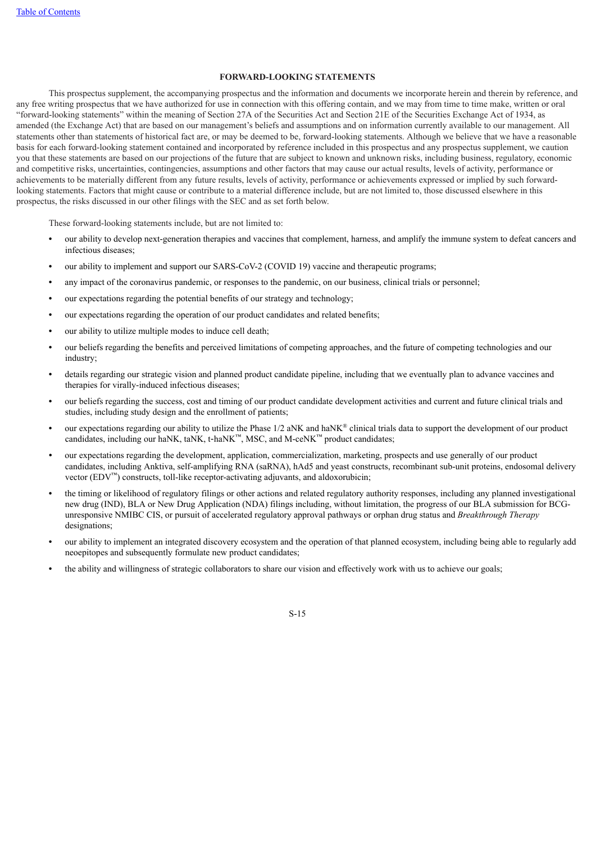# **FORWARD-LOOKING STATEMENTS**

This prospectus supplement, the accompanying prospectus and the information and documents we incorporate herein and therein by reference, and any free writing prospectus that we have authorized for use in connection with this offering contain, and we may from time to time make, written or oral "forward-looking statements" within the meaning of Section 27A of the Securities Act and Section 21E of the Securities Exchange Act of 1934, as amended (the Exchange Act) that are based on our management's beliefs and assumptions and on information currently available to our management. All statements other than statements of historical fact are, or may be deemed to be, forward-looking statements. Although we believe that we have a reasonable basis for each forward-looking statement contained and incorporated by reference included in this prospectus and any prospectus supplement, we caution you that these statements are based on our projections of the future that are subject to known and unknown risks, including business, regulatory, economic and competitive risks, uncertainties, contingencies, assumptions and other factors that may cause our actual results, levels of activity, performance or achievements to be materially different from any future results, levels of activity, performance or achievements expressed or implied by such forwardlooking statements. Factors that might cause or contribute to a material difference include, but are not limited to, those discussed elsewhere in this prospectus, the risks discussed in our other filings with the SEC and as set forth below.

These forward-looking statements include, but are not limited to:

- **•** our ability to develop next-generation therapies and vaccines that complement, harness, and amplify the immune system to defeat cancers and infectious diseases;
- our ability to implement and support our SARS-CoV-2 (COVID 19) vaccine and therapeutic programs;
- **•** any impact of the coronavirus pandemic, or responses to the pandemic, on our business, clinical trials or personnel;
- **•** our expectations regarding the potential benefits of our strategy and technology;
- **•** our expectations regarding the operation of our product candidates and related benefits;
- **•** our ability to utilize multiple modes to induce cell death;
- **•** our beliefs regarding the benefits and perceived limitations of competing approaches, and the future of competing technologies and our industry;
- **•** details regarding our strategic vision and planned product candidate pipeline, including that we eventually plan to advance vaccines and therapies for virally-induced infectious diseases;
- **•** our beliefs regarding the success, cost and timing of our product candidate development activities and current and future clinical trials and studies, including study design and the enrollment of patients;
- our expectations regarding our ability to utilize the Phase 1/2 aNK and haNK<sup>®</sup> clinical trials data to support the development of our product candidates, including our haNK, taNK, t-haNK<sup>™</sup>, MSC, and M-ceNK<sup>™</sup> product candidates;
- *•* our expectations regarding the development, application, commercialization, marketing, prospects and use generally of our product candidates, including Anktiva, self-amplifying RNA (saRNA), hAd5 and yeast constructs, recombinant sub-unit proteins, endosomal delivery vector  $(EDV<sup>TM</sup>)$  constructs, toll-like receptor-activating adjuvants, and aldoxorubicin;
- **•** the timing or likelihood of regulatory filings or other actions and related regulatory authority responses, including any planned investigational new drug (IND), BLA or New Drug Application (NDA) filings including, without limitation, the progress of our BLA submission for BCGunresponsive NMIBC CIS, or pursuit of accelerated regulatory approval pathways or orphan drug status and *Breakthrough Therapy* designations;
- **•** our ability to implement an integrated discovery ecosystem and the operation of that planned ecosystem, including being able to regularly add neoepitopes and subsequently formulate new product candidates;
- **•** the ability and willingness of strategic collaborators to share our vision and effectively work with us to achieve our goals;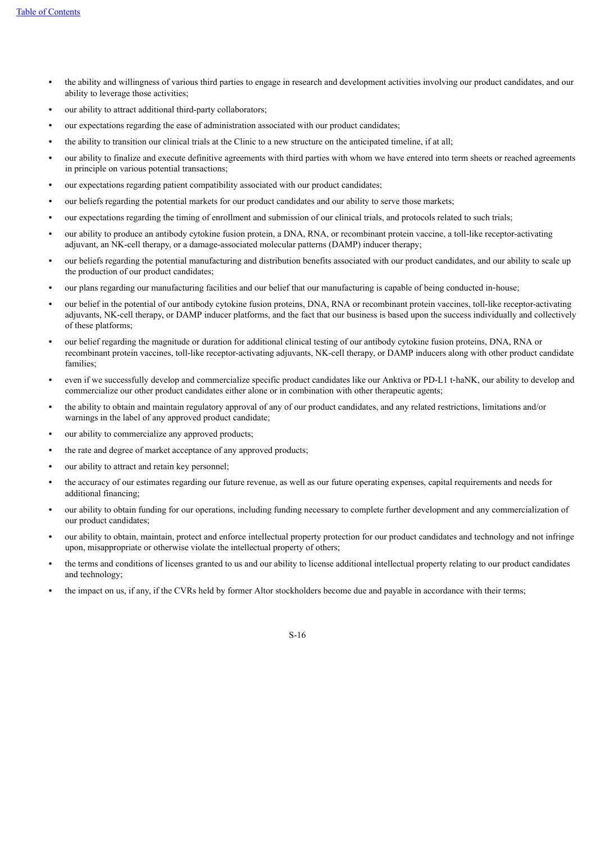- **•** the ability and willingness of various third parties to engage in research and development activities involving our product candidates, and our ability to leverage those activities;
- **•** our ability to attract additional third-party collaborators;
- **•** our expectations regarding the ease of administration associated with our product candidates;
- **•** the ability to transition our clinical trials at the Clinic to a new structure on the anticipated timeline, if at all;
- **•** our ability to finalize and execute definitive agreements with third parties with whom we have entered into term sheets or reached agreements in principle on various potential transactions;
- **•** our expectations regarding patient compatibility associated with our product candidates;
- **•** our beliefs regarding the potential markets for our product candidates and our ability to serve those markets;
- **•** our expectations regarding the timing of enrollment and submission of our clinical trials, and protocols related to such trials;
- **•** our ability to produce an antibody cytokine fusion protein, a DNA, RNA, or recombinant protein vaccine, a toll-like receptor-activating adjuvant, an NK-cell therapy, or a damage-associated molecular patterns (DAMP) inducer therapy;
- **•** our beliefs regarding the potential manufacturing and distribution benefits associated with our product candidates, and our ability to scale up the production of our product candidates;
- **•** our plans regarding our manufacturing facilities and our belief that our manufacturing is capable of being conducted in‑house;
- **•** our belief in the potential of our antibody cytokine fusion proteins, DNA, RNA or recombinant protein vaccines, toll-like receptor-activating adjuvants, NK-cell therapy, or DAMP inducer platforms, and the fact that our business is based upon the success individually and collectively of these platforms;
- **•** our belief regarding the magnitude or duration for additional clinical testing of our antibody cytokine fusion proteins, DNA, RNA or recombinant protein vaccines, toll-like receptor-activating adjuvants, NK-cell therapy, or DAMP inducers along with other product candidate families;
- even if we successfully develop and commercialize specific product candidates like our Anktiva or PD-L1 t-haNK, our ability to develop and commercialize our other product candidates either alone or in combination with other therapeutic agents;
- **•** the ability to obtain and maintain regulatory approval of any of our product candidates, and any related restrictions, limitations and/or warnings in the label of any approved product candidate;
- **•** our ability to commercialize any approved products;
- **•** the rate and degree of market acceptance of any approved products;
- **•** our ability to attract and retain key personnel;
- **•** the accuracy of our estimates regarding our future revenue, as well as our future operating expenses, capital requirements and needs for additional financing;
- **•** our ability to obtain funding for our operations, including funding necessary to complete further development and any commercialization of our product candidates;
- **•** our ability to obtain, maintain, protect and enforce intellectual property protection for our product candidates and technology and not infringe upon, misappropriate or otherwise violate the intellectual property of others;
- **•** the terms and conditions of licenses granted to us and our ability to license additional intellectual property relating to our product candidates and technology;
- **•** the impact on us, if any, if the CVRs held by former Altor stockholders become due and payable in accordance with their terms;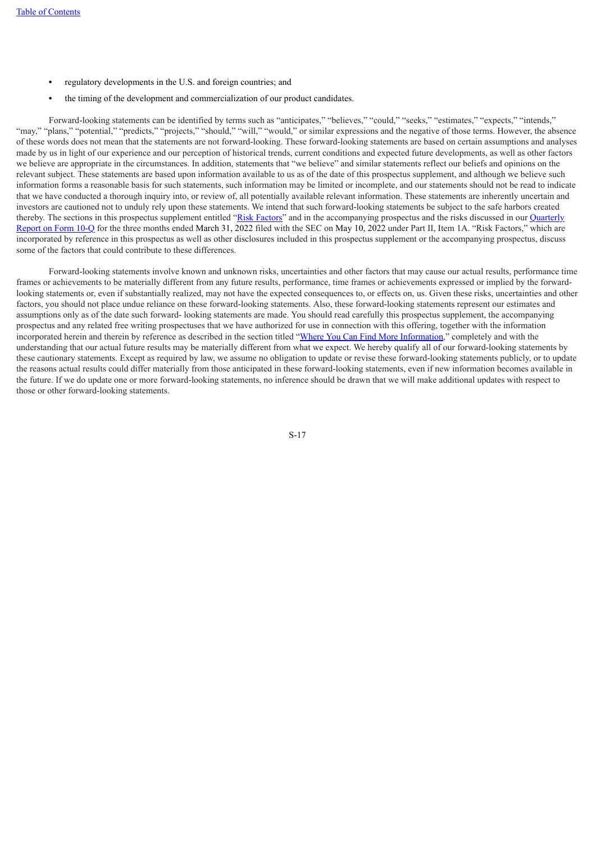- **•** regulatory developments in the U.S. and foreign countries; and
- **•** the timing of the development and commercialization of our product candidates.

Forward-looking statements can be identified by terms such as "anticipates," "believes," "could," "seeks," "estimates," "expects," "intends," "may," "plans," "potential," "predicts," "projects," "should," "will," "would," or similar expressions and the negative of those terms. However, the absence of these words does not mean that the statements are not forward-looking. These forward-looking statements are based on certain assumptions and analyses made by us in light of our experience and our perception of historical trends, current conditions and expected future developments, as well as other factors we believe are appropriate in the circumstances. In addition, statements that "we believe" and similar statements reflect our beliefs and opinions on the relevant subject. These statements are based upon information available to us as of the date of this prospectus supplement, and although we believe such information forms a reasonable basis for such statements, such information may be limited or incomplete, and our statements should not be read to indicate that we have conducted a thorough inquiry into, or review of, all potentially available relevant information. These statements are inherently uncertain and investors are cautioned not to unduly rely upon these statements. We intend that such forward-looking statements be subject to the safe harbors created thereby. The sections in this prospectus supplement entitled "Risk [Factors](#page-10-0)" and in the accompanying prospectus and the risks discussed in our [Quarterly](https://www.sec.gov/Archives/edgar/data/1326110/000132611022000027/ibrx-20220331.htm) [Report](https://www.sec.gov/Archives/edgar/data/1326110/000132611022000027/ibrx-20220331.htm) on Form 10[-Q](https://www.sec.gov/Archives/edgar/data/1326110/000132611022000027/ibrx-20220331.htm) for the three months ended March 31, 2022 filed with the SEC on May 10, 2022 under Part II, Item 1A. "Risk Factors," which are incorporated by reference in this prospectus as well as other disclosures included in this prospectus supplement or the accompanying prospectus, discuss some of the factors that could contribute to these differences.

<span id="page-18-0"></span>Forward-looking statements involve known and unknown risks, uncertainties and other factors that may cause our actual results, performance time frames or achievements to be materially different from any future results, performance, time frames or achievements expressed or implied by the forwardlooking statements or, even if substantially realized, may not have the expected consequences to, or effects on, us. Given these risks, uncertainties and other factors, you should not place undue reliance on these forward-looking statements. Also, these forward-looking statements represent our estimates and assumptions only as of the date such forward- looking statements are made. You should read carefully this prospectus supplement, the accompanying prospectus and any related free writing prospectuses that we have authorized for use in connection with this offering, together with the information incorporated herein and therein by reference as described in the section titled "Where You Can Find More [Information,](#page-24-1)" completely and with the understanding that our actual future results may be materially different from what we expect. We hereby qualify all of our forward-looking statements by these cautionary statements. Except as required by law, we assume no obligation to update or revise these forward-looking statements publicly, or to update the reasons actual results could differ materially from those anticipated in these forward-looking statements, even if new information becomes available in the future. If we do update one or more forward-looking statements, no inference should be drawn that we will make additional updates with respect to those or other forward-looking statements.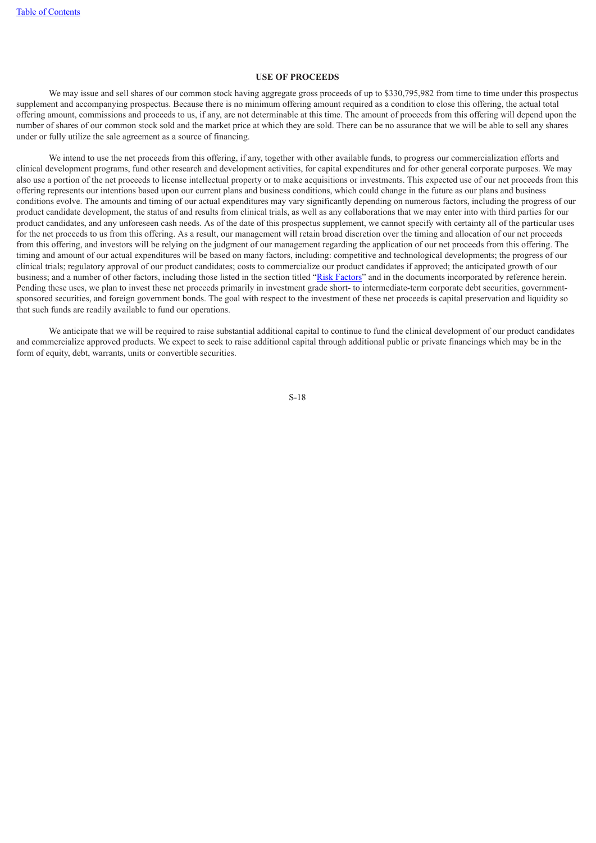# **USE OF PROCEEDS**

We may issue and sell shares of our common stock having aggregate gross proceeds of up to \$330,795,982 from time to time under this prospectus supplement and accompanying prospectus. Because there is no minimum offering amount required as a condition to close this offering, the actual total offering amount, commissions and proceeds to us, if any, are not determinable at this time. The amount of proceeds from this offering will depend upon the number of shares of our common stock sold and the market price at which they are sold. There can be no assurance that we will be able to sell any shares under or fully utilize the sale agreement as a source of financing.

We intend to use the net proceeds from this offering, if any, together with other available funds, to progress our commercialization efforts and clinical development programs, fund other research and development activities, for capital expenditures and for other general corporate purposes. We may also use a portion of the net proceeds to license intellectual property or to make acquisitions or investments. This expected use of our net proceeds from this offering represents our intentions based upon our current plans and business conditions, which could change in the future as our plans and business conditions evolve. The amounts and timing of our actual expenditures may vary significantly depending on numerous factors, including the progress of our product candidate development, the status of and results from clinical trials, as well as any collaborations that we may enter into with third parties for our product candidates, and any unforeseen cash needs. As of the date of this prospectus supplement, we cannot specify with certainty all of the particular uses for the net proceeds to us from this offering. As a result, our management will retain broad discretion over the timing and allocation of our net proceeds from this offering, and investors will be relying on the judgment of our management regarding the application of our net proceeds from this offering. The timing and amount of our actual expenditures will be based on many factors, including: competitive and technological developments; the progress of our clinical trials; regulatory approval of our product candidates; costs to commercialize our product candidates if approved; the anticipated growth of our business; and a number of other factors, including those listed in the section titled "Risk [Factors"](#page-10-0) and in the documents incorporated by reference herein. Pending these uses, we plan to invest these net proceeds primarily in investment grade short- to intermediate-term corporate debt securities, governmentsponsored securities, and foreign government bonds. The goal with respect to the investment of these net proceeds is capital preservation and liquidity so that such funds are readily available to fund our operations.

<span id="page-19-0"></span>We anticipate that we will be required to raise substantial additional capital to continue to fund the clinical development of our product candidates and commercialize approved products. We expect to seek to raise additional capital through additional public or private financings which may be in the form of equity, debt, warrants, units or convertible securities.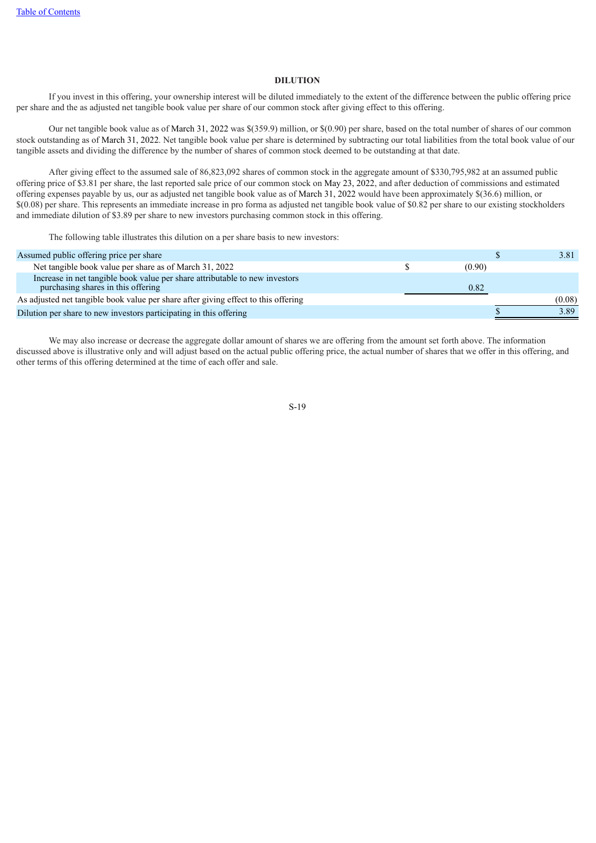### **DILUTION**

If you invest in this offering, your ownership interest will be diluted immediately to the extent of the difference between the public offering price per share and the as adjusted net tangible book value per share of our common stock after giving effect to this offering.

Our net tangible book value as of March 31, 2022 was \$(359.9) million, or \$(0.90) per share, based on the total number of shares of our common stock outstanding as of March 31, 2022. Net tangible book value per share is determined by subtracting our total liabilities from the total book value of our tangible assets and dividing the difference by the number of shares of common stock deemed to be outstanding at that date.

After giving effect to the assumed sale of 86,823,092 shares of common stock in the aggregate amount of \$330,795,982 at an assumed public offering price of \$3.81 per share, the last reported sale price of our common stock on May 23, 2022, and after deduction of commissions and estimated offering expenses payable by us, our as adjusted net tangible book value as of March 31, 2022 would have been approximately \$(36.6) million, or \$(0.08) per share. This represents an immediate increase in pro forma as adjusted net tangible book value of \$0.82 per share to our existing stockholders and immediate dilution of \$3.89 per share to new investors purchasing common stock in this offering.

The following table illustrates this dilution on a per share basis to new investors:

| Assumed public offering price per share                                                                           |        | 3.81   |
|-------------------------------------------------------------------------------------------------------------------|--------|--------|
| Net tangible book value per share as of March 31, 2022                                                            | (0.90) |        |
| Increase in net tangible book value per share attributable to new investors<br>purchasing shares in this offering | 0.82   |        |
| As adjusted net tangible book value per share after giving effect to this offering                                |        | (0.08) |
| Dilution per share to new investors participating in this offering                                                |        | 3.89   |

We may also increase or decrease the aggregate dollar amount of shares we are offering from the amount set forth above. The information discussed above is illustrative only and will adjust based on the actual public offering price, the actual number of shares that we offer in this offering, and other terms of this offering determined at the time of each offer and sale.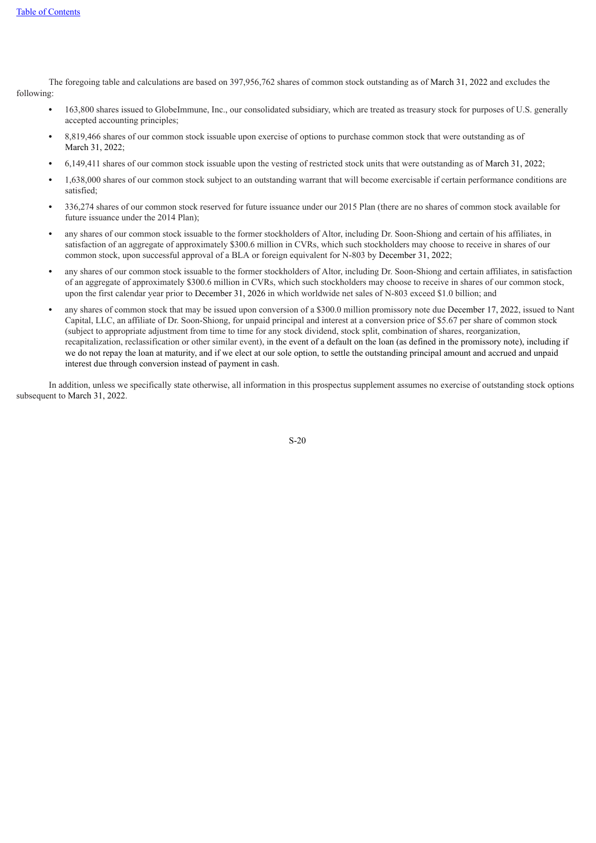The foregoing table and calculations are based on 397,956,762 shares of common stock outstanding as of March 31, 2022 and excludes the following:

- **•** 163,800 shares issued to GlobeImmune, Inc., our consolidated subsidiary, which are treated as treasury stock for purposes of U.S. generally accepted accounting principles;
- **•** 8,819,466 shares of our common stock issuable upon exercise of options to purchase common stock that were outstanding as of March 31, 2022;
- **•** 6,149,411 shares of our common stock issuable upon the vesting of restricted stock units that were outstanding as of March 31, 2022;
- **•** 1,638,000 shares of our common stock subject to an outstanding warrant that will become exercisable if certain performance conditions are satisfied;
- **•** 336,274 shares of our common stock reserved for future issuance under our 2015 Plan (there are no shares of common stock available for future issuance under the 2014 Plan);
- **•** any shares of our common stock issuable to the former stockholders of Altor, including Dr. Soon-Shiong and certain of his affiliates, in satisfaction of an aggregate of approximately \$300.6 million in CVRs, which such stockholders may choose to receive in shares of our common stock, upon successful approval of a BLA or foreign equivalent for N-803 by December 31, 2022;
- **•** any shares of our common stock issuable to the former stockholders of Altor, including Dr. Soon-Shiong and certain affiliates, in satisfaction of an aggregate of approximately \$300.6 million in CVRs, which such stockholders may choose to receive in shares of our common stock, upon the first calendar year prior to December 31, 2026 in which worldwide net sales of N-803 exceed \$1.0 billion; and
- **•** any shares of common stock that may be issued upon conversion of a \$300.0 million promissory note due December 17, 2022, issued to Nant Capital, LLC, an affiliate of Dr. Soon-Shiong, for unpaid principal and interest at a conversion price of \$5.67 per share of common stock (subject to appropriate adjustment from time to time for any stock dividend, stock split, combination of shares, reorganization, recapitalization, reclassification or other similar event), in the event of a default on the loan (as defined in the promissory note), including if we do not repay the loan at maturity, and if we elect at our sole option, to settle the outstanding principal amount and accrued and unpaid interest due through conversion instead of payment in cash.

<span id="page-21-0"></span>In addition, unless we specifically state otherwise, all information in this prospectus supplement assumes no exercise of outstanding stock options subsequent to March 31, 2022.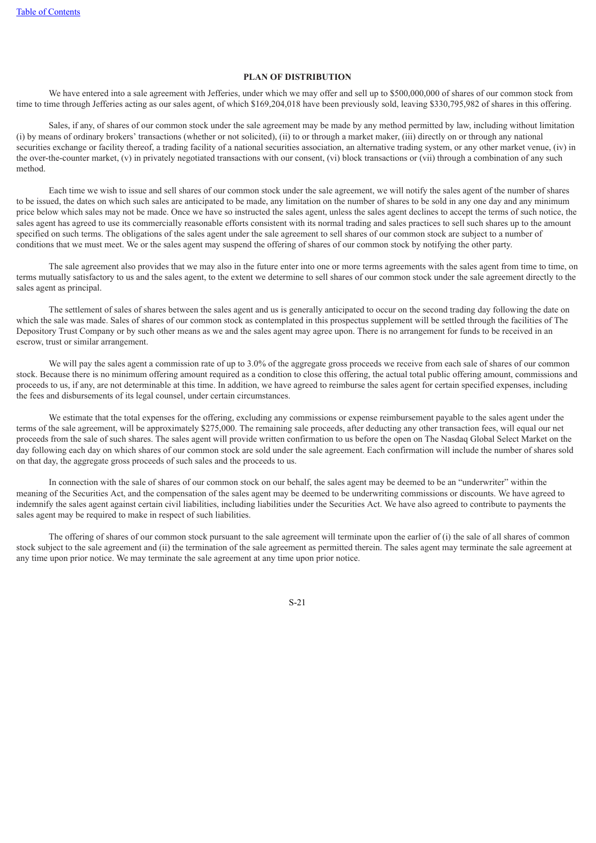# **PLAN OF DISTRIBUTION**

We have entered into a sale agreement with Jefferies, under which we may offer and sell up to \$500,000,000 of shares of our common stock from time to time through Jefferies acting as our sales agent, of which \$169,204,018 have been previously sold, leaving \$330,795,982 of shares in this offering.

Sales, if any, of shares of our common stock under the sale agreement may be made by any method permitted by law, including without limitation (i) by means of ordinary brokers' transactions (whether or not solicited), (ii) to or through a market maker, (iii) directly on or through any national securities exchange or facility thereof, a trading facility of a national securities association, an alternative trading system, or any other market venue, (iv) in the over-the-counter market, (v) in privately negotiated transactions with our consent, (vi) block transactions or (vii) through a combination of any such method.

Each time we wish to issue and sell shares of our common stock under the sale agreement, we will notify the sales agent of the number of shares to be issued, the dates on which such sales are anticipated to be made, any limitation on the number of shares to be sold in any one day and any minimum price below which sales may not be made. Once we have so instructed the sales agent, unless the sales agent declines to accept the terms of such notice, the sales agent has agreed to use its commercially reasonable efforts consistent with its normal trading and sales practices to sell such shares up to the amount specified on such terms. The obligations of the sales agent under the sale agreement to sell shares of our common stock are subject to a number of conditions that we must meet. We or the sales agent may suspend the offering of shares of our common stock by notifying the other party.

The sale agreement also provides that we may also in the future enter into one or more terms agreements with the sales agent from time to time, on terms mutually satisfactory to us and the sales agent, to the extent we determine to sell shares of our common stock under the sale agreement directly to the sales agent as principal.

The settlement of sales of shares between the sales agent and us is generally anticipated to occur on the second trading day following the date on which the sale was made. Sales of shares of our common stock as contemplated in this prospectus supplement will be settled through the facilities of The Depository Trust Company or by such other means as we and the sales agent may agree upon. There is no arrangement for funds to be received in an escrow, trust or similar arrangement.

We will pay the sales agent a commission rate of up to 3.0% of the aggregate gross proceeds we receive from each sale of shares of our common stock. Because there is no minimum offering amount required as a condition to close this offering, the actual total public offering amount, commissions and proceeds to us, if any, are not determinable at this time. In addition, we have agreed to reimburse the sales agent for certain specified expenses, including the fees and disbursements of its legal counsel, under certain circumstances.

We estimate that the total expenses for the offering, excluding any commissions or expense reimbursement payable to the sales agent under the terms of the sale agreement, will be approximately \$275,000. The remaining sale proceeds, after deducting any other transaction fees, will equal our net proceeds from the sale of such shares. The sales agent will provide written confirmation to us before the open on The Nasdaq Global Select Market on the day following each day on which shares of our common stock are sold under the sale agreement. Each confirmation will include the number of shares sold on that day, the aggregate gross proceeds of such sales and the proceeds to us.

In connection with the sale of shares of our common stock on our behalf, the sales agent may be deemed to be an "underwriter" within the meaning of the Securities Act, and the compensation of the sales agent may be deemed to be underwriting commissions or discounts. We have agreed to indemnify the sales agent against certain civil liabilities, including liabilities under the Securities Act. We have also agreed to contribute to payments the sales agent may be required to make in respect of such liabilities.

The offering of shares of our common stock pursuant to the sale agreement will terminate upon the earlier of (i) the sale of all shares of common stock subject to the sale agreement and (ii) the termination of the sale agreement as permitted therein. The sales agent may terminate the sale agreement at any time upon prior notice. We may terminate the sale agreement at any time upon prior notice.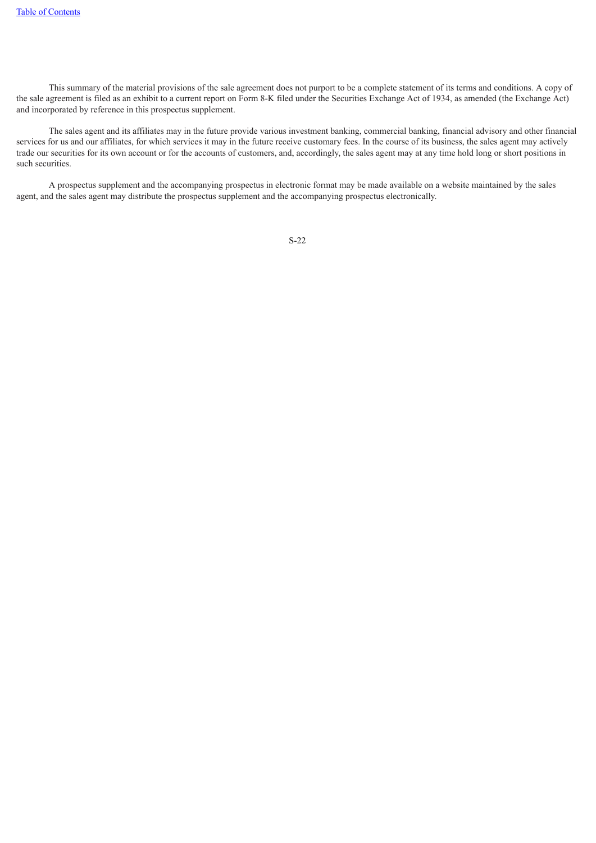This summary of the material provisions of the sale agreement does not purport to be a complete statement of its terms and conditions. A copy of the sale agreement is filed as an exhibit to a current report on Form 8-K filed under the Securities Exchange Act of 1934, as amended (the Exchange Act) and incorporated by reference in this prospectus supplement.

The sales agent and its affiliates may in the future provide various investment banking, commercial banking, financial advisory and other financial services for us and our affiliates, for which services it may in the future receive customary fees. In the course of its business, the sales agent may actively trade our securities for its own account or for the accounts of customers, and, accordingly, the sales agent may at any time hold long or short positions in such securities.

<span id="page-23-0"></span>A prospectus supplement and the accompanying prospectus in electronic format may be made available on a website maintained by the sales agent, and the sales agent may distribute the prospectus supplement and the accompanying prospectus electronically.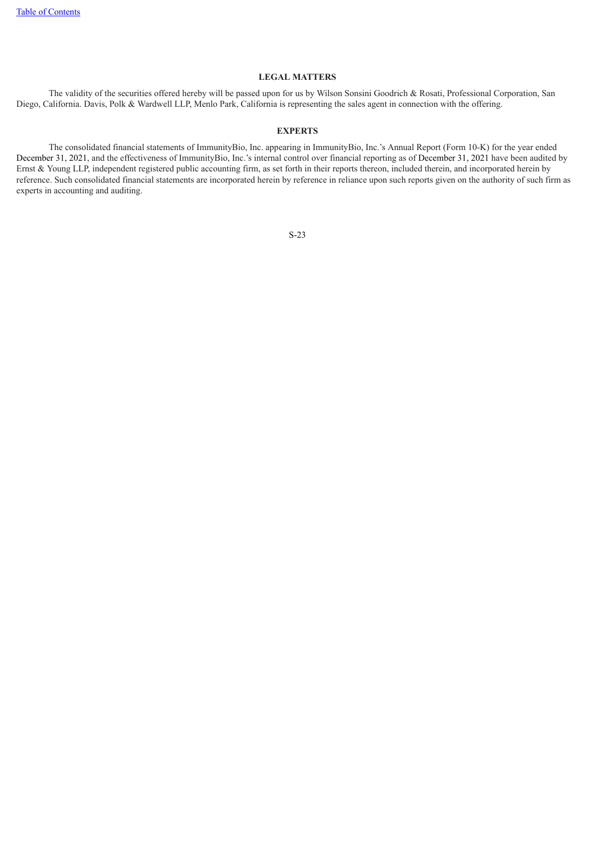# **LEGAL MATTERS**

<span id="page-24-0"></span>The validity of the securities offered hereby will be passed upon for us by Wilson Sonsini Goodrich & Rosati, Professional Corporation, San Diego, California. Davis, Polk & Wardwell LLP, Menlo Park, California is representing the sales agent in connection with the offering.

# **EXPERTS**

<span id="page-24-1"></span>The consolidated financial statements of ImmunityBio, Inc. appearing in ImmunityBio, Inc.'s Annual Report (Form 10-K) for the year ended December 31, 2021, and the effectiveness of ImmunityBio, Inc.'s internal control over financial reporting as of December 31, 2021 have been audited by Ernst & Young LLP, independent registered public accounting firm, as set forth in their reports thereon, included therein, and incorporated herein by reference. Such consolidated financial statements are incorporated herein by reference in reliance upon such reports given on the authority of such firm as experts in accounting and auditing.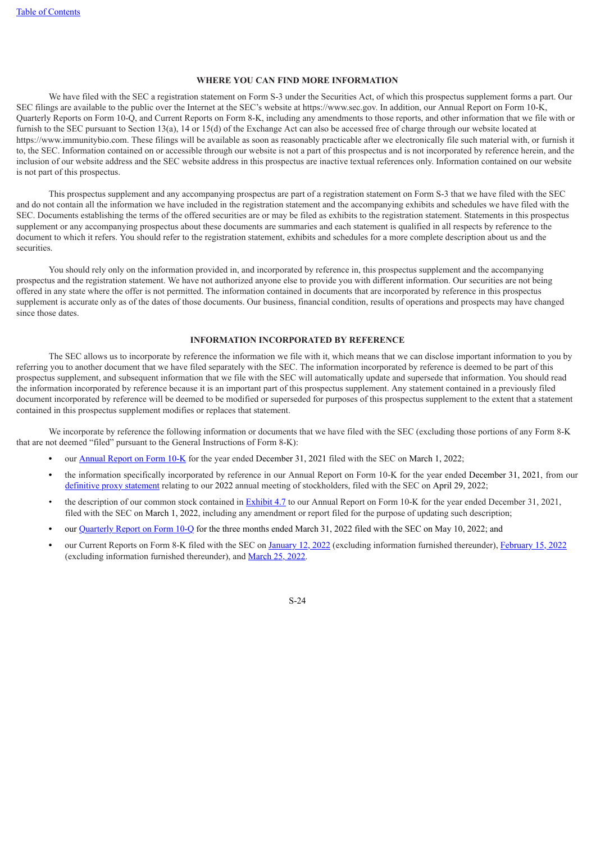# **WHERE YOU CAN FIND MORE INFORMATION**

We have filed with the SEC a registration statement on Form S-3 under the Securities Act, of which this prospectus supplement forms a part. Our SEC filings are available to the public over the Internet at the SEC's website at https://www.sec.gov. In addition, our Annual Report on Form 10-K, Quarterly Reports on Form 10-Q, and Current Reports on Form 8-K, including any amendments to those reports, and other information that we file with or furnish to the SEC pursuant to Section 13(a), 14 or 15(d) of the Exchange Act can also be accessed free of charge through our website located at https://www.immunitybio.com. These filings will be available as soon as reasonably practicable after we electronically file such material with, or furnish it to, the SEC. Information contained on or accessible through our website is not a part of this prospectus and is not incorporated by reference herein, and the inclusion of our website address and the SEC website address in this prospectus are inactive textual references only. Information contained on our website is not part of this prospectus.

This prospectus supplement and any accompanying prospectus are part of a registration statement on Form S-3 that we have filed with the SEC and do not contain all the information we have included in the registration statement and the accompanying exhibits and schedules we have filed with the SEC. Documents establishing the terms of the offered securities are or may be filed as exhibits to the registration statement. Statements in this prospectus supplement or any accompanying prospectus about these documents are summaries and each statement is qualified in all respects by reference to the document to which it refers. You should refer to the registration statement, exhibits and schedules for a more complete description about us and the securities.

You should rely only on the information provided in, and incorporated by reference in, this prospectus supplement and the accompanying prospectus and the registration statement. We have not authorized anyone else to provide you with different information. Our securities are not being offered in any state where the offer is not permitted. The information contained in documents that are incorporated by reference in this prospectus supplement is accurate only as of the dates of those documents. Our business, financial condition, results of operations and prospects may have changed since those dates.

### **INFORMATION INCORPORATED BY REFERENCE**

<span id="page-25-0"></span>The SEC allows us to incorporate by reference the information we file with it, which means that we can disclose important information to you by referring you to another document that we have filed separately with the SEC. The information incorporated by reference is deemed to be part of this prospectus supplement, and subsequent information that we file with the SEC will automatically update and supersede that information. You should read the information incorporated by reference because it is an important part of this prospectus supplement. Any statement contained in a previously filed document incorporated by reference will be deemed to be modified or superseded for purposes of this prospectus supplement to the extent that a statement contained in this prospectus supplement modifies or replaces that statement.

We incorporate by reference the following information or documents that we have filed with the SEC (excluding those portions of any Form 8-K that are not deemed "filed" pursuant to the General Instructions of Form 8-K):

- **•** our [Annual](https://www.sec.gov/Archives/edgar/data/1326110/000132611022000011/ibrx-20211231.htm) Report on Form [10-K](https://www.sec.gov/Archives/edgar/data/1326110/000132611022000011/ibrx-20211231.htm) for the year ended December 31, 2021 filed with the SEC on March 1, 2022;
- **•** the information specifically incorporated by reference in our Annual Report on Form 10-K for the year ended December 31, 2021, from our [definitive](https://www.sec.gov/Archives/edgar/data/1326110/000119312522133671/d238255ddef14a.htm) proxy statement relating to our 2022 annual meeting of stockholders, filed with the SEC on April 29, 2022;
- the description of our common stock contained in [Exhibit](https://www.sec.gov/Archives/edgar/data/1326110/000132611022000011/ibrx-20211231x10kexhibit47.htm) [4.7](https://www.sec.gov/Archives/edgar/data/1326110/000132611022000011/ibrx-20211231x10kexhibit47.htm) to our Annual Report on Form 10-K for the year ended December 31, 2021, filed with the SEC on March 1, 2022, including any amendment or report filed for the purpose of updating such description;
- **•** our [Quarterly](https://www.sec.gov/Archives/edgar/data/1326110/000132611022000027/ibrx-20220331.htm) Report on [Form](https://www.sec.gov/Archives/edgar/data/1326110/000132611022000027/ibrx-20220331.htm) [10-Q](https://www.sec.gov/Archives/edgar/data/1326110/000132611022000027/ibrx-20220331.htm) for the three months ended March 31, 2022 filed with the SEC on May 10, 2022; and
- **•** our Current Reports on Form 8-K filed with the SEC on [January](https://www.sec.gov/Archives/edgar/data/1326110/000119312522007333/d276464d8k.htm) 12, 2022 (excluding information furnished thereunder), [February](https://www.sec.gov/Archives/edgar/data/1326110/000119312522042967/d318218d8k.htm) 15, 2022 (excluding information furnished thereunder), and [March](https://www.sec.gov/Archives/edgar/data/1326110/000119312522085325/d264903d8k.htm) 25, 2022.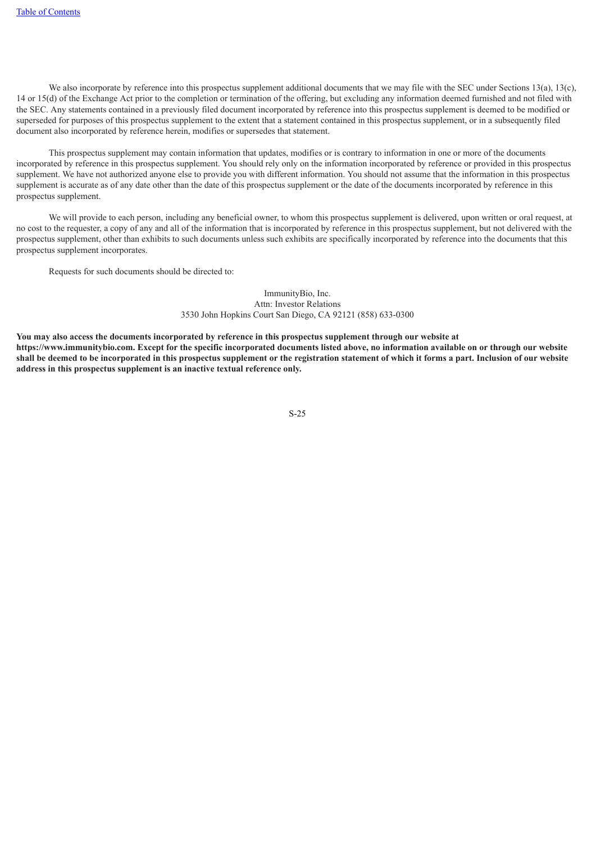We also incorporate by reference into this prospectus supplement additional documents that we may file with the SEC under Sections 13(a), 13(c). 14 or 15(d) of the Exchange Act prior to the completion or termination of the offering, but excluding any information deemed furnished and not filed with the SEC. Any statements contained in a previously filed document incorporated by reference into this prospectus supplement is deemed to be modified or superseded for purposes of this prospectus supplement to the extent that a statement contained in this prospectus supplement, or in a subsequently filed document also incorporated by reference herein, modifies or supersedes that statement.

This prospectus supplement may contain information that updates, modifies or is contrary to information in one or more of the documents incorporated by reference in this prospectus supplement. You should rely only on the information incorporated by reference or provided in this prospectus supplement. We have not authorized anyone else to provide you with different information. You should not assume that the information in this prospectus supplement is accurate as of any date other than the date of this prospectus supplement or the date of the documents incorporated by reference in this prospectus supplement.

We will provide to each person, including any beneficial owner, to whom this prospectus supplement is delivered, upon written or oral request, at no cost to the requester, a copy of any and all of the information that is incorporated by reference in this prospectus supplement, but not delivered with the prospectus supplement, other than exhibits to such documents unless such exhibits are specifically incorporated by reference into the documents that this prospectus supplement incorporates.

Requests for such documents should be directed to:

ImmunityBio, Inc. Attn: Investor Relations 3530 John Hopkins Court San Diego, CA 92121 (858) 633-0300

<span id="page-26-0"></span>You may also access the documents incorporated by reference in this prospectus supplement through our website at https://www.immunitybio.com. Except for the specific incorporated documents listed above, no information available on or through our website shall be deemed to be incorporated in this prospectus supplement or the registration statement of which it forms a part. Inclusion of our website **address in this prospectus supplement is an inactive textual reference only.**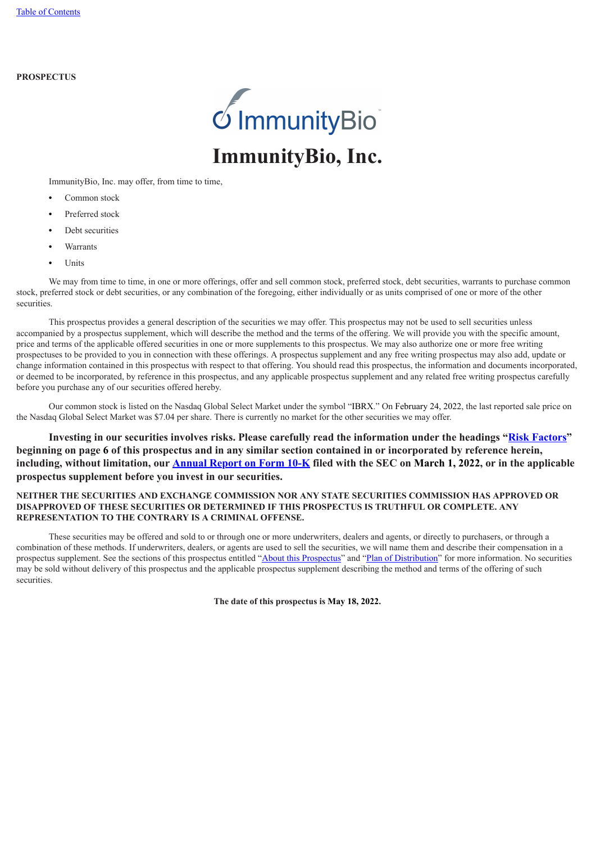# **PROSPECTUS**



ImmunityBio, Inc. may offer, from time to time,

- **•** Common stock
- **•** Preferred stock
- **•** Debt securities
- **•** Warrants
- **•** Units

We may from time to time, in one or more offerings, offer and sell common stock, preferred stock, debt securities, warrants to purchase common stock, preferred stock or debt securities, or any combination of the foregoing, either individually or as units comprised of one or more of the other securities.

This prospectus provides a general description of the securities we may offer. This prospectus may not be used to sell securities unless accompanied by a prospectus supplement, which will describe the method and the terms of the offering. We will provide you with the specific amount, price and terms of the applicable offered securities in one or more supplements to this prospectus. We may also authorize one or more free writing prospectuses to be provided to you in connection with these offerings. A prospectus supplement and any free writing prospectus may also add, update or change information contained in this prospectus with respect to that offering. You should read this prospectus, the information and documents incorporated, or deemed to be incorporated, by reference in this prospectus, and any applicable prospectus supplement and any related free writing prospectus carefully before you purchase any of our securities offered hereby.

Our common stock is listed on the Nasdaq Global Select Market under the symbol "IBRX." On February 24, 2022, the last reported sale price on the Nasdaq Global Select Market was \$7.04 per share. There is currently no market for the other securities we may offer.

**Investing in our securities involves risks. Please carefully read the information under the headings "[Risk Factors"](#page-33-0) beginning on page [6](#page-33-0) of this prospectus and in any similar section contained in or incorporated by reference herein, including, without limitation, our [Annual Report on Form](https://www.sec.gov/Archives/edgar/data/1326110/000132611022000011/ibrx-20211231.htm) [10-K](https://www.sec.gov/Archives/edgar/data/1326110/000132611022000011/ibrx-20211231.htm) filed with the SEC on March 1, 2022, or in the applicable prospectus supplement before you invest in our securities.**

# **NEITHER THE SECURITIES AND EXCHANGE COMMISSION NOR ANY STATE SECURITIES COMMISSION HAS APPROVED OR DISAPPROVED OF THESE SECURITIES OR DETERMINED IF THIS PROSPECTUS IS TRUTHFUL OR COMPLETE. ANY REPRESENTATION TO THE CONTRARY IS A CRIMINAL OFFENSE.**

<span id="page-27-0"></span>These securities may be offered and sold to or through one or more underwriters, dealers and agents, or directly to purchasers, or through a combination of these methods. If underwriters, dealers, or agents are used to sell the securities, we will name them and describe their compensation in a prospectus supplement. See the sections of this prospectus entitled "About this [Prospectus](#page-28-0)" and "Plan of [Distribution"](#page-49-0) for more information. No securities may be sold without delivery of this prospectus and the applicable prospectus supplement describing the method and terms of the offering of such securities.

**The date of this prospectus is May 18, 2022.**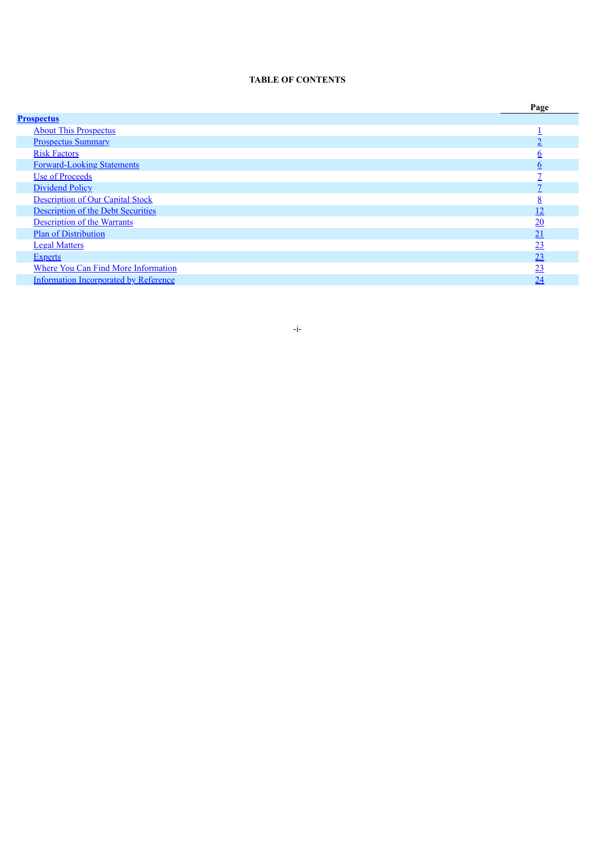### **TABLE OF CONTENTS**

<span id="page-28-0"></span>

|                                              | Page            |
|----------------------------------------------|-----------------|
| <b>Prospectus</b>                            |                 |
| <b>About This Prospectus</b>                 |                 |
| <b>Prospectus Summary</b>                    |                 |
| <b>Risk Factors</b>                          | n               |
| <b>Forward-Looking Statements</b>            | b               |
| Use of Proceeds                              |                 |
| <b>Dividend Policy</b>                       |                 |
| <b>Description of Our Capital Stock</b>      | о<br>ō          |
| <b>Description of the Debt Securities</b>    | <u> 12</u>      |
| <b>Description of the Warrants</b>           | $\overline{20}$ |
| <b>Plan of Distribution</b>                  | 21              |
| <b>Legal Matters</b>                         | 23              |
| <b>Experts</b>                               | 23              |
| <b>Where You Can Find More Information</b>   | 23              |
| <b>Information Incorporated by Reference</b> | 24              |

- i -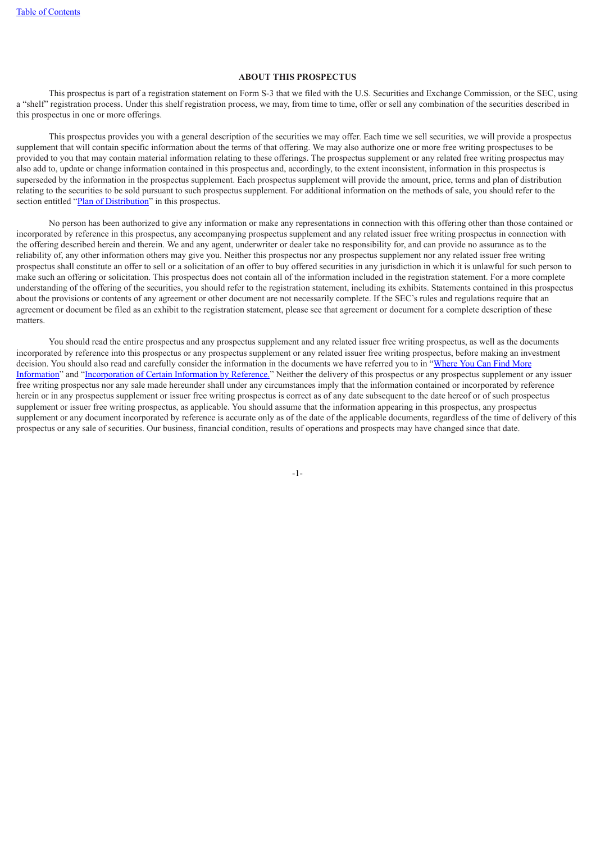# **ABOUT THIS PROSPECTUS**

This prospectus is part of a registration statement on Form S-3 that we filed with the U.S. Securities and Exchange Commission, or the SEC, using a "shelf" registration process. Under this shelf registration process, we may, from time to time, offer or sell any combination of the securities described in this prospectus in one or more offerings.

This prospectus provides you with a general description of the securities we may offer. Each time we sell securities, we will provide a prospectus supplement that will contain specific information about the terms of that offering. We may also authorize one or more free writing prospectuses to be provided to you that may contain material information relating to these offerings. The prospectus supplement or any related free writing prospectus may also add to, update or change information contained in this prospectus and, accordingly, to the extent inconsistent, information in this prospectus is superseded by the information in the prospectus supplement. Each prospectus supplement will provide the amount, price, terms and plan of distribution relating to the securities to be sold pursuant to such prospectus supplement. For additional information on the methods of sale, you should refer to the section entitled "Plan of [Distribution"](#page-49-0) in this prospectus.

No person has been authorized to give any information or make any representations in connection with this offering other than those contained or incorporated by reference in this prospectus, any accompanying prospectus supplement and any related issuer free writing prospectus in connection with the offering described herein and therein. We and any agent, underwriter or dealer take no responsibility for, and can provide no assurance as to the reliability of, any other information others may give you. Neither this prospectus nor any prospectus supplement nor any related issuer free writing prospectus shall constitute an offer to sell or a solicitation of an offer to buy offered securities in any jurisdiction in which it is unlawful for such person to make such an offering or solicitation. This prospectus does not contain all of the information included in the registration statement. For a more complete understanding of the offering of the securities, you should refer to the registration statement, including its exhibits. Statements contained in this prospectus about the provisions or contents of any agreement or other document are not necessarily complete. If the SEC's rules and regulations require that an agreement or document be filed as an exhibit to the registration statement, please see that agreement or document for a complete description of these matters.

<span id="page-29-0"></span>You should read the entire prospectus and any prospectus supplement and any related issuer free writing prospectus, as well as the documents incorporated by reference into this prospectus or any prospectus supplement or any related issuer free writing prospectus, before making an investment decision. You should also read and carefully consider the information in the documents we have referred you to in "Where You Can Find More Information" and ["Incorporation](#page-51-1) of Certain Information by Reference." Neither the delivery of this prospectus or any prospectus supplement or any issuer free writing prospectus nor any sale made hereunder shall under any circumstances imply that the information contained or incorporated by reference herein or in any prospectus supplement or issuer free writing prospectus is correct as of any date subsequent to the date hereof or of such prospectus supplement or issuer free writing prospectus, as applicable. You should assume that the information appearing in this prospectus, any prospectus supplement or any document incorporated by reference is accurate only as of the date of the applicable documents, regardless of the time of delivery of this prospectus or any sale of securities. Our business, financial condition, results of operations and prospects may have changed since that date.

-1-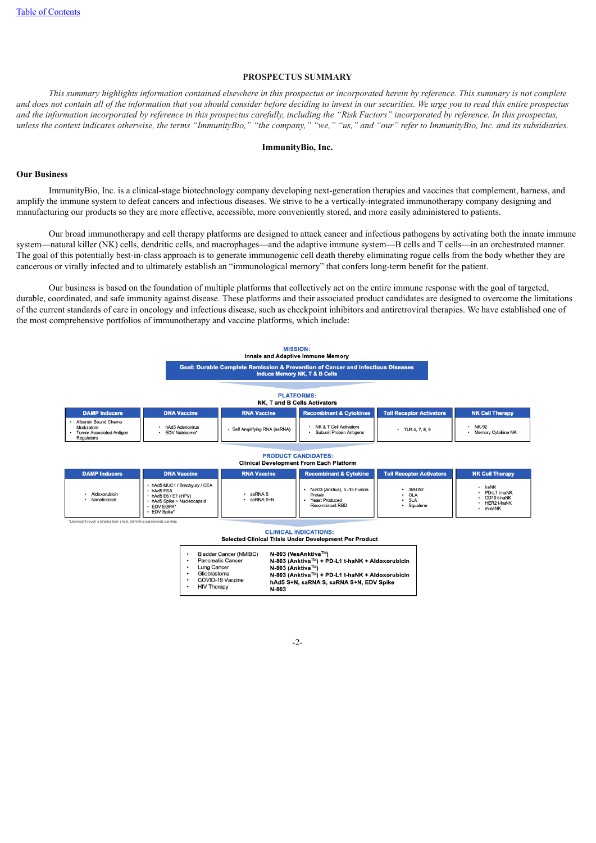### **PROSPECTUS SUMMARY**

This summary highlights information contained elsewhere in this prospectus or incorporated herein by reference. This summary is not complete and does not contain all of the information that you should consider before deciding to invest in our securities. We urge you to read this entire prospectus and the information incorporated by reference in this prospectus carefully, including the "Risk Factors" incorporated by reference. In this prospectus, unless the context indicates otherwise, the terms "ImmunityBio," "the company," "we," "us," and "our" refer to ImmunityBio, Inc. and its subsidiaries.

# **ImmunityBio, Inc.**

### **Our Business**

ImmunityBio, Inc. is a clinical-stage biotechnology company developing next-generation therapies and vaccines that complement, harness, and amplify the immune system to defeat cancers and infectious diseases. We strive to be a vertically-integrated immunotherapy company designing and manufacturing our products so they are more effective, accessible, more conveniently stored, and more easily administered to patients.

Our broad immunotherapy and cell therapy platforms are designed to attack cancer and infectious pathogens by activating both the innate immune system—natural killer (NK) cells, dendritic cells, and macrophages—and the adaptive immune system—B cells and T cells—in an orchestrated manner. The goal of this potentially best-in-class approach is to generate immunogenic cell death thereby eliminating rogue cells from the body whether they are cancerous or virally infected and to ultimately establish an "immunological memory" that confers long-term benefit for the patient.

Our business is based on the foundation of multiple platforms that collectively act on the entire immune response with the goal of targeted, durable, coordinated, and safe immunity against disease. These platforms and their associated product candidates are designed to overcome the limitations of the current standards of care in oncology and infectious disease, such as checkpoint inhibitors and antiretroviral therapies. We have established one of the most comprehensive portfolios of immunotherapy and vaccine platforms, which include:



| <b>CLINICAL INDICATIONS:</b>                           |  |  |  |  |  |  |  |  |
|--------------------------------------------------------|--|--|--|--|--|--|--|--|
| Selected Clinical Trials Under Development Per Product |  |  |  |  |  |  |  |  |

| ٠ | <b>Bladder Cancer (NMIBC)</b> | N-803 (VesAnktiva™)                             |
|---|-------------------------------|-------------------------------------------------|
| ٠ | <b>Pancreatic Cancer</b>      | N-803 (Anktiva™) + PD-L1 t-haNK + Aldoxorubicin |
| ٠ | Lung Cancer                   | N-803 (Anktiva™)                                |
| ٠ | Glioblastoma                  | N-803 (Anktiva™) + PD-L1 t-haNK + Aldoxorubicin |
|   | COVID-19 Vaccine              | hAd5 S+N, saRNA S, saRNA S+N, EDV Spike         |
| ٠ | <b>HIV Therapy</b>            | $N-803$                                         |

-2-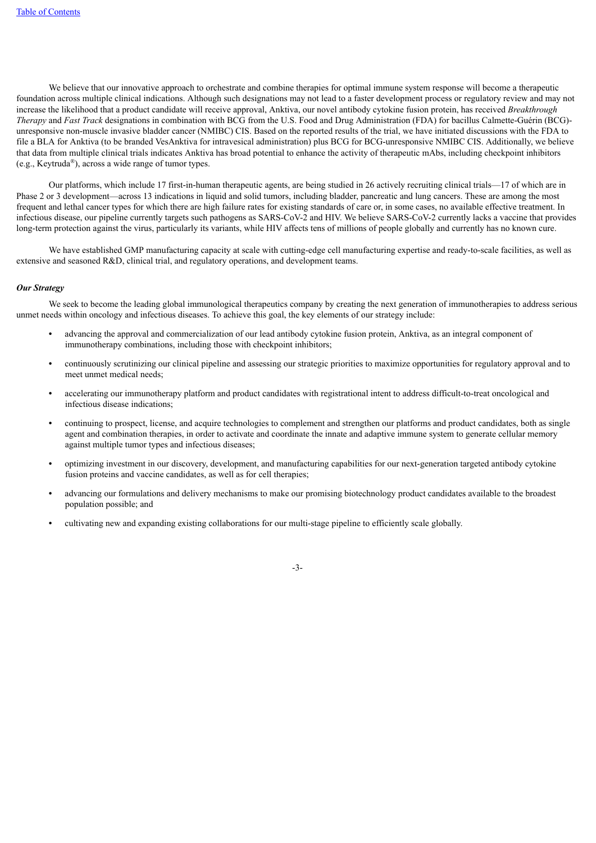We believe that our innovative approach to orchestrate and combine therapies for optimal immune system response will become a therapeutic foundation across multiple clinical indications. Although such designations may not lead to a faster development process or regulatory review and may not increase the likelihood that a product candidate will receive approval, Anktiva, our novel antibody cytokine fusion protein, has received *Breakthrough Therapy* and *Fast Track* designations in combination with BCG from the U.S. Food and Drug Administration (FDA) for bacillus Calmette-Guérin (BCG) unresponsive non-muscle invasive bladder cancer (NMIBC) CIS. Based on the reported results of the trial, we have initiated discussions with the FDA to file a BLA for Anktiva (to be branded VesAnktiva for intravesical administration) plus BCG for BCG-unresponsive NMIBC CIS. Additionally, we believe that data from multiple clinical trials indicates Anktiva has broad potential to enhance the activity of therapeutic mAbs, including checkpoint inhibitors (e.g., Keytruda®), across a wide range of tumor types.

Our platforms, which include 17 first-in-human therapeutic agents, are being studied in 26 actively recruiting clinical trials—17 of which are in Phase 2 or 3 development—across 13 indications in liquid and solid tumors, including bladder, pancreatic and lung cancers. These are among the most frequent and lethal cancer types for which there are high failure rates for existing standards of care or, in some cases, no available effective treatment. In infectious disease, our pipeline currently targets such pathogens as SARS-CoV-2 and HIV. We believe SARS-CoV-2 currently lacks a vaccine that provides long-term protection against the virus, particularly its variants, while HIV affects tens of millions of people globally and currently has no known cure.

We have established GMP manufacturing capacity at scale with cutting-edge cell manufacturing expertise and ready-to-scale facilities, as well as extensive and seasoned R&D, clinical trial, and regulatory operations, and development teams.

# *Our Strategy*

We seek to become the leading global immunological therapeutics company by creating the next generation of immunotherapies to address serious unmet needs within oncology and infectious diseases. To achieve this goal, the key elements of our strategy include:

- **•** advancing the approval and commercialization of our lead antibody cytokine fusion protein, Anktiva, as an integral component of immunotherapy combinations, including those with checkpoint inhibitors;
- **•** continuously scrutinizing our clinical pipeline and assessing our strategic priorities to maximize opportunities for regulatory approval and to meet unmet medical needs;
- **•** accelerating our immunotherapy platform and product candidates with registrational intent to address difficult-to-treat oncological and infectious disease indications;
- **•** continuing to prospect, license, and acquire technologies to complement and strengthen our platforms and product candidates, both as single agent and combination therapies, in order to activate and coordinate the innate and adaptive immune system to generate cellular memory against multiple tumor types and infectious diseases;
- **•** optimizing investment in our discovery, development, and manufacturing capabilities for our next-generation targeted antibody cytokine fusion proteins and vaccine candidates, as well as for cell therapies;
- **•** advancing our formulations and delivery mechanisms to make our promising biotechnology product candidates available to the broadest population possible; and
- **•** cultivating new and expanding existing collaborations for our multi-stage pipeline to efficiently scale globally.

-3-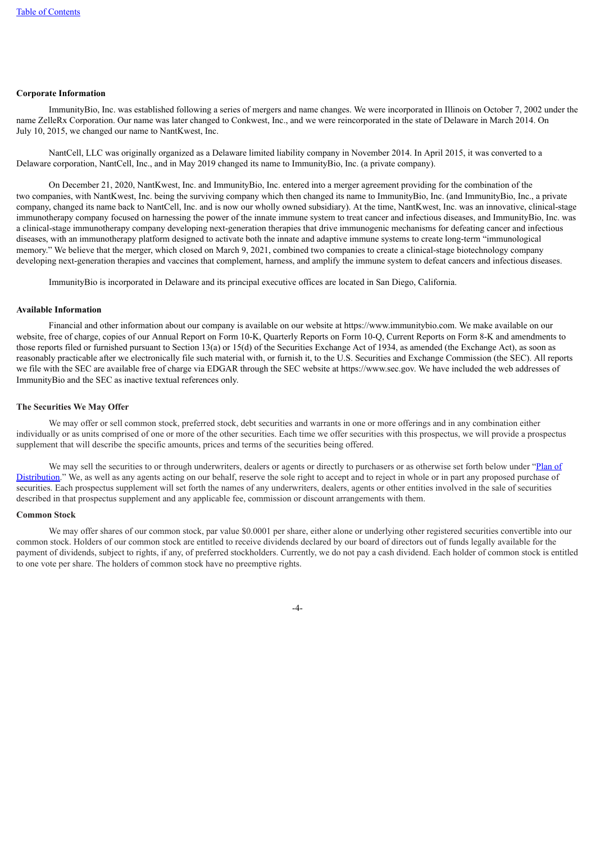### **Corporate Information**

ImmunityBio, Inc. was established following a series of mergers and name changes. We were incorporated in Illinois on October 7, 2002 under the name ZelleRx Corporation. Our name was later changed to Conkwest, Inc., and we were reincorporated in the state of Delaware in March 2014. On July 10, 2015, we changed our name to NantKwest, Inc.

NantCell, LLC was originally organized as a Delaware limited liability company in November 2014. In April 2015, it was converted to a Delaware corporation, NantCell, Inc., and in May 2019 changed its name to ImmunityBio, Inc. (a private company).

On December 21, 2020, NantKwest, Inc. and ImmunityBio, Inc. entered into a merger agreement providing for the combination of the two companies, with NantKwest, Inc. being the surviving company which then changed its name to ImmunityBio, Inc. (and ImmunityBio, Inc., a private company, changed its name back to NantCell, Inc. and is now our wholly owned subsidiary). At the time, NantKwest, Inc. was an innovative, clinical-stage immunotherapy company focused on harnessing the power of the innate immune system to treat cancer and infectious diseases, and ImmunityBio, Inc. was a clinical-stage immunotherapy company developing next-generation therapies that drive immunogenic mechanisms for defeating cancer and infectious diseases, with an immunotherapy platform designed to activate both the innate and adaptive immune systems to create long-term "immunological memory." We believe that the merger, which closed on March 9, 2021, combined two companies to create a clinical-stage biotechnology company developing next-generation therapies and vaccines that complement, harness, and amplify the immune system to defeat cancers and infectious diseases.

ImmunityBio is incorporated in Delaware and its principal executive offices are located in San Diego, California.

### **Available Information**

Financial and other information about our company is available on our website at https://www.immunitybio.com. We make available on our website, free of charge, copies of our Annual Report on Form 10-K. Quarterly Reports on Form 10-O. Current Reports on Form 8-K and amendments to those reports filed or furnished pursuant to Section 13(a) or 15(d) of the Securities Exchange Act of 1934, as amended (the Exchange Act), as soon as reasonably practicable after we electronically file such material with, or furnish it, to the U.S. Securities and Exchange Commission (the SEC). All reports we file with the SEC are available free of charge via EDGAR through the SEC website at https://www.sec.gov. We have included the web addresses of ImmunityBio and the SEC as inactive textual references only.

### **The Securities We May Offer**

We may offer or sell common stock, preferred stock, debt securities and warrants in one or more offerings and in any combination either individually or as units comprised of one or more of the other securities. Each time we offer securities with this prospectus, we will provide a prospectus supplement that will describe the specific amounts, prices and terms of the securities being offered.

We may sell the securities to or through underwriters, dealers or agents or directly to purchasers or as otherwise set forth below under "Plan of [Distribution."](#page-49-0) We, as well as any agents acting on our behalf, reserve the sole right to accept and to reject in whole or in part any proposed purchase of securities. Each prospectus supplement will set forth the names of any underwriters, dealers, agents or other entities involved in the sale of securities described in that prospectus supplement and any applicable fee, commission or discount arrangements with them.

# **Common Stock**

We may offer shares of our common stock, par value \$0.0001 per share, either alone or underlying other registered securities convertible into our common stock. Holders of our common stock are entitled to receive dividends declared by our board of directors out of funds legally available for the payment of dividends, subject to rights, if any, of preferred stockholders. Currently, we do not pay a cash dividend. Each holder of common stock is entitled to one vote per share. The holders of common stock have no preemptive rights.

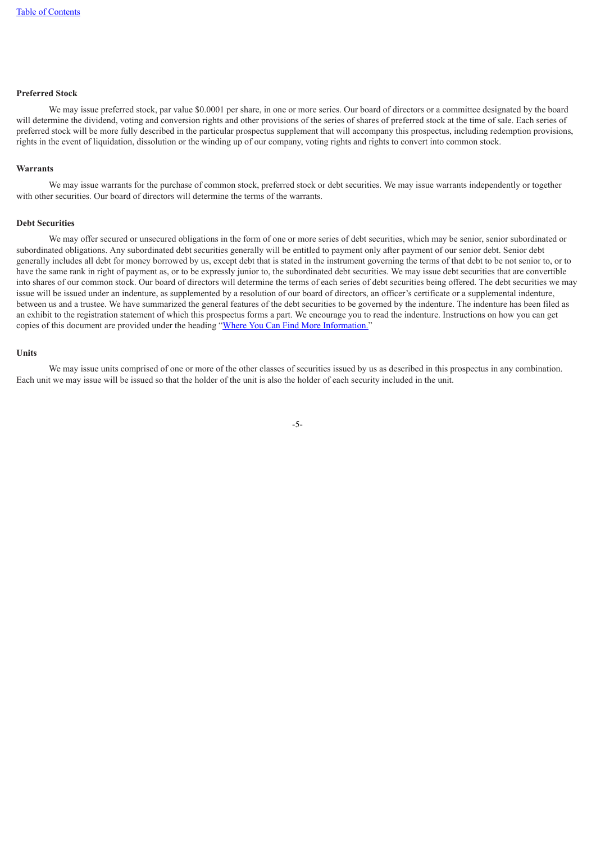# **Preferred Stock**

We may issue preferred stock, par value \$0,0001 per share, in one or more series. Our board of directors or a committee designated by the board will determine the dividend, voting and conversion rights and other provisions of the series of shares of preferred stock at the time of sale. Each series of preferred stock will be more fully described in the particular prospectus supplement that will accompany this prospectus, including redemption provisions, rights in the event of liquidation, dissolution or the winding up of our company, voting rights and rights to convert into common stock.

### **Warrants**

We may issue warrants for the purchase of common stock, preferred stock or debt securities. We may issue warrants independently or together with other securities. Our board of directors will determine the terms of the warrants.

### **Debt Securities**

We may offer secured or unsecured obligations in the form of one or more series of debt securities, which may be senior, senior subordinated or subordinated obligations. Any subordinated debt securities generally will be entitled to payment only after payment of our senior debt. Senior debt generally includes all debt for money borrowed by us, except debt that is stated in the instrument governing the terms of that debt to be not senior to, or to have the same rank in right of payment as, or to be expressly junior to, the subordinated debt securities. We may issue debt securities that are convertible into shares of our common stock. Our board of directors will determine the terms of each series of debt securities being offered. The debt securities we may issue will be issued under an indenture, as supplemented by a resolution of our board of directors, an officer's certificate or a supplemental indenture, between us and a trustee. We have summarized the general features of the debt securities to be governed by the indenture. The indenture has been filed as an exhibit to the registration statement of which this prospectus forms a part. We encourage you to read the indenture. Instructions on how you can get copies of this document are provided under the heading "Where You Can Find More [Information.](#page-51-1)"

### **Units**

<span id="page-33-0"></span>We may issue units comprised of one or more of the other classes of securities issued by us as described in this prospectus in any combination. Each unit we may issue will be issued so that the holder of the unit is also the holder of each security included in the unit.

-5-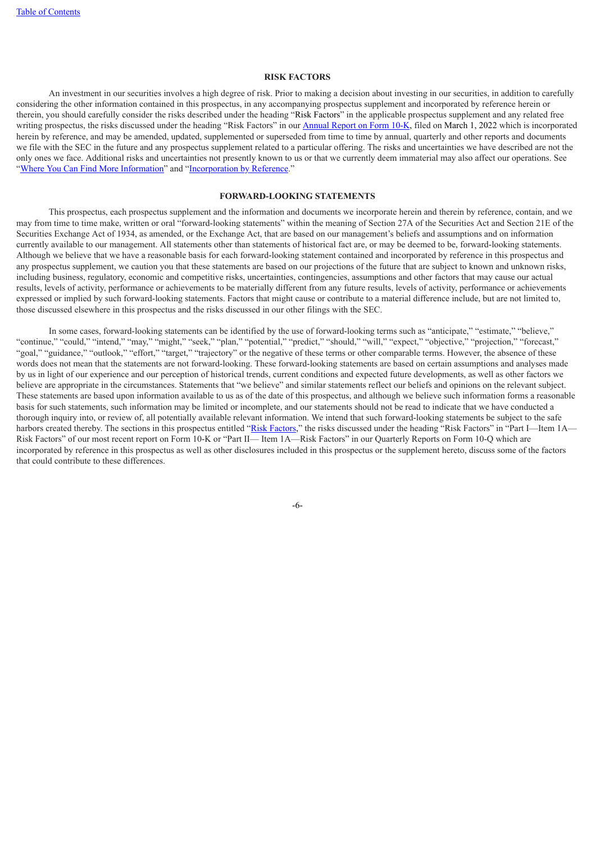### **RISK FACTORS**

An investment in our securities involves a high degree of risk. Prior to making a decision about investing in our securities, in addition to carefully considering the other information contained in this prospectus, in any accompanying prospectus supplement and incorporated by reference herein or therein, you should carefully consider the risks described under the heading "Risk Factors" in the applicable prospectus supplement and any related free writing prospectus, the risks discussed under the heading "Risk Factors" in our **[Annual](https://www.sec.gov/Archives/edgar/data/1326110/000132611022000011/ibrx-20211231.htm) [Report](https://www.sec.gov/Archives/edgar/data/1326110/000132611022000011/ibrx-20211231.htm) on Form 10-[K](https://www.sec.gov/Archives/edgar/data/1326110/000132611022000011/ibrx-20211231.htm)**, filed on March 1, 2022 which is incorporated herein by reference, and may be amended, updated, supplemented or superseded from time to time by annual, quarterly and other reports and documents we file with the SEC in the future and any prospectus supplement related to a particular offering. The risks and uncertainties we have described are not the only ones we face. Additional risks and uncertainties not presently known to us or that we currently deem immaterial may also affect our operations. See "Where You Can Find More [Information"](#page-51-1) and ["Incorporation](#page-51-2) by Reference."

# **FORWARD-LOOKING STATEMENTS**

<span id="page-34-0"></span>This prospectus, each prospectus supplement and the information and documents we incorporate herein and therein by reference, contain, and we may from time to time make, written or oral "forward-looking statements" within the meaning of Section 27A of the Securities Act and Section 21E of the Securities Exchange Act of 1934, as amended, or the Exchange Act, that are based on our management's beliefs and assumptions and on information currently available to our management. All statements other than statements of historical fact are, or may be deemed to be, forward-looking statements. Although we believe that we have a reasonable basis for each forward-looking statement contained and incorporated by reference in this prospectus and any prospectus supplement, we caution you that these statements are based on our projections of the future that are subject to known and unknown risks, including business, regulatory, economic and competitive risks, uncertainties, contingencies, assumptions and other factors that may cause our actual results, levels of activity, performance or achievements to be materially different from any future results, levels of activity, performance or achievements expressed or implied by such forward-looking statements. Factors that might cause or contribute to a material difference include, but are not limited to, those discussed elsewhere in this prospectus and the risks discussed in our other filings with the SEC.

In some cases, forward-looking statements can be identified by the use of forward-looking terms such as "anticipate," "estimate," "believe," "continue," "could," "intend," "may," "might," "seek," "plan," "potential," "predict," "should," "will," "expect," "objective," "projection," "forecast," "goal," "guidance," "outlook," "effort," "target," "trajectory" or the negative of these terms or other comparable terms. However, the absence of these words does not mean that the statements are not forward-looking. These forward-looking statements are based on certain assumptions and analyses made by us in light of our experience and our perception of historical trends, current conditions and expected future developments, as well as other factors we believe are appropriate in the circumstances. Statements that "we believe" and similar statements reflect our beliefs and opinions on the relevant subject. These statements are based upon information available to us as of the date of this prospectus, and although we believe such information forms a reasonable basis for such statements, such information may be limited or incomplete, and our statements should not be read to indicate that we have conducted a thorough inquiry into, or review of, all potentially available relevant information. We intend that such forward-looking statements be subject to the safe harbors created thereby. The sections in this prospectus entitled "Risk [Factors,](#page-33-0)" the risks discussed under the heading "Risk Factors" in "Part I—Item 1A— Risk Factors" of our most recent report on Form 10-K or "Part II— Item 1A—Risk Factors" in our Quarterly Reports on Form 10-Q which are incorporated by reference in this prospectus as well as other disclosures included in this prospectus or the supplement hereto, discuss some of the factors that could contribute to these differences.

-6-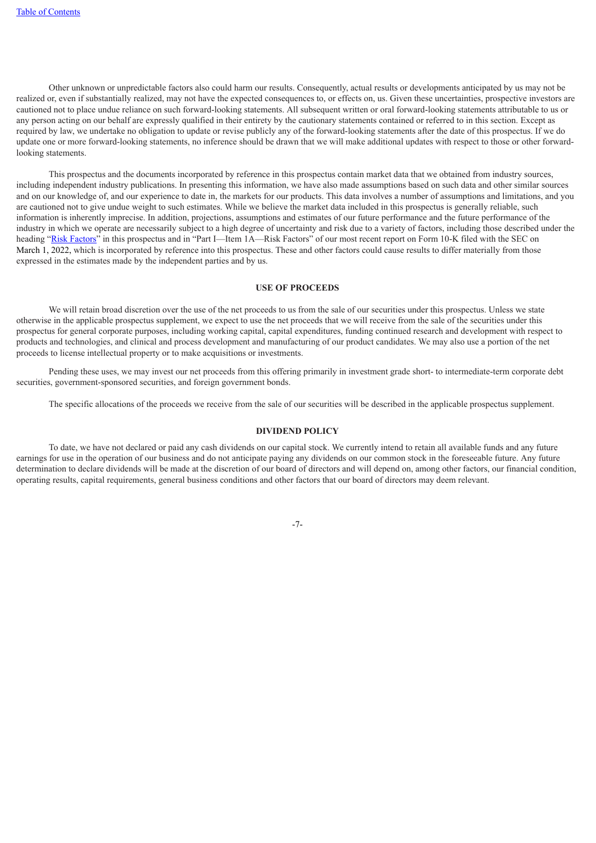Other unknown or unpredictable factors also could harm our results. Consequently, actual results or developments anticipated by us may not be realized or, even if substantially realized, may not have the expected consequences to, or effects on, us. Given these uncertainties, prospective investors are cautioned not to place undue reliance on such forward-looking statements. All subsequent written or oral forward-looking statements attributable to us or any person acting on our behalf are expressly qualified in their entirety by the cautionary statements contained or referred to in this section. Except as required by law, we undertake no obligation to update or revise publicly any of the forward-looking statements after the date of this prospectus. If we do update one or more forward-looking statements, no inference should be drawn that we will make additional updates with respect to those or other forwardlooking statements.

This prospectus and the documents incorporated by reference in this prospectus contain market data that we obtained from industry sources, including independent industry publications. In presenting this information, we have also made assumptions based on such data and other similar sources and on our knowledge of, and our experience to date in, the markets for our products. This data involves a number of assumptions and limitations, and you are cautioned not to give undue weight to such estimates. While we believe the market data included in this prospectus is generally reliable, such information is inherently imprecise. In addition, projections, assumptions and estimates of our future performance and the future performance of the industry in which we operate are necessarily subject to a high degree of uncertainty and risk due to a variety of factors, including those described under the heading "Risk [Factors](#page-33-0)" in this prospectus and in "Part I—Item 1A—Risk Factors" of our most recent report on Form 10-K filed with the SEC on March 1, 2022, which is incorporated by reference into this prospectus. These and other factors could cause results to differ materially from those expressed in the estimates made by the independent parties and by us.

### **USE OF PROCEEDS**

<span id="page-35-0"></span>We will retain broad discretion over the use of the net proceeds to us from the sale of our securities under this prospectus. Unless we state otherwise in the applicable prospectus supplement, we expect to use the net proceeds that we will receive from the sale of the securities under this prospectus for general corporate purposes, including working capital, capital expenditures, funding continued research and development with respect to products and technologies, and clinical and process development and manufacturing of our product candidates. We may also use a portion of the net proceeds to license intellectual property or to make acquisitions or investments.

Pending these uses, we may invest our net proceeds from this offering primarily in investment grade short- to intermediate-term corporate debt securities, government-sponsored securities, and foreign government bonds.

<span id="page-35-1"></span>The specific allocations of the proceeds we receive from the sale of our securities will be described in the applicable prospectus supplement.

### **DIVIDEND POLICY**

<span id="page-35-2"></span>To date, we have not declared or paid any cash dividends on our capital stock. We currently intend to retain all available funds and any future earnings for use in the operation of our business and do not anticipate paying any dividends on our common stock in the foreseeable future. Any future determination to declare dividends will be made at the discretion of our board of directors and will depend on, among other factors, our financial condition, operating results, capital requirements, general business conditions and other factors that our board of directors may deem relevant.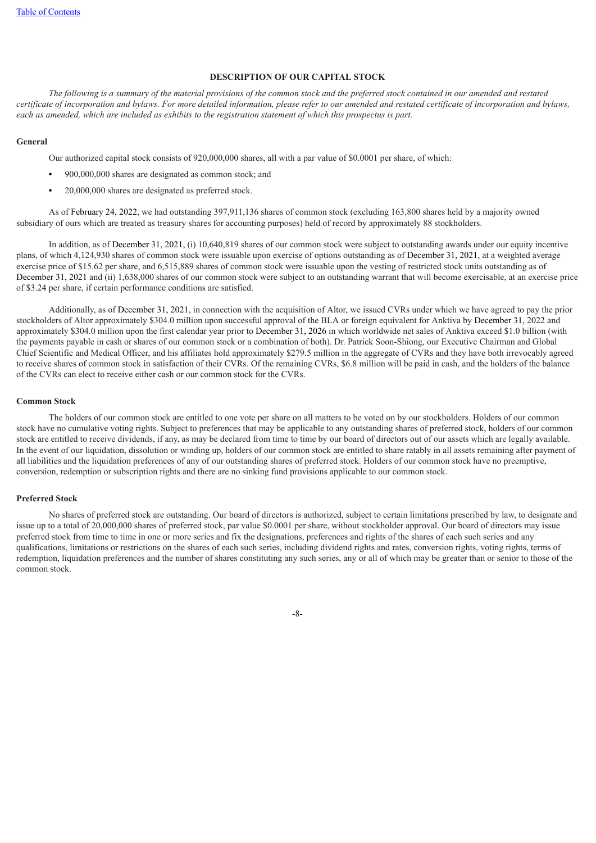### **DESCRIPTION OF OUR CAPITAL STOCK**

The following is a summary of the material provisions of the common stock and the preferred stock contained in our amended and restated certificate of incorporation and bylaws. For more detailed information, please refer to our amended and restated certificate of incorporation and bylaws, each as amended, which are included as exhibits to the registration statement of which this prospectus is part.

### **General**

Our authorized capital stock consists of 920,000,000 shares, all with a par value of \$0.0001 per share, of which:

- **•** 900,000,000 shares are designated as common stock; and
- **•** 20,000,000 shares are designated as preferred stock.

As of February 24, 2022, we had outstanding 397,911,136 shares of common stock (excluding 163,800 shares held by a majority owned subsidiary of ours which are treated as treasury shares for accounting purposes) held of record by approximately 88 stockholders.

In addition, as of December 31, 2021, (i) 10,640,819 shares of our common stock were subject to outstanding awards under our equity incentive plans, of which 4,124,930 shares of common stock were issuable upon exercise of options outstanding as of December 31, 2021, at a weighted average exercise price of \$15.62 per share, and 6,515,889 shares of common stock were issuable upon the vesting of restricted stock units outstanding as of December 31, 2021 and (ii) 1,638,000 shares of our common stock were subject to an outstanding warrant that will become exercisable, at an exercise price of \$3.24 per share, if certain performance conditions are satisfied.

Additionally, as of December 31, 2021, in connection with the acquisition of Altor, we issued CVRs under which we have agreed to pay the prior stockholders of Altor approximately \$304.0 million upon successful approval of the BLA or foreign equivalent for Anktiva by December 31, 2022 and approximately \$304.0 million upon the first calendar year prior to December 31, 2026 in which worldwide net sales of Anktiva exceed \$1.0 billion (with the payments payable in cash or shares of our common stock or a combination of both). Dr. Patrick Soon-Shiong, our Executive Chairman and Global Chief Scientific and Medical Officer, and his affiliates hold approximately \$279.5 million in the aggregate of CVRs and they have both irrevocably agreed to receive shares of common stock in satisfaction of their CVRs. Of the remaining CVRs, \$6.8 million will be paid in cash, and the holders of the balance of the CVRs can elect to receive either cash or our common stock for the CVRs.

### **Common Stock**

The holders of our common stock are entitled to one vote per share on all matters to be voted on by our stockholders. Holders of our common stock have no cumulative voting rights. Subject to preferences that may be applicable to any outstanding shares of preferred stock, holders of our common stock are entitled to receive dividends, if any, as may be declared from time to time by our board of directors out of our assets which are legally available. In the event of our liquidation, dissolution or winding up, holders of our common stock are entitled to share ratably in all assets remaining after payment of all liabilities and the liquidation preferences of any of our outstanding shares of preferred stock. Holders of our common stock have no preemptive, conversion, redemption or subscription rights and there are no sinking fund provisions applicable to our common stock.

# **Preferred Stock**

No shares of preferred stock are outstanding. Our board of directors is authorized, subject to certain limitations prescribed by law, to designate and issue up to a total of 20,000,000 shares of preferred stock, par value \$0.0001 per share, without stockholder approval. Our board of directors may issue preferred stock from time to time in one or more series and fix the designations, preferences and rights of the shares of each such series and any qualifications, limitations or restrictions on the shares of each such series, including dividend rights and rates, conversion rights, voting rights, terms of redemption, liquidation preferences and the number of shares constituting any such series, any or all of which may be greater than or senior to those of the common stock.

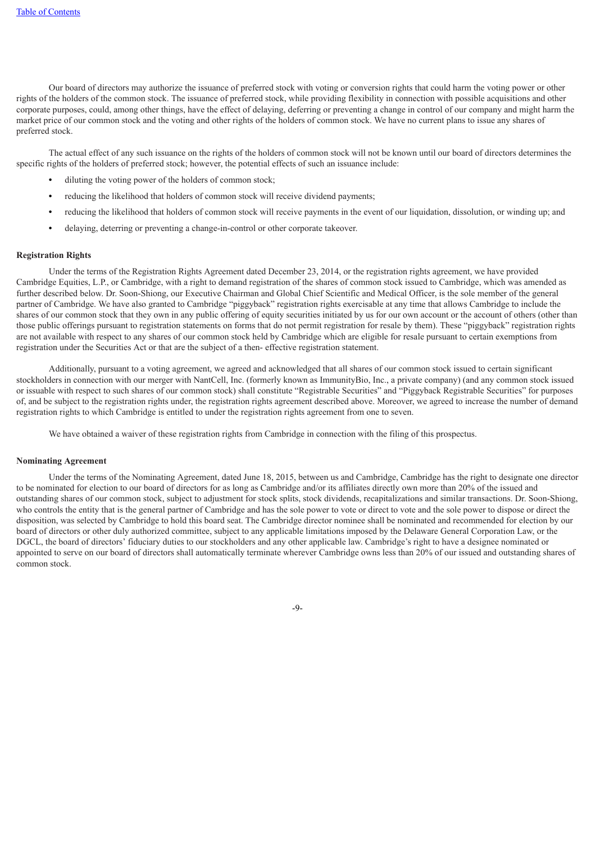Our board of directors may authorize the issuance of preferred stock with voting or conversion rights that could harm the voting power or other rights of the holders of the common stock. The issuance of preferred stock, while providing flexibility in connection with possible acquisitions and other corporate purposes, could, among other things, have the effect of delaying, deferring or preventing a change in control of our company and might harm the market price of our common stock and the voting and other rights of the holders of common stock. We have no current plans to issue any shares of preferred stock.

The actual effect of any such issuance on the rights of the holders of common stock will not be known until our board of directors determines the specific rights of the holders of preferred stock; however, the potential effects of such an issuance include:

- **•** diluting the voting power of the holders of common stock;
- **•** reducing the likelihood that holders of common stock will receive dividend payments;
- **•** reducing the likelihood that holders of common stock will receive payments in the event of our liquidation, dissolution, or winding up; and
- **•** delaying, deterring or preventing a change-in-control or other corporate takeover.

### **Registration Rights**

Under the terms of the Registration Rights Agreement dated December 23, 2014, or the registration rights agreement, we have provided Cambridge Equities, L.P., or Cambridge, with a right to demand registration of the shares of common stock issued to Cambridge, which was amended as further described below. Dr. Soon-Shiong, our Executive Chairman and Global Chief Scientific and Medical Officer, is the sole member of the general partner of Cambridge. We have also granted to Cambridge "piggyback" registration rights exercisable at any time that allows Cambridge to include the shares of our common stock that they own in any public offering of equity securities initiated by us for our own account or the account of others (other than those public offerings pursuant to registration statements on forms that do not permit registration for resale by them). These "piggyback" registration rights are not available with respect to any shares of our common stock held by Cambridge which are eligible for resale pursuant to certain exemptions from registration under the Securities Act or that are the subject of a then- effective registration statement.

Additionally, pursuant to a voting agreement, we agreed and acknowledged that all shares of our common stock issued to certain significant stockholders in connection with our merger with NantCell, Inc. (formerly known as ImmunityBio, Inc., a private company) (and any common stock issued or issuable with respect to such shares of our common stock) shall constitute "Registrable Securities" and "Piggyback Registrable Securities" for purposes of, and be subject to the registration rights under, the registration rights agreement described above. Moreover, we agreed to increase the number of demand registration rights to which Cambridge is entitled to under the registration rights agreement from one to seven.

We have obtained a waiver of these registration rights from Cambridge in connection with the filing of this prospectus.

### **Nominating Agreement**

Under the terms of the Nominating Agreement, dated June 18, 2015, between us and Cambridge, Cambridge has the right to designate one director to be nominated for election to our board of directors for as long as Cambridge and/or its affiliates directly own more than 20% of the issued and outstanding shares of our common stock, subject to adjustment for stock splits, stock dividends, recapitalizations and similar transactions. Dr. Soon-Shiong, who controls the entity that is the general partner of Cambridge and has the sole power to vote or direct to vote and the sole power to dispose or direct the disposition, was selected by Cambridge to hold this board seat. The Cambridge director nominee shall be nominated and recommended for election by our board of directors or other duly authorized committee, subject to any applicable limitations imposed by the Delaware General Corporation Law, or the DGCL, the board of directors' fiduciary duties to our stockholders and any other applicable law. Cambridge's right to have a designee nominated or appointed to serve on our board of directors shall automatically terminate wherever Cambridge owns less than 20% of our issued and outstanding shares of common stock.

-9-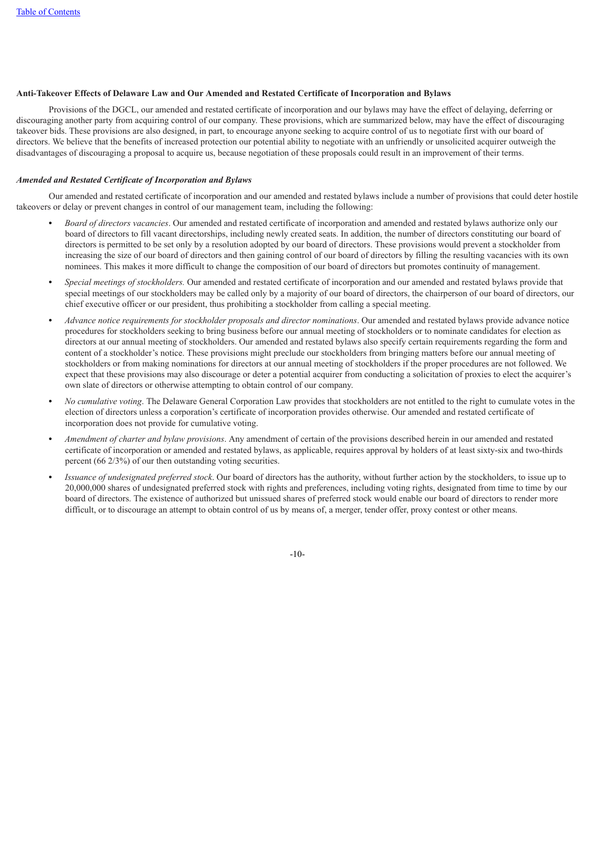# **Anti-Takeover Effects of Delaware Law and Our Amended and Restated Certificate of Incorporation and Bylaws**

Provisions of the DGCL, our amended and restated certificate of incorporation and our bylaws may have the effect of delaying, deferring or discouraging another party from acquiring control of our company. These provisions, which are summarized below, may have the effect of discouraging takeover bids. These provisions are also designed, in part, to encourage anyone seeking to acquire control of us to negotiate first with our board of directors. We believe that the benefits of increased protection our potential ability to negotiate with an unfriendly or unsolicited acquirer outweigh the disadvantages of discouraging a proposal to acquire us, because negotiation of these proposals could result in an improvement of their terms.

### *Amended and Restated Certificate of Incorporation and Bylaws*

Our amended and restated certificate of incorporation and our amended and restated bylaws include a number of provisions that could deter hostile takeovers or delay or prevent changes in control of our management team, including the following:

- **•** *Board of directors vacancies*. Our amended and restated certificate of incorporation and amended and restated bylaws authorize only our board of directors to fill vacant directorships, including newly created seats. In addition, the number of directors constituting our board of directors is permitted to be set only by a resolution adopted by our board of directors. These provisions would prevent a stockholder from increasing the size of our board of directors and then gaining control of our board of directors by filling the resulting vacancies with its own nominees. This makes it more difficult to change the composition of our board of directors but promotes continuity of management.
- **•** *Special meetings of stockholders.* Our amended and restated certificate of incorporation and our amended and restated bylaws provide that special meetings of our stockholders may be called only by a majority of our board of directors, the chairperson of our board of directors, our chief executive officer or our president, thus prohibiting a stockholder from calling a special meeting.
- **•** *Advance notice requirements for stockholder proposals and director nominations*. Our amended and restated bylaws provide advance notice procedures for stockholders seeking to bring business before our annual meeting of stockholders or to nominate candidates for election as directors at our annual meeting of stockholders. Our amended and restated bylaws also specify certain requirements regarding the form and content of a stockholder's notice. These provisions might preclude our stockholders from bringing matters before our annual meeting of stockholders or from making nominations for directors at our annual meeting of stockholders if the proper procedures are not followed. We expect that these provisions may also discourage or deter a potential acquirer from conducting a solicitation of proxies to elect the acquirer's own slate of directors or otherwise attempting to obtain control of our company.
- **•** *No cumulative voting*. The Delaware General Corporation Law provides that stockholders are not entitled to the right to cumulate votes in the election of directors unless a corporation's certificate of incorporation provides otherwise. Our amended and restated certificate of incorporation does not provide for cumulative voting.
- **•** *Amendment of charter and bylaw provisions*. Any amendment of certain of the provisions described herein in our amended and restated certificate of incorporation or amended and restated bylaws, as applicable, requires approval by holders of at least sixty-six and two-thirds percent (66 2/3%) of our then outstanding voting securities.
- **•** *Issuance of undesignated preferred stock*. Our board of directors has the authority, without further action by the stockholders, to issue up to 20,000,000 shares of undesignated preferred stock with rights and preferences, including voting rights, designated from time to time by our board of directors. The existence of authorized but unissued shares of preferred stock would enable our board of directors to render more difficult, or to discourage an attempt to obtain control of us by means of, a merger, tender offer, proxy contest or other means.

-10-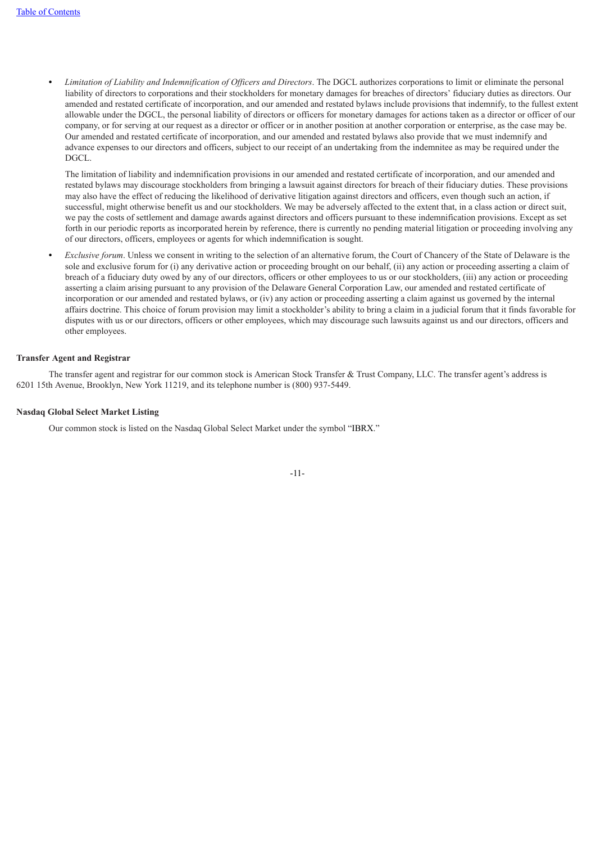**•** *Limitation of Liability and Indemnification of Of icers and Directors*. The DGCL authorizes corporations to limit or eliminate the personal liability of directors to corporations and their stockholders for monetary damages for breaches of directors' fiduciary duties as directors. Our amended and restated certificate of incorporation, and our amended and restated bylaws include provisions that indemnify, to the fullest extent allowable under the DGCL, the personal liability of directors or officers for monetary damages for actions taken as a director or officer of our company, or for serving at our request as a director or officer or in another position at another corporation or enterprise, as the case may be. Our amended and restated certificate of incorporation, and our amended and restated bylaws also provide that we must indemnify and advance expenses to our directors and officers, subject to our receipt of an undertaking from the indemnitee as may be required under the DGCL.

The limitation of liability and indemnification provisions in our amended and restated certificate of incorporation, and our amended and restated bylaws may discourage stockholders from bringing a lawsuit against directors for breach of their fiduciary duties. These provisions may also have the effect of reducing the likelihood of derivative litigation against directors and officers, even though such an action, if successful, might otherwise benefit us and our stockholders. We may be adversely affected to the extent that, in a class action or direct suit, we pay the costs of settlement and damage awards against directors and officers pursuant to these indemnification provisions. Except as set forth in our periodic reports as incorporated herein by reference, there is currently no pending material litigation or proceeding involving any of our directors, officers, employees or agents for which indemnification is sought.

**•** *Exclusive forum*. Unless we consent in writing to the selection of an alternative forum, the Court of Chancery of the State of Delaware is the sole and exclusive forum for (i) any derivative action or proceeding brought on our behalf, (ii) any action or proceeding asserting a claim of breach of a fiduciary duty owed by any of our directors, officers or other employees to us or our stockholders, (iii) any action or proceeding asserting a claim arising pursuant to any provision of the Delaware General Corporation Law, our amended and restated certificate of incorporation or our amended and restated bylaws, or (iv) any action or proceeding asserting a claim against us governed by the internal affairs doctrine. This choice of forum provision may limit a stockholder's ability to bring a claim in a judicial forum that it finds favorable for disputes with us or our directors, officers or other employees, which may discourage such lawsuits against us and our directors, officers and other employees.

### **Transfer Agent and Registrar**

The transfer agent and registrar for our common stock is American Stock Transfer & Trust Company, LLC. The transfer agent's address is 6201 15th Avenue, Brooklyn, New York 11219, and its telephone number is (800) 937-5449.

### **Nasdaq Global Select Market Listing**

<span id="page-39-0"></span>Our common stock is listed on the Nasdaq Global Select Market under the symbol "IBRX."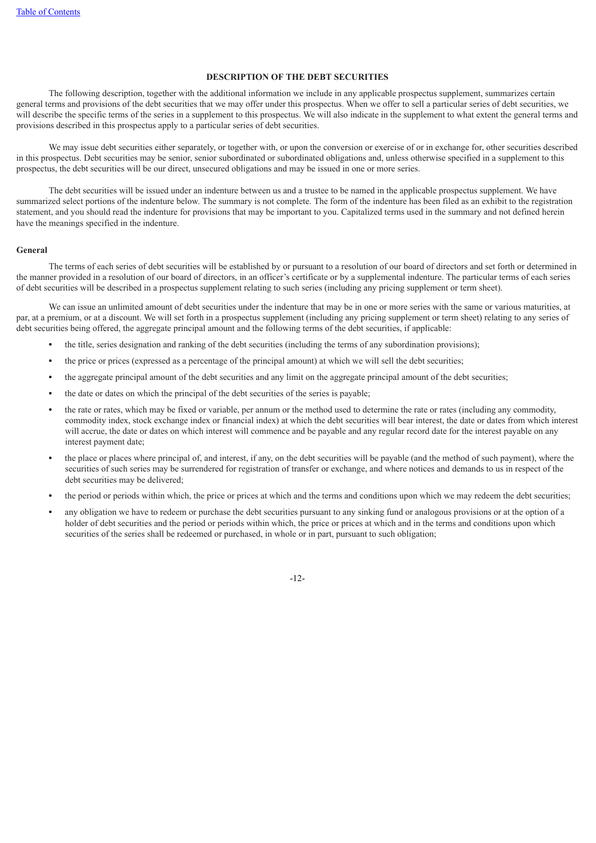# **DESCRIPTION OF THE DEBT SECURITIES**

The following description, together with the additional information we include in any applicable prospectus supplement, summarizes certain general terms and provisions of the debt securities that we may offer under this prospectus. When we offer to sell a particular series of debt securities, we will describe the specific terms of the series in a supplement to this prospectus. We will also indicate in the supplement to what extent the general terms and provisions described in this prospectus apply to a particular series of debt securities.

We may issue debt securities either separately, or together with, or upon the conversion or exercise of or in exchange for, other securities described in this prospectus. Debt securities may be senior, senior subordinated or subordinated obligations and, unless otherwise specified in a supplement to this prospectus, the debt securities will be our direct, unsecured obligations and may be issued in one or more series.

The debt securities will be issued under an indenture between us and a trustee to be named in the applicable prospectus supplement. We have summarized select portions of the indenture below. The summary is not complete. The form of the indenture has been filed as an exhibit to the registration statement, and you should read the indenture for provisions that may be important to you. Capitalized terms used in the summary and not defined herein have the meanings specified in the indenture.

### **General**

The terms of each series of debt securities will be established by or pursuant to a resolution of our board of directors and set forth or determined in the manner provided in a resolution of our board of directors, in an officer's certificate or by a supplemental indenture. The particular terms of each series of debt securities will be described in a prospectus supplement relating to such series (including any pricing supplement or term sheet).

We can issue an unlimited amount of debt securities under the indenture that may be in one or more series with the same or various maturities, at par, at a premium, or at a discount. We will set forth in a prospectus supplement (including any pricing supplement or term sheet) relating to any series of debt securities being offered, the aggregate principal amount and the following terms of the debt securities, if applicable:

- **•** the title, series designation and ranking of the debt securities (including the terms of any subordination provisions);
- **•** the price or prices (expressed as a percentage of the principal amount) at which we will sell the debt securities;
- **•** the aggregate principal amount of the debt securities and any limit on the aggregate principal amount of the debt securities;
- **•** the date or dates on which the principal of the debt securities of the series is payable;
- **•** the rate or rates, which may be fixed or variable, per annum or the method used to determine the rate or rates (including any commodity, commodity index, stock exchange index or financial index) at which the debt securities will bear interest, the date or dates from which interest will accrue, the date or dates on which interest will commence and be payable and any regular record date for the interest payable on any interest payment date;
- **•** the place or places where principal of, and interest, if any, on the debt securities will be payable (and the method of such payment), where the securities of such series may be surrendered for registration of transfer or exchange, and where notices and demands to us in respect of the debt securities may be delivered;
- **•** the period or periods within which, the price or prices at which and the terms and conditions upon which we may redeem the debt securities;
- **•** any obligation we have to redeem or purchase the debt securities pursuant to any sinking fund or analogous provisions or at the option of a holder of debt securities and the period or periods within which, the price or prices at which and in the terms and conditions upon which securities of the series shall be redeemed or purchased, in whole or in part, pursuant to such obligation;

-12-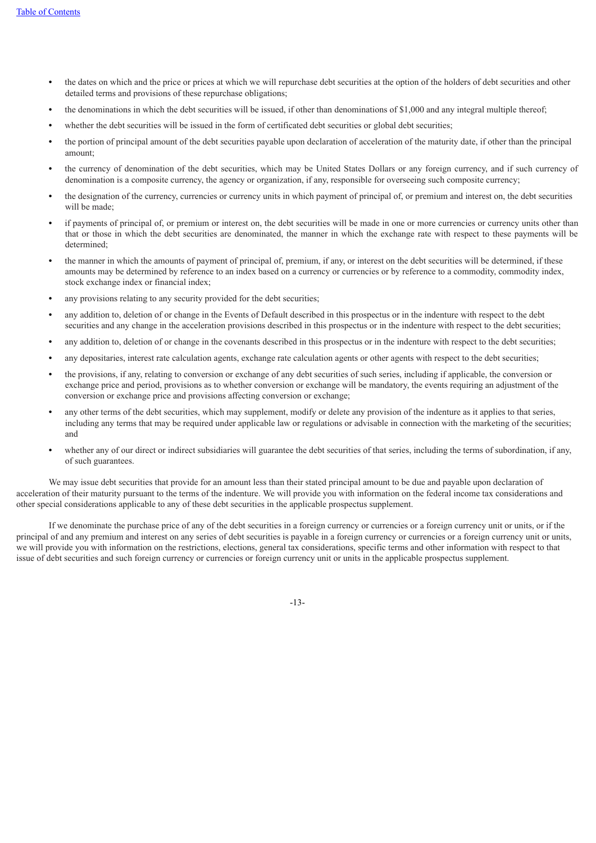- **•** the dates on which and the price or prices at which we will repurchase debt securities at the option of the holders of debt securities and other detailed terms and provisions of these repurchase obligations;
- **•** the denominations in which the debt securities will be issued, if other than denominations of \$1,000 and any integral multiple thereof;
- whether the debt securities will be issued in the form of certificated debt securities or global debt securities;
- **•** the portion of principal amount of the debt securities payable upon declaration of acceleration of the maturity date, if other than the principal amount;
- **•** the currency of denomination of the debt securities, which may be United States Dollars or any foreign currency, and if such currency of denomination is a composite currency, the agency or organization, if any, responsible for overseeing such composite currency;
- **•** the designation of the currency, currencies or currency units in which payment of principal of, or premium and interest on, the debt securities will be made;
- **•** if payments of principal of, or premium or interest on, the debt securities will be made in one or more currencies or currency units other than that or those in which the debt securities are denominated, the manner in which the exchange rate with respect to these payments will be determined;
- **•** the manner in which the amounts of payment of principal of, premium, if any, or interest on the debt securities will be determined, if these amounts may be determined by reference to an index based on a currency or currencies or by reference to a commodity, commodity index, stock exchange index or financial index;
- any provisions relating to any security provided for the debt securities;
- **•** any addition to, deletion of or change in the Events of Default described in this prospectus or in the indenture with respect to the debt securities and any change in the acceleration provisions described in this prospectus or in the indenture with respect to the debt securities;
- any addition to, deletion of or change in the covenants described in this prospectus or in the indenture with respect to the debt securities;
- **•** any depositaries, interest rate calculation agents, exchange rate calculation agents or other agents with respect to the debt securities;
- **•** the provisions, if any, relating to conversion or exchange of any debt securities of such series, including if applicable, the conversion or exchange price and period, provisions as to whether conversion or exchange will be mandatory, the events requiring an adjustment of the conversion or exchange price and provisions affecting conversion or exchange;
- **•** any other terms of the debt securities, which may supplement, modify or delete any provision of the indenture as it applies to that series, including any terms that may be required under applicable law or regulations or advisable in connection with the marketing of the securities; and
- whether any of our direct or indirect subsidiaries will guarantee the debt securities of that series, including the terms of subordination, if any, of such guarantees.

We may issue debt securities that provide for an amount less than their stated principal amount to be due and payable upon declaration of acceleration of their maturity pursuant to the terms of the indenture. We will provide you with information on the federal income tax considerations and other special considerations applicable to any of these debt securities in the applicable prospectus supplement.

If we denominate the purchase price of any of the debt securities in a foreign currency or currencies or a foreign currency unit or units, or if the principal of and any premium and interest on any series of debt securities is payable in a foreign currency or currencies or a foreign currency unit or units, we will provide you with information on the restrictions, elections, general tax considerations, specific terms and other information with respect to that issue of debt securities and such foreign currency or currencies or foreign currency unit or units in the applicable prospectus supplement.

-13-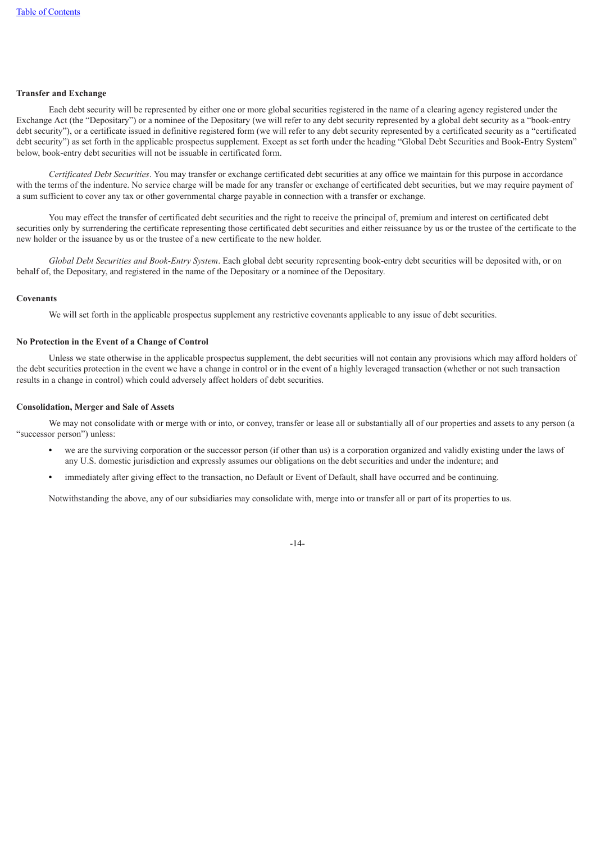# **Transfer and Exchange**

Each debt security will be represented by either one or more global securities registered in the name of a clearing agency registered under the Exchange Act (the "Depositary") or a nominee of the Depositary (we will refer to any debt security represented by a global debt security as a "book-entry debt security"), or a certificate issued in definitive registered form (we will refer to any debt security represented by a certificated security as a "certificated debt security") as set forth in the applicable prospectus supplement. Except as set forth under the heading "Global Debt Securities and Book-Entry System" below, book-entry debt securities will not be issuable in certificated form.

*Certificated Debt Securities*. You may transfer or exchange certificated debt securities at any office we maintain for this purpose in accordance with the terms of the indenture. No service charge will be made for any transfer or exchange of certificated debt securities, but we may require payment of a sum sufficient to cover any tax or other governmental charge payable in connection with a transfer or exchange.

You may effect the transfer of certificated debt securities and the right to receive the principal of, premium and interest on certificated debt securities only by surrendering the certificate representing those certificated debt securities and either reissuance by us or the trustee of the certificate to the new holder or the issuance by us or the trustee of a new certificate to the new holder.

*Global Debt Securities and Book-Entry System*. Each global debt security representing book-entry debt securities will be deposited with, or on behalf of, the Depositary, and registered in the name of the Depositary or a nominee of the Depositary.

# **Covenants**

We will set forth in the applicable prospectus supplement any restrictive covenants applicable to any issue of debt securities.

### **No Protection in the Event of a Change of Control**

Unless we state otherwise in the applicable prospectus supplement, the debt securities will not contain any provisions which may afford holders of the debt securities protection in the event we have a change in control or in the event of a highly leveraged transaction (whether or not such transaction results in a change in control) which could adversely affect holders of debt securities.

### **Consolidation, Merger and Sale of Assets**

We may not consolidate with or merge with or into, or convey, transfer or lease all or substantially all of our properties and assets to any person (a "successor person") unless:

- **•** we are the surviving corporation or the successor person (if other than us) is a corporation organized and validly existing under the laws of any U.S. domestic jurisdiction and expressly assumes our obligations on the debt securities and under the indenture; and
- **•** immediately after giving effect to the transaction, no Default or Event of Default, shall have occurred and be continuing.

Notwithstanding the above, any of our subsidiaries may consolidate with, merge into or transfer all or part of its properties to us.

-14-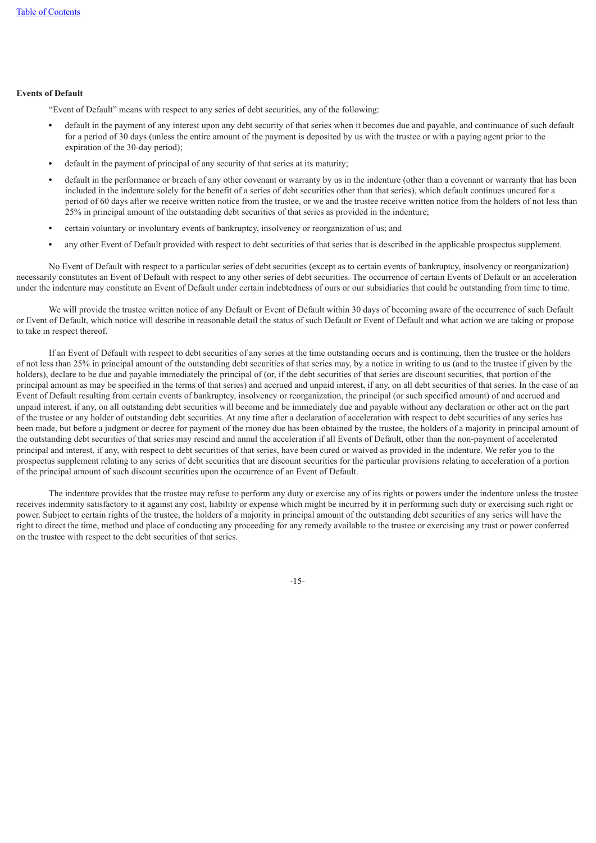# **Events of Default**

"Event of Default" means with respect to any series of debt securities, any of the following:

- **•** default in the payment of any interest upon any debt security of that series when it becomes due and payable, and continuance of such default for a period of 30 days (unless the entire amount of the payment is deposited by us with the trustee or with a paying agent prior to the expiration of the 30-day period);
- **•** default in the payment of principal of any security of that series at its maturity;
- **•** default in the performance or breach of any other covenant or warranty by us in the indenture (other than a covenant or warranty that has been included in the indenture solely for the benefit of a series of debt securities other than that series), which default continues uncured for a period of 60 days after we receive written notice from the trustee, or we and the trustee receive written notice from the holders of not less than 25% in principal amount of the outstanding debt securities of that series as provided in the indenture;
- **•** certain voluntary or involuntary events of bankruptcy, insolvency or reorganization of us; and
- **•** any other Event of Default provided with respect to debt securities of that series that is described in the applicable prospectus supplement.

No Event of Default with respect to a particular series of debt securities (except as to certain events of bankruptcy, insolvency or reorganization) necessarily constitutes an Event of Default with respect to any other series of debt securities. The occurrence of certain Events of Default or an acceleration under the indenture may constitute an Event of Default under certain indebtedness of ours or our subsidiaries that could be outstanding from time to time.

We will provide the trustee written notice of any Default or Event of Default within 30 days of becoming aware of the occurrence of such Default or Event of Default, which notice will describe in reasonable detail the status of such Default or Event of Default and what action we are taking or propose to take in respect thereof.

If an Event of Default with respect to debt securities of any series at the time outstanding occurs and is continuing, then the trustee or the holders of not less than 25% in principal amount of the outstanding debt securities of that series may, by a notice in writing to us (and to the trustee if given by the holders), declare to be due and payable immediately the principal of (or, if the debt securities of that series are discount securities, that portion of the principal amount as may be specified in the terms of that series) and accrued and unpaid interest, if any, on all debt securities of that series. In the case of an Event of Default resulting from certain events of bankruptcy, insolvency or reorganization, the principal (or such specified amount) of and accrued and unpaid interest, if any, on all outstanding debt securities will become and be immediately due and payable without any declaration or other act on the part of the trustee or any holder of outstanding debt securities. At any time after a declaration of acceleration with respect to debt securities of any series has been made, but before a judgment or decree for payment of the money due has been obtained by the trustee, the holders of a majority in principal amount of the outstanding debt securities of that series may rescind and annul the acceleration if all Events of Default, other than the non-payment of accelerated principal and interest, if any, with respect to debt securities of that series, have been cured or waived as provided in the indenture. We refer you to the prospectus supplement relating to any series of debt securities that are discount securities for the particular provisions relating to acceleration of a portion of the principal amount of such discount securities upon the occurrence of an Event of Default.

The indenture provides that the trustee may refuse to perform any duty or exercise any of its rights or powers under the indenture unless the trustee receives indemnity satisfactory to it against any cost, liability or expense which might be incurred by it in performing such duty or exercising such right or power. Subject to certain rights of the trustee, the holders of a majority in principal amount of the outstanding debt securities of any series will have the right to direct the time, method and place of conducting any proceeding for any remedy available to the trustee or exercising any trust or power conferred on the trustee with respect to the debt securities of that series.

-15-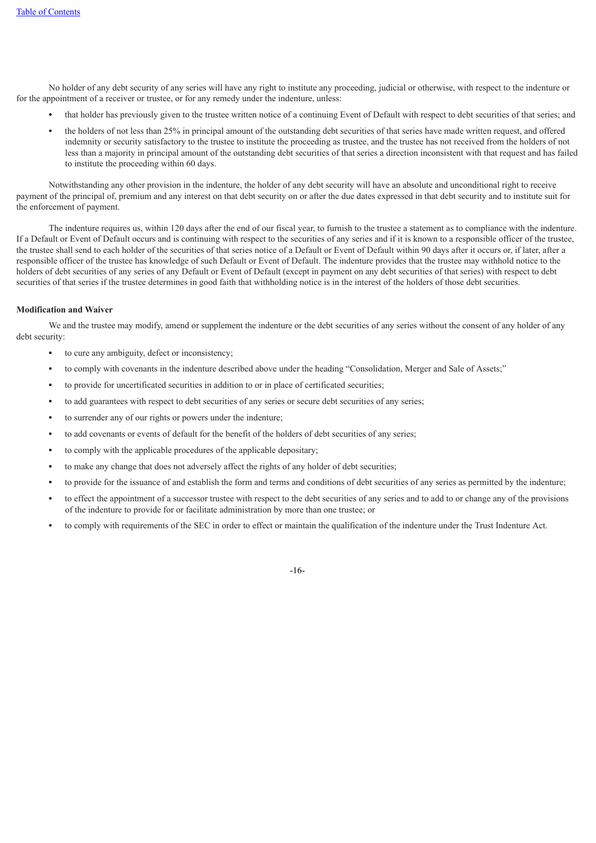No holder of any debt security of any series will have any right to institute any proceeding, judicial or otherwise, with respect to the indenture or for the appointment of a receiver or trustee, or for any remedy under the indenture, unless:

- **•** that holder has previously given to the trustee written notice of a continuing Event of Default with respect to debt securities of that series; and
- **•** the holders of not less than 25% in principal amount of the outstanding debt securities of that series have made written request, and offered indemnity or security satisfactory to the trustee to institute the proceeding as trustee, and the trustee has not received from the holders of not less than a majority in principal amount of the outstanding debt securities of that series a direction inconsistent with that request and has failed to institute the proceeding within 60 days.

Notwithstanding any other provision in the indenture, the holder of any debt security will have an absolute and unconditional right to receive payment of the principal of, premium and any interest on that debt security on or after the due dates expressed in that debt security and to institute suit for the enforcement of payment.

The indenture requires us, within 120 days after the end of our fiscal year, to furnish to the trustee a statement as to compliance with the indenture. If a Default or Event of Default occurs and is continuing with respect to the securities of any series and if it is known to a responsible officer of the trustee, the trustee shall send to each holder of the securities of that series notice of a Default or Event of Default within 90 days after it occurs or, if later, after a responsible officer of the trustee has knowledge of such Default or Event of Default. The indenture provides that the trustee may withhold notice to the holders of debt securities of any series of any Default or Event of Default (except in payment on any debt securities of that series) with respect to debt securities of that series if the trustee determines in good faith that withholding notice is in the interest of the holders of those debt securities.

# **Modification and Waiver**

We and the trustee may modify, amend or supplement the indenture or the debt securities of any series without the consent of any holder of any debt security:

- **•** to cure any ambiguity, defect or inconsistency;
- **•** to comply with covenants in the indenture described above under the heading "Consolidation, Merger and Sale of Assets;"
- **•** to provide for uncertificated securities in addition to or in place of certificated securities;
- to add guarantees with respect to debt securities of any series or secure debt securities of any series;
- **•** to surrender any of our rights or powers under the indenture;
- **•** to add covenants or events of default for the benefit of the holders of debt securities of any series;
- **•** to comply with the applicable procedures of the applicable depositary;
- **•** to make any change that does not adversely affect the rights of any holder of debt securities;
- **•** to provide for the issuance of and establish the form and terms and conditions of debt securities of any series as permitted by the indenture;
- **•** to effect the appointment of a successor trustee with respect to the debt securities of any series and to add to or change any of the provisions of the indenture to provide for or facilitate administration by more than one trustee; or
- **•** to comply with requirements of the SEC in order to effect or maintain the qualification of the indenture under the Trust Indenture Act.

-16-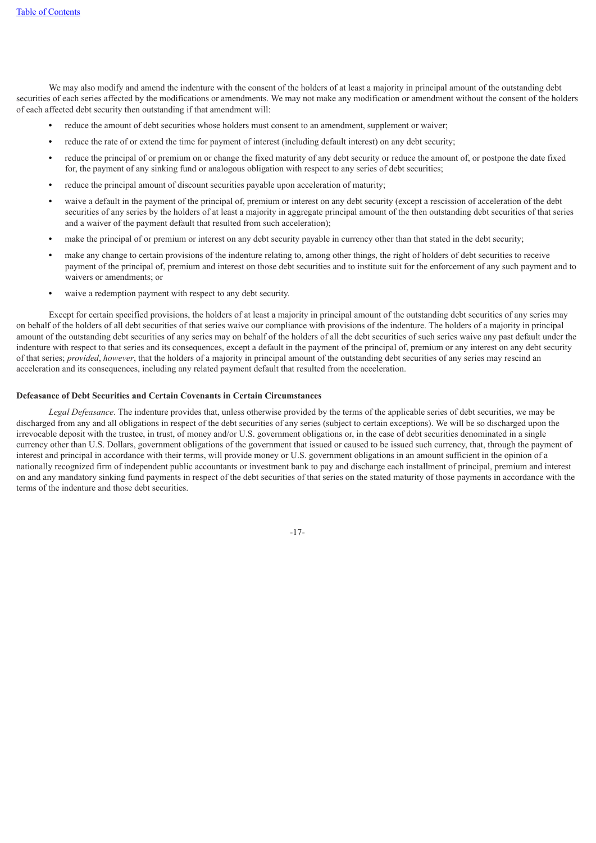We may also modify and amend the indenture with the consent of the holders of at least a majority in principal amount of the outstanding debt securities of each series affected by the modifications or amendments. We may not make any modification or amendment without the consent of the holders of each affected debt security then outstanding if that amendment will:

- **•** reduce the amount of debt securities whose holders must consent to an amendment, supplement or waiver;
- **•** reduce the rate of or extend the time for payment of interest (including default interest) on any debt security;
- **•** reduce the principal of or premium on or change the fixed maturity of any debt security or reduce the amount of, or postpone the date fixed for, the payment of any sinking fund or analogous obligation with respect to any series of debt securities;
- **•** reduce the principal amount of discount securities payable upon acceleration of maturity;
- **•** waive a default in the payment of the principal of, premium or interest on any debt security (except a rescission of acceleration of the debt securities of any series by the holders of at least a majority in aggregate principal amount of the then outstanding debt securities of that series and a waiver of the payment default that resulted from such acceleration);
- **•** make the principal of or premium or interest on any debt security payable in currency other than that stated in the debt security;
- **•** make any change to certain provisions of the indenture relating to, among other things, the right of holders of debt securities to receive payment of the principal of, premium and interest on those debt securities and to institute suit for the enforcement of any such payment and to waivers or amendments; or
- **•** waive a redemption payment with respect to any debt security.

Except for certain specified provisions, the holders of at least a majority in principal amount of the outstanding debt securities of any series may on behalf of the holders of all debt securities of that series waive our compliance with provisions of the indenture. The holders of a majority in principal amount of the outstanding debt securities of any series may on behalf of the holders of all the debt securities of such series waive any past default under the indenture with respect to that series and its consequences, except a default in the payment of the principal of, premium or any interest on any debt security of that series; *provided*, *however*, that the holders of a majority in principal amount of the outstanding debt securities of any series may rescind an acceleration and its consequences, including any related payment default that resulted from the acceleration.

### **Defeasance of Debt Securities and Certain Covenants in Certain Circumstances**

*Legal Defeasance*. The indenture provides that, unless otherwise provided by the terms of the applicable series of debt securities, we may be discharged from any and all obligations in respect of the debt securities of any series (subject to certain exceptions). We will be so discharged upon the irrevocable deposit with the trustee, in trust, of money and/or U.S. government obligations or, in the case of debt securities denominated in a single currency other than U.S. Dollars, government obligations of the government that issued or caused to be issued such currency, that, through the payment of interest and principal in accordance with their terms, will provide money or U.S. government obligations in an amount sufficient in the opinion of a nationally recognized firm of independent public accountants or investment bank to pay and discharge each installment of principal, premium and interest on and any mandatory sinking fund payments in respect of the debt securities of that series on the stated maturity of those payments in accordance with the terms of the indenture and those debt securities.

-17-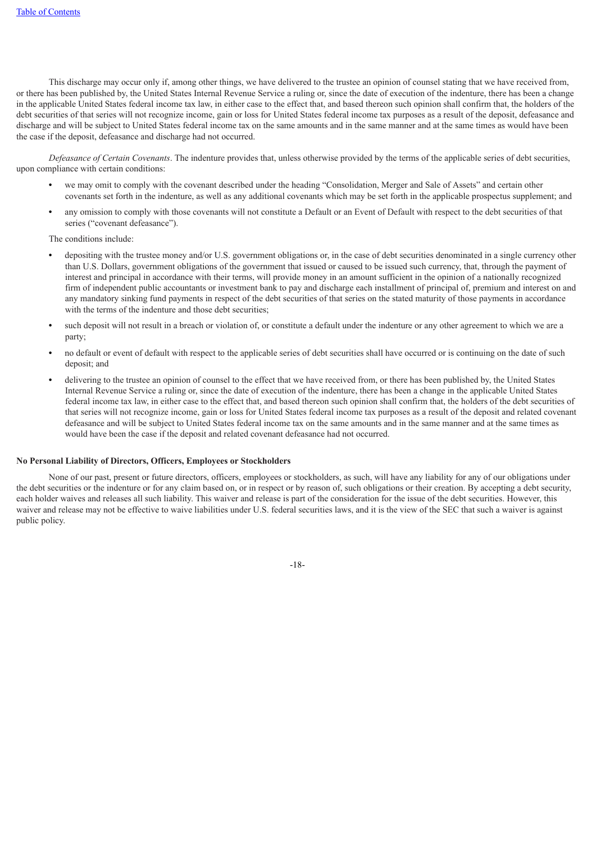This discharge may occur only if, among other things, we have delivered to the trustee an opinion of counsel stating that we have received from, or there has been published by, the United States Internal Revenue Service a ruling or, since the date of execution of the indenture, there has been a change in the applicable United States federal income tax law, in either case to the effect that, and based thereon such opinion shall confirm that, the holders of the debt securities of that series will not recognize income, gain or loss for United States federal income tax purposes as a result of the deposit, defeasance and discharge and will be subject to United States federal income tax on the same amounts and in the same manner and at the same times as would have been the case if the deposit, defeasance and discharge had not occurred.

*Defeasance of Certain Covenants*. The indenture provides that, unless otherwise provided by the terms of the applicable series of debt securities, upon compliance with certain conditions:

- **•** we may omit to comply with the covenant described under the heading "Consolidation, Merger and Sale of Assets" and certain other covenants set forth in the indenture, as well as any additional covenants which may be set forth in the applicable prospectus supplement; and
- **•** any omission to comply with those covenants will not constitute a Default or an Event of Default with respect to the debt securities of that series ("covenant defeasance").

The conditions include:

- **•** depositing with the trustee money and/or U.S. government obligations or, in the case of debt securities denominated in a single currency other than U.S. Dollars, government obligations of the government that issued or caused to be issued such currency, that, through the payment of interest and principal in accordance with their terms, will provide money in an amount sufficient in the opinion of a nationally recognized firm of independent public accountants or investment bank to pay and discharge each installment of principal of, premium and interest on and any mandatory sinking fund payments in respect of the debt securities of that series on the stated maturity of those payments in accordance with the terms of the indenture and those debt securities;
- **•** such deposit will not result in a breach or violation of, or constitute a default under the indenture or any other agreement to which we are a party;
- **•** no default or event of default with respect to the applicable series of debt securities shall have occurred or is continuing on the date of such deposit; and
- **•** delivering to the trustee an opinion of counsel to the effect that we have received from, or there has been published by, the United States Internal Revenue Service a ruling or, since the date of execution of the indenture, there has been a change in the applicable United States federal income tax law, in either case to the effect that, and based thereon such opinion shall confirm that, the holders of the debt securities of that series will not recognize income, gain or loss for United States federal income tax purposes as a result of the deposit and related covenant defeasance and will be subject to United States federal income tax on the same amounts and in the same manner and at the same times as would have been the case if the deposit and related covenant defeasance had not occurred.

### **No Personal Liability of Directors, Officers, Employees or Stockholders**

None of our past, present or future directors, officers, employees or stockholders, as such, will have any liability for any of our obligations under the debt securities or the indenture or for any claim based on, or in respect or by reason of, such obligations or their creation. By accepting a debt security, each holder waives and releases all such liability. This waiver and release is part of the consideration for the issue of the debt securities. However, this waiver and release may not be effective to waive liabilities under U.S. federal securities laws, and it is the view of the SEC that such a waiver is against public policy.

-18-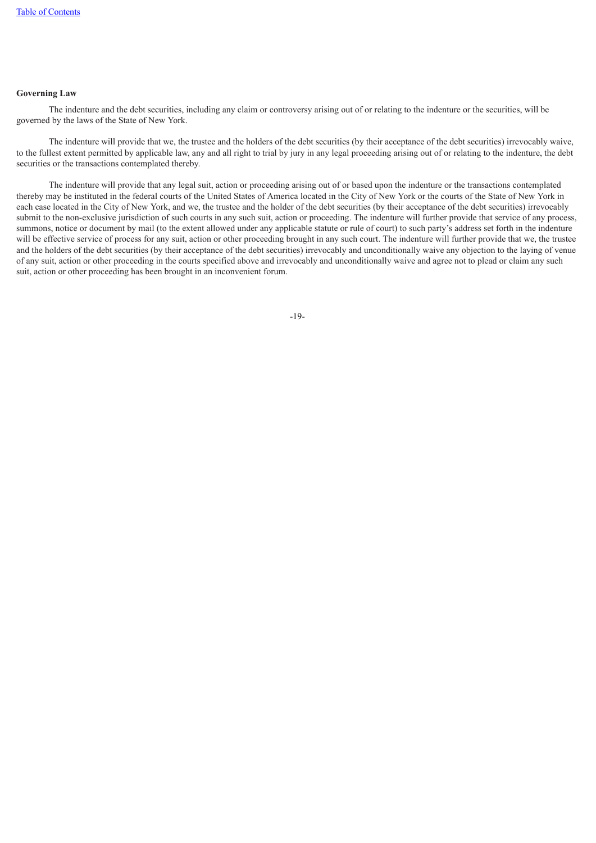# **Governing Law**

The indenture and the debt securities, including any claim or controversy arising out of or relating to the indenture or the securities, will be governed by the laws of the State of New York.

The indenture will provide that we, the trustee and the holders of the debt securities (by their acceptance of the debt securities) irrevocably waive, to the fullest extent permitted by applicable law, any and all right to trial by jury in any legal proceeding arising out of or relating to the indenture, the debt securities or the transactions contemplated thereby.

<span id="page-47-0"></span>The indenture will provide that any legal suit, action or proceeding arising out of or based upon the indenture or the transactions contemplated thereby may be instituted in the federal courts of the United States of America located in the City of New York or the courts of the State of New York in each case located in the City of New York, and we, the trustee and the holder of the debt securities (by their acceptance of the debt securities) irrevocably submit to the non-exclusive jurisdiction of such courts in any such suit, action or proceeding. The indenture will further provide that service of any process, summons, notice or document by mail (to the extent allowed under any applicable statute or rule of court) to such party's address set forth in the indenture will be effective service of process for any suit, action or other proceeding brought in any such court. The indenture will further provide that we, the trustee and the holders of the debt securities (by their acceptance of the debt securities) irrevocably and unconditionally waive any objection to the laying of venue of any suit, action or other proceeding in the courts specified above and irrevocably and unconditionally waive and agree not to plead or claim any such suit, action or other proceeding has been brought in an inconvenient forum.

-19-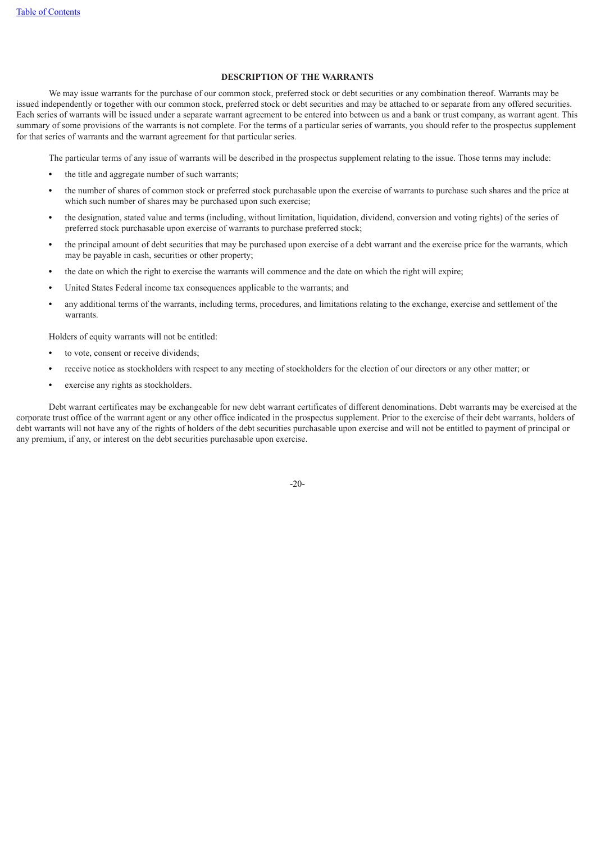# **DESCRIPTION OF THE WARRANTS**

We may issue warrants for the purchase of our common stock, preferred stock or debt securities or any combination thereof. Warrants may be issued independently or together with our common stock, preferred stock or debt securities and may be attached to or separate from any offered securities. Each series of warrants will be issued under a separate warrant agreement to be entered into between us and a bank or trust company, as warrant agent. This summary of some provisions of the warrants is not complete. For the terms of a particular series of warrants, you should refer to the prospectus supplement for that series of warrants and the warrant agreement for that particular series.

The particular terms of any issue of warrants will be described in the prospectus supplement relating to the issue. Those terms may include:

- **•** the title and aggregate number of such warrants;
- **•** the number of shares of common stock or preferred stock purchasable upon the exercise of warrants to purchase such shares and the price at which such number of shares may be purchased upon such exercise;
- **•** the designation, stated value and terms (including, without limitation, liquidation, dividend, conversion and voting rights) of the series of preferred stock purchasable upon exercise of warrants to purchase preferred stock;
- **•** the principal amount of debt securities that may be purchased upon exercise of a debt warrant and the exercise price for the warrants, which may be payable in cash, securities or other property;
- **•** the date on which the right to exercise the warrants will commence and the date on which the right will expire;
- **•** United States Federal income tax consequences applicable to the warrants; and
- **•** any additional terms of the warrants, including terms, procedures, and limitations relating to the exchange, exercise and settlement of the warrants.

Holders of equity warrants will not be entitled:

- **•** to vote, consent or receive dividends;
- **•** receive notice as stockholders with respect to any meeting of stockholders for the election of our directors or any other matter; or
- **•** exercise any rights as stockholders.

Debt warrant certificates may be exchangeable for new debt warrant certificates of different denominations. Debt warrants may be exercised at the corporate trust office of the warrant agent or any other office indicated in the prospectus supplement. Prior to the exercise of their debt warrants, holders of debt warrants will not have any of the rights of holders of the debt securities purchasable upon exercise and will not be entitled to payment of principal or any premium, if any, or interest on the debt securities purchasable upon exercise.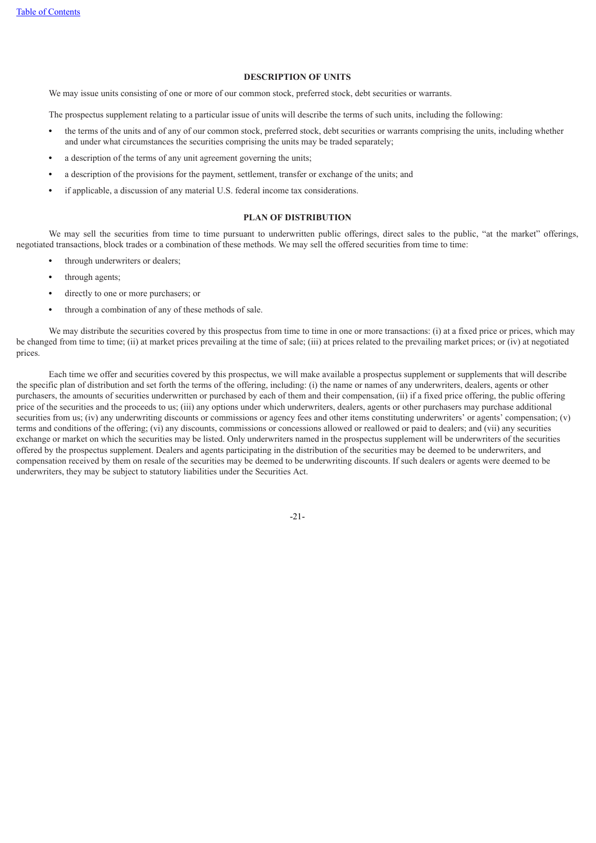# **DESCRIPTION OF UNITS**

We may issue units consisting of one or more of our common stock, preferred stock, debt securities or warrants.

The prospectus supplement relating to a particular issue of units will describe the terms of such units, including the following:

- **•** the terms of the units and of any of our common stock, preferred stock, debt securities or warrants comprising the units, including whether and under what circumstances the securities comprising the units may be traded separately;
- **•** a description of the terms of any unit agreement governing the units;
- **•** a description of the provisions for the payment, settlement, transfer or exchange of the units; and
- **•** if applicable, a discussion of any material U.S. federal income tax considerations.

# **PLAN OF DISTRIBUTION**

<span id="page-49-0"></span>We may sell the securities from time to time pursuant to underwritten public offerings, direct sales to the public, "at the market" offerings, negotiated transactions, block trades or a combination of these methods. We may sell the offered securities from time to time:

- **•** through underwriters or dealers;
- **•** through agents;
- **•** directly to one or more purchasers; or
- **•** through a combination of any of these methods of sale.

We may distribute the securities covered by this prospectus from time to time in one or more transactions: (i) at a fixed price or prices, which may be changed from time to time; (ii) at market prices prevailing at the time of sale; (iii) at prices related to the prevailing market prices; or (iv) at negotiated prices.

Each time we offer and securities covered by this prospectus, we will make available a prospectus supplement or supplements that will describe the specific plan of distribution and set forth the terms of the offering, including: (i) the name or names of any underwriters, dealers, agents or other purchasers, the amounts of securities underwritten or purchased by each of them and their compensation, (ii) if a fixed price offering, the public offering price of the securities and the proceeds to us; (iii) any options under which underwriters, dealers, agents or other purchasers may purchase additional securities from us; (iv) any underwriting discounts or commissions or agency fees and other items constituting underwriters' or agents' compensation; (v) terms and conditions of the offering; (vi) any discounts, commissions or concessions allowed or reallowed or paid to dealers; and (vii) any securities exchange or market on which the securities may be listed. Only underwriters named in the prospectus supplement will be underwriters of the securities offered by the prospectus supplement. Dealers and agents participating in the distribution of the securities may be deemed to be underwriters, and compensation received by them on resale of the securities may be deemed to be underwriting discounts. If such dealers or agents were deemed to be underwriters, they may be subject to statutory liabilities under the Securities Act.

-21-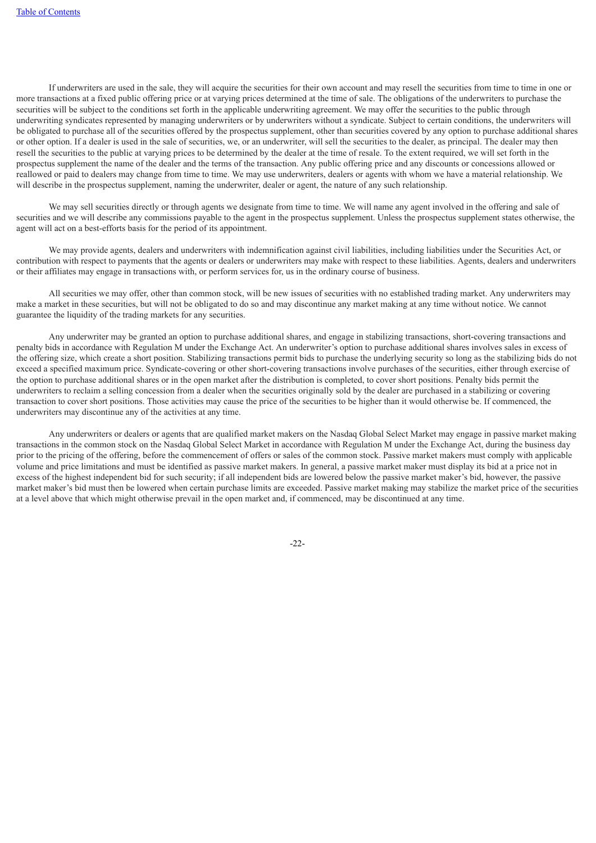If underwriters are used in the sale, they will acquire the securities for their own account and may resell the securities from time to time in one or more transactions at a fixed public offering price or at varying prices determined at the time of sale. The obligations of the underwriters to purchase the securities will be subject to the conditions set forth in the applicable underwriting agreement. We may offer the securities to the public through underwriting syndicates represented by managing underwriters or by underwriters without a syndicate. Subject to certain conditions, the underwriters will be obligated to purchase all of the securities offered by the prospectus supplement, other than securities covered by any option to purchase additional shares or other option. If a dealer is used in the sale of securities, we, or an underwriter, will sell the securities to the dealer, as principal. The dealer may then resell the securities to the public at varying prices to be determined by the dealer at the time of resale. To the extent required, we will set forth in the prospectus supplement the name of the dealer and the terms of the transaction. Any public offering price and any discounts or concessions allowed or reallowed or paid to dealers may change from time to time. We may use underwriters, dealers or agents with whom we have a material relationship. We will describe in the prospectus supplement, naming the underwriter, dealer or agent, the nature of any such relationship.

We may sell securities directly or through agents we designate from time to time. We will name any agent involved in the offering and sale of securities and we will describe any commissions payable to the agent in the prospectus supplement. Unless the prospectus supplement states otherwise, the agent will act on a best-efforts basis for the period of its appointment.

We may provide agents, dealers and underwriters with indemnification against civil liabilities, including liabilities under the Securities Act, or contribution with respect to payments that the agents or dealers or underwriters may make with respect to these liabilities. Agents, dealers and underwriters or their affiliates may engage in transactions with, or perform services for, us in the ordinary course of business.

All securities we may offer, other than common stock, will be new issues of securities with no established trading market. Any underwriters may make a market in these securities, but will not be obligated to do so and may discontinue any market making at any time without notice. We cannot guarantee the liquidity of the trading markets for any securities.

Any underwriter may be granted an option to purchase additional shares, and engage in stabilizing transactions, short-covering transactions and penalty bids in accordance with Regulation M under the Exchange Act. An underwriter's option to purchase additional shares involves sales in excess of the offering size, which create a short position. Stabilizing transactions permit bids to purchase the underlying security so long as the stabilizing bids do not exceed a specified maximum price. Syndicate-covering or other short-covering transactions involve purchases of the securities, either through exercise of the option to purchase additional shares or in the open market after the distribution is completed, to cover short positions. Penalty bids permit the underwriters to reclaim a selling concession from a dealer when the securities originally sold by the dealer are purchased in a stabilizing or covering transaction to cover short positions. Those activities may cause the price of the securities to be higher than it would otherwise be. If commenced, the underwriters may discontinue any of the activities at any time.

<span id="page-50-0"></span>Any underwriters or dealers or agents that are qualified market makers on the Nasdaq Global Select Market may engage in passive market making transactions in the common stock on the Nasdaq Global Select Market in accordance with Regulation M under the Exchange Act, during the business day prior to the pricing of the offering, before the commencement of offers or sales of the common stock. Passive market makers must comply with applicable volume and price limitations and must be identified as passive market makers. In general, a passive market maker must display its bid at a price not in excess of the highest independent bid for such security; if all independent bids are lowered below the passive market maker's bid, however, the passive market maker's bid must then be lowered when certain purchase limits are exceeded. Passive market making may stabilize the market price of the securities at a level above that which might otherwise prevail in the open market and, if commenced, may be discontinued at any time.

-22-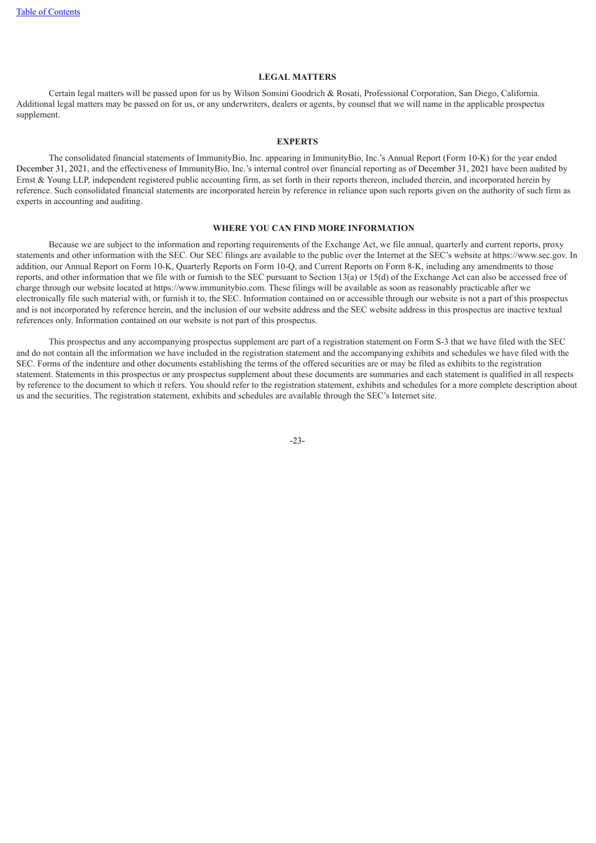# **LEGAL MATTERS**

<span id="page-51-0"></span>Certain legal matters will be passed upon for us by Wilson Sonsini Goodrich & Rosati, Professional Corporation, San Diego, California. Additional legal matters may be passed on for us, or any underwriters, dealers or agents, by counsel that we will name in the applicable prospectus supplement.

### **EXPERTS**

The consolidated financial statements of ImmunityBio, Inc. appearing in ImmunityBio, Inc.'s Annual Report (Form 10-K) for the year ended December 31, 2021, and the effectiveness of ImmunityBio, Inc.'s internal control over financial reporting as of December 31, 2021 have been audited by Ernst & Young LLP, independent registered public accounting firm, as set forth in their reports thereon, included therein, and incorporated herein by reference. Such consolidated financial statements are incorporated herein by reference in reliance upon such reports given on the authority of such firm as experts in accounting and auditing.

# **WHERE YOU CAN FIND MORE INFORMATION**

<span id="page-51-1"></span>Because we are subject to the information and reporting requirements of the Exchange Act, we file annual, quarterly and current reports, proxy statements and other information with the SEC. Our SEC filings are available to the public over the Internet at the SEC's website at https://www.sec.gov. In addition, our Annual Report on Form 10-K, Quarterly Reports on Form 10-Q, and Current Reports on Form 8-K, including any amendments to those reports, and other information that we file with or furnish to the SEC pursuant to Section 13(a) or 15(d) of the Exchange Act can also be accessed free of charge through our website located at https://www.immunitybio.com. These filings will be available as soon as reasonably practicable after we electronically file such material with, or furnish it to, the SEC. Information contained on or accessible through our website is not a part of this prospectus and is not incorporated by reference herein, and the inclusion of our website address and the SEC website address in this prospectus are inactive textual references only. Information contained on our website is not part of this prospectus.

<span id="page-51-2"></span>This prospectus and any accompanying prospectus supplement are part of a registration statement on Form S-3 that we have filed with the SEC and do not contain all the information we have included in the registration statement and the accompanying exhibits and schedules we have filed with the SEC. Forms of the indenture and other documents establishing the terms of the offered securities are or may be filed as exhibits to the registration statement. Statements in this prospectus or any prospectus supplement about these documents are summaries and each statement is qualified in all respects by reference to the document to which it refers. You should refer to the registration statement, exhibits and schedules for a more complete description about us and the securities. The registration statement, exhibits and schedules are available through the SEC's Internet site.

-23-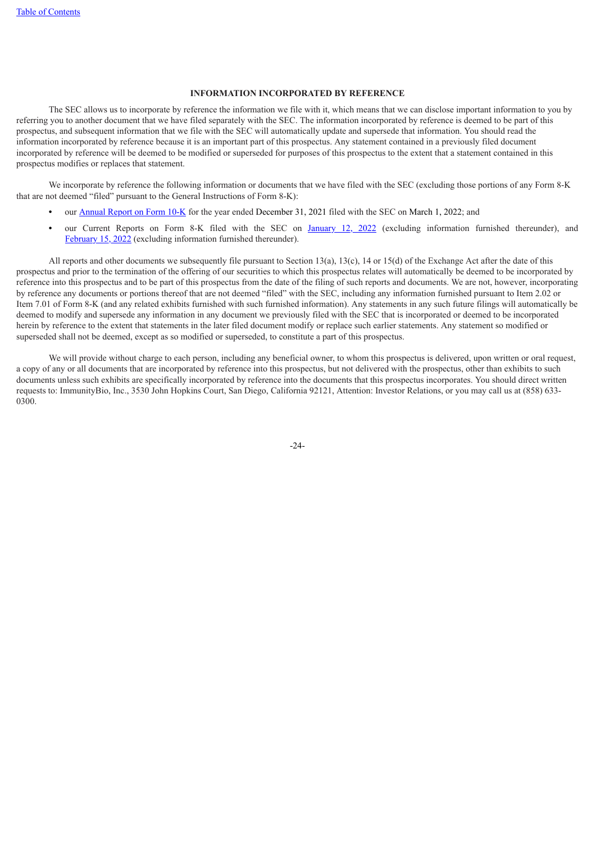# **INFORMATION INCORPORATED BY REFERENCE**

The SEC allows us to incorporate by reference the information we file with it, which means that we can disclose important information to you by referring you to another document that we have filed separately with the SEC. The information incorporated by reference is deemed to be part of this prospectus, and subsequent information that we file with the SEC will automatically update and supersede that information. You should read the information incorporated by reference because it is an important part of this prospectus. Any statement contained in a previously filed document incorporated by reference will be deemed to be modified or superseded for purposes of this prospectus to the extent that a statement contained in this prospectus modifies or replaces that statement.

We incorporate by reference the following information or documents that we have filed with the SEC (excluding those portions of any Form 8-K that are not deemed "filed" pursuant to the General Instructions of Form 8-K):

- our **[Annual](https://www.sec.gov/Archives/edgar/data/1326110/000132611022000011/ibrx-20211231.htm) Report on Form [10-K](https://www.sec.gov/Archives/edgar/data/1326110/000132611022000011/ibrx-20211231.htm)** for the year ended December 31, 2021 filed with the SEC on March 1, 2022; and
- **•** our Current Reports on Form 8-K filed with the SEC on [January](https://www.sec.gov/Archives/edgar/data/1326110/000119312522007333/d276464d8k.htm) 12, 2022 (excluding information furnished thereunder), and [February](https://www.sec.gov/Archives/edgar/data/1326110/000119312522042967/d318218d8k.htm) 15, 2022 (excluding information furnished thereunder).

All reports and other documents we subsequently file pursuant to Section 13(a), 13(c), 14 or 15(d) of the Exchange Act after the date of this prospectus and prior to the termination of the offering of our securities to which this prospectus relates will automatically be deemed to be incorporated by reference into this prospectus and to be part of this prospectus from the date of the filing of such reports and documents. We are not, however, incorporating by reference any documents or portions thereof that are not deemed "filed" with the SEC, including any information furnished pursuant to Item 2.02 or Item 7.01 of Form 8-K (and any related exhibits furnished with such furnished information). Any statements in any such future filings will automatically be deemed to modify and supersede any information in any document we previously filed with the SEC that is incorporated or deemed to be incorporated herein by reference to the extent that statements in the later filed document modify or replace such earlier statements. Any statement so modified or superseded shall not be deemed, except as so modified or superseded, to constitute a part of this prospectus.

We will provide without charge to each person, including any beneficial owner, to whom this prospectus is delivered, upon written or oral request, a copy of any or all documents that are incorporated by reference into this prospectus, but not delivered with the prospectus, other than exhibits to such documents unless such exhibits are specifically incorporated by reference into the documents that this prospectus incorporates. You should direct written requests to: ImmunityBio, Inc., 3530 John Hopkins Court, San Diego, California 92121, Attention: Investor Relations, or you may call us at (858) 633- 0300.

-24-